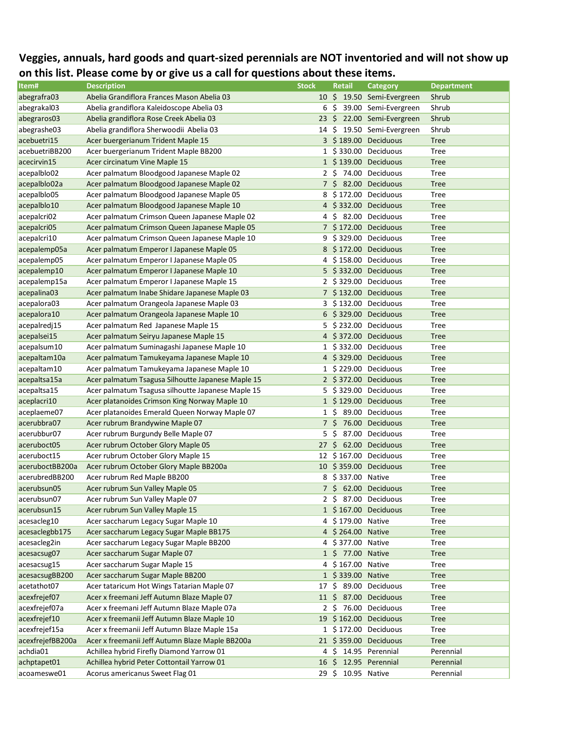## **Veggies, annuals, hard goods and quart-sized perennials are NOT inventoried and will not show up on this list. Please come by or give us a call for questions about these items.**

| abegrafra03<br>Abelia Grandiflora Frances Mason Abelia 03<br>10 \$ 19.50 Semi-Evergreen<br>Shrub<br>Abelia grandiflora Kaleidoscope Abelia 03<br>abegrakal03<br>6<br>S<br>39.00 Semi-Evergreen<br>Shrub<br>abegraros03<br>Abelia grandiflora Rose Creek Abelia 03<br>23<br>-S<br>22.00 Semi-Evergreen<br>Shrub<br>Abelia grandiflora Sherwoodii Abelia 03<br>abegrashe03<br>-S<br>19.50 Semi-Evergreen<br>Shrub<br>14<br>acebuetri15<br>3 \$189.00 Deciduous<br>Acer buergerianum Trident Maple 15<br><b>Tree</b><br>acebuetriBB200<br>Acer buergerianum Trident Maple BB200<br>1 \$330.00 Deciduous<br>Tree<br>1 \$139.00 Deciduous<br>acecirvin15<br>Acer circinatum Vine Maple 15<br><b>Tree</b><br>2 \$ 74.00 Deciduous<br>acepalblo02<br>Acer palmatum Bloodgood Japanese Maple 02<br><b>Tree</b><br>7 \$ 82.00 Deciduous<br>acepalblo02a<br>Acer palmatum Bloodgood Japanese Maple 02<br><b>Tree</b><br>Acer palmatum Bloodgood Japanese Maple 05<br>8 \$172.00 Deciduous<br><b>Tree</b><br>acepalblo05<br>4 \$332.00 Deciduous<br>acepalblo10<br>Acer palmatum Bloodgood Japanese Maple 10<br><b>Tree</b><br>4 \$ 82.00 Deciduous<br>acepalcri02<br>Acer palmatum Crimson Queen Japanese Maple 02<br>Tree<br>acepalcri05<br>Acer palmatum Crimson Queen Japanese Maple 05<br>7 \$172.00 Deciduous<br><b>Tree</b><br>9 \$329.00 Deciduous<br><b>Tree</b><br>acepalcri10<br>Acer palmatum Crimson Queen Japanese Maple 10<br>Acer palmatum Emperor I Japanese Maple 05<br>8 \$172.00 Deciduous<br><b>Tree</b><br>acepalemp05a<br>4 \$158.00 Deciduous<br>Tree<br>acepalemp05<br>Acer palmatum Emperor I Japanese Maple 05<br>5 \$332.00 Deciduous<br>acepalemp10<br>Acer palmatum Emperor I Japanese Maple 10<br><b>Tree</b><br>acepalemp15a<br>Acer palmatum Emperor I Japanese Maple 15<br>2 \$329.00 Deciduous<br>Tree<br>7 \$132.00 Deciduous<br>acepalina03<br>Acer palmatum Inabe Shidare Japanese Maple 03<br><b>Tree</b><br>Acer palmatum Orangeola Japanese Maple 03<br>3 \$132.00 Deciduous<br>acepalora03<br>Tree<br>Acer palmatum Orangeola Japanese Maple 10<br>6 \$329.00 Deciduous<br>acepalora10<br><b>Tree</b><br>Acer palmatum Red Japanese Maple 15<br>5 \$232.00 Deciduous<br>acepalredj15<br>Tree<br>Acer palmatum Seiryu Japanese Maple 15<br>4 \$372.00 Deciduous<br><b>Tree</b><br>acepalsei15<br>Acer palmatum Suminagashi Japanese Maple 10<br>1 \$332.00 Deciduous<br>acepalsum10<br>Tree<br>4 \$329.00 Deciduous<br>acepaltam10a<br>Acer palmatum Tamukeyama Japanese Maple 10<br><b>Tree</b><br>Acer palmatum Tamukeyama Japanese Maple 10<br>1 \$229.00 Deciduous<br>acepaltam10<br><b>Tree</b><br>Acer palmatum Tsagusa Silhoutte Japanese Maple 15<br>2 \$372.00 Deciduous<br>acepaltsa15a<br><b>Tree</b><br>5 \$329.00 Deciduous<br>acepaltsa15<br>Acer palmatum Tsagusa silhoutte Japanese Maple 15<br>Tree<br>aceplacri10<br>Acer platanoides Crimson King Norway Maple 10<br>1 \$129.00 Deciduous<br><b>Tree</b><br>aceplaeme07<br>Acer platanoides Emerald Queen Norway Maple 07<br>1 S<br>89.00 Deciduous<br>Tree<br>acerubbra07<br>7\$<br>76.00 Deciduous<br>Acer rubrum Brandywine Maple 07<br><b>Tree</b><br>\$.<br>87.00 Deciduous<br>acerubbur07<br>Acer rubrum Burgundy Belle Maple 07<br>5<br>Tree<br>$27 \;$ \$<br>62.00 Deciduous<br>aceruboct05<br>Acer rubrum October Glory Maple 05<br><b>Tree</b><br>Acer rubrum October Glory Maple 15<br>12 \$167.00 Deciduous<br>aceruboct15<br><b>Tree</b><br>10 \$359.00 Deciduous<br>aceruboctBB200a<br>Acer rubrum October Glory Maple BB200a<br><b>Tree</b><br>\$337.00 Native<br>acerubredBB200<br>Acer rubrum Red Maple BB200<br><b>Tree</b><br>8<br>7 \$ 62.00 Deciduous<br>acerubsun05<br>Acer rubrum Sun Valley Maple 05<br><b>Tree</b><br>Acer rubrum Sun Valley Maple 07<br>2 \$ 87.00 Deciduous<br>acerubsun07<br><b>Tree</b><br>acerubsun15<br>Acer rubrum Sun Valley Maple 15<br>1 \$167.00 Deciduous<br><b>Tree</b><br>acesacleg10<br>Acer saccharum Legacy Sugar Maple 10<br>4 \$179.00 Native<br>Tree<br>Acer saccharum Legacy Sugar Maple BB175<br>acesaclegbb175<br>4 \$264.00 Native<br><b>Tree</b><br>acesacleg2in<br>Acer saccharum Legacy Sugar Maple BB200<br>4 \$377.00 Native<br><b>Tree</b><br>Acer saccharum Sugar Maple 07<br>1 \$ 77.00 Native<br><b>Tree</b><br>4 \$167.00 Native<br>Acer saccharum Sugar Maple 15<br><b>Tree</b><br>Acer saccharum Sugar Maple BB200<br>1 \$339.00 Native<br><b>Tree</b><br>\$ 89.00 Deciduous<br>acetathot07<br>Acer tataricum Hot Wings Tatarian Maple 07<br>17<br>Tree<br>Acer x freemani Jeff Autumn Blaze Maple 07<br>11 \$ 87.00 Deciduous<br><b>Tree</b><br>Acer x freemani Jeff Autumn Blaze Maple 07a<br>2 \$ 76.00 Deciduous<br>acexfrejef07a<br>Tree<br>acexfrejef10<br>Acer x freemanii Jeff Autumn Blaze Maple 10<br>19 \$162.00 Deciduous<br><b>Tree</b><br>Acer x freemanii Jeff Autumn Blaze Maple 15a<br>1 \$172.00 Deciduous<br>acexfrejef15a<br>Tree<br>acexfrejefBB200a<br>Acer x freemanii Jeff Autumn Blaze Maple BB200a<br>21 \$359.00 Deciduous<br><b>Tree</b><br>achdia01<br>Achillea hybrid Firefly Diamond Yarrow 01<br>4 \$ 14.95 Perennial<br>Perennial<br>achptapet01<br>Achillea hybrid Peter Cottontail Yarrow 01<br>\$ 12.95 Perennial<br>Perennial<br>16<br>$29 \;$ \$<br>10.95 Native<br>Perennial<br>acoameswe01 | Item#          | <b>Description</b>              | <b>Stock</b> | <b>Retail</b> | <b>Category</b> | <b>Department</b> |
|------------------------------------------------------------------------------------------------------------------------------------------------------------------------------------------------------------------------------------------------------------------------------------------------------------------------------------------------------------------------------------------------------------------------------------------------------------------------------------------------------------------------------------------------------------------------------------------------------------------------------------------------------------------------------------------------------------------------------------------------------------------------------------------------------------------------------------------------------------------------------------------------------------------------------------------------------------------------------------------------------------------------------------------------------------------------------------------------------------------------------------------------------------------------------------------------------------------------------------------------------------------------------------------------------------------------------------------------------------------------------------------------------------------------------------------------------------------------------------------------------------------------------------------------------------------------------------------------------------------------------------------------------------------------------------------------------------------------------------------------------------------------------------------------------------------------------------------------------------------------------------------------------------------------------------------------------------------------------------------------------------------------------------------------------------------------------------------------------------------------------------------------------------------------------------------------------------------------------------------------------------------------------------------------------------------------------------------------------------------------------------------------------------------------------------------------------------------------------------------------------------------------------------------------------------------------------------------------------------------------------------------------------------------------------------------------------------------------------------------------------------------------------------------------------------------------------------------------------------------------------------------------------------------------------------------------------------------------------------------------------------------------------------------------------------------------------------------------------------------------------------------------------------------------------------------------------------------------------------------------------------------------------------------------------------------------------------------------------------------------------------------------------------------------------------------------------------------------------------------------------------------------------------------------------------------------------------------------------------------------------------------------------------------------------------------------------------------------------------------------------------------------------------------------------------------------------------------------------------------------------------------------------------------------------------------------------------------------------------------------------------------------------------------------------------------------------------------------------------------------------------------------------------------------------------------------------------------------------------------------------------------------------------------------------------------------------------------------------------------------------------------------------------------------------------------------------------------------------------------------------------------------------------------------------------------------------------------------------------------------------------------------------------------------------------------------------------------------------------------------------------------------------------------------------------------------------------------------------------------------------------------------------------------------------------------------------------------------------------------------------------------------------------------------------------------------------------------------------------------------------------------------------------------------------------------------------------------------------------------------------------------------------------------------------------------|----------------|---------------------------------|--------------|---------------|-----------------|-------------------|
|                                                                                                                                                                                                                                                                                                                                                                                                                                                                                                                                                                                                                                                                                                                                                                                                                                                                                                                                                                                                                                                                                                                                                                                                                                                                                                                                                                                                                                                                                                                                                                                                                                                                                                                                                                                                                                                                                                                                                                                                                                                                                                                                                                                                                                                                                                                                                                                                                                                                                                                                                                                                                                                                                                                                                                                                                                                                                                                                                                                                                                                                                                                                                                                                                                                                                                                                                                                                                                                                                                                                                                                                                                                                                                                                                                                                                                                                                                                                                                                                                                                                                                                                                                                                                                                                                                                                                                                                                                                                                                                                                                                                                                                                                                                                                                                                                                                                                                                                                                                                                                                                                                                                                                                                                                                                                                                  |                |                                 |              |               |                 |                   |
|                                                                                                                                                                                                                                                                                                                                                                                                                                                                                                                                                                                                                                                                                                                                                                                                                                                                                                                                                                                                                                                                                                                                                                                                                                                                                                                                                                                                                                                                                                                                                                                                                                                                                                                                                                                                                                                                                                                                                                                                                                                                                                                                                                                                                                                                                                                                                                                                                                                                                                                                                                                                                                                                                                                                                                                                                                                                                                                                                                                                                                                                                                                                                                                                                                                                                                                                                                                                                                                                                                                                                                                                                                                                                                                                                                                                                                                                                                                                                                                                                                                                                                                                                                                                                                                                                                                                                                                                                                                                                                                                                                                                                                                                                                                                                                                                                                                                                                                                                                                                                                                                                                                                                                                                                                                                                                                  |                |                                 |              |               |                 |                   |
|                                                                                                                                                                                                                                                                                                                                                                                                                                                                                                                                                                                                                                                                                                                                                                                                                                                                                                                                                                                                                                                                                                                                                                                                                                                                                                                                                                                                                                                                                                                                                                                                                                                                                                                                                                                                                                                                                                                                                                                                                                                                                                                                                                                                                                                                                                                                                                                                                                                                                                                                                                                                                                                                                                                                                                                                                                                                                                                                                                                                                                                                                                                                                                                                                                                                                                                                                                                                                                                                                                                                                                                                                                                                                                                                                                                                                                                                                                                                                                                                                                                                                                                                                                                                                                                                                                                                                                                                                                                                                                                                                                                                                                                                                                                                                                                                                                                                                                                                                                                                                                                                                                                                                                                                                                                                                                                  |                |                                 |              |               |                 |                   |
|                                                                                                                                                                                                                                                                                                                                                                                                                                                                                                                                                                                                                                                                                                                                                                                                                                                                                                                                                                                                                                                                                                                                                                                                                                                                                                                                                                                                                                                                                                                                                                                                                                                                                                                                                                                                                                                                                                                                                                                                                                                                                                                                                                                                                                                                                                                                                                                                                                                                                                                                                                                                                                                                                                                                                                                                                                                                                                                                                                                                                                                                                                                                                                                                                                                                                                                                                                                                                                                                                                                                                                                                                                                                                                                                                                                                                                                                                                                                                                                                                                                                                                                                                                                                                                                                                                                                                                                                                                                                                                                                                                                                                                                                                                                                                                                                                                                                                                                                                                                                                                                                                                                                                                                                                                                                                                                  |                |                                 |              |               |                 |                   |
|                                                                                                                                                                                                                                                                                                                                                                                                                                                                                                                                                                                                                                                                                                                                                                                                                                                                                                                                                                                                                                                                                                                                                                                                                                                                                                                                                                                                                                                                                                                                                                                                                                                                                                                                                                                                                                                                                                                                                                                                                                                                                                                                                                                                                                                                                                                                                                                                                                                                                                                                                                                                                                                                                                                                                                                                                                                                                                                                                                                                                                                                                                                                                                                                                                                                                                                                                                                                                                                                                                                                                                                                                                                                                                                                                                                                                                                                                                                                                                                                                                                                                                                                                                                                                                                                                                                                                                                                                                                                                                                                                                                                                                                                                                                                                                                                                                                                                                                                                                                                                                                                                                                                                                                                                                                                                                                  |                |                                 |              |               |                 |                   |
|                                                                                                                                                                                                                                                                                                                                                                                                                                                                                                                                                                                                                                                                                                                                                                                                                                                                                                                                                                                                                                                                                                                                                                                                                                                                                                                                                                                                                                                                                                                                                                                                                                                                                                                                                                                                                                                                                                                                                                                                                                                                                                                                                                                                                                                                                                                                                                                                                                                                                                                                                                                                                                                                                                                                                                                                                                                                                                                                                                                                                                                                                                                                                                                                                                                                                                                                                                                                                                                                                                                                                                                                                                                                                                                                                                                                                                                                                                                                                                                                                                                                                                                                                                                                                                                                                                                                                                                                                                                                                                                                                                                                                                                                                                                                                                                                                                                                                                                                                                                                                                                                                                                                                                                                                                                                                                                  |                |                                 |              |               |                 |                   |
|                                                                                                                                                                                                                                                                                                                                                                                                                                                                                                                                                                                                                                                                                                                                                                                                                                                                                                                                                                                                                                                                                                                                                                                                                                                                                                                                                                                                                                                                                                                                                                                                                                                                                                                                                                                                                                                                                                                                                                                                                                                                                                                                                                                                                                                                                                                                                                                                                                                                                                                                                                                                                                                                                                                                                                                                                                                                                                                                                                                                                                                                                                                                                                                                                                                                                                                                                                                                                                                                                                                                                                                                                                                                                                                                                                                                                                                                                                                                                                                                                                                                                                                                                                                                                                                                                                                                                                                                                                                                                                                                                                                                                                                                                                                                                                                                                                                                                                                                                                                                                                                                                                                                                                                                                                                                                                                  |                |                                 |              |               |                 |                   |
|                                                                                                                                                                                                                                                                                                                                                                                                                                                                                                                                                                                                                                                                                                                                                                                                                                                                                                                                                                                                                                                                                                                                                                                                                                                                                                                                                                                                                                                                                                                                                                                                                                                                                                                                                                                                                                                                                                                                                                                                                                                                                                                                                                                                                                                                                                                                                                                                                                                                                                                                                                                                                                                                                                                                                                                                                                                                                                                                                                                                                                                                                                                                                                                                                                                                                                                                                                                                                                                                                                                                                                                                                                                                                                                                                                                                                                                                                                                                                                                                                                                                                                                                                                                                                                                                                                                                                                                                                                                                                                                                                                                                                                                                                                                                                                                                                                                                                                                                                                                                                                                                                                                                                                                                                                                                                                                  |                |                                 |              |               |                 |                   |
|                                                                                                                                                                                                                                                                                                                                                                                                                                                                                                                                                                                                                                                                                                                                                                                                                                                                                                                                                                                                                                                                                                                                                                                                                                                                                                                                                                                                                                                                                                                                                                                                                                                                                                                                                                                                                                                                                                                                                                                                                                                                                                                                                                                                                                                                                                                                                                                                                                                                                                                                                                                                                                                                                                                                                                                                                                                                                                                                                                                                                                                                                                                                                                                                                                                                                                                                                                                                                                                                                                                                                                                                                                                                                                                                                                                                                                                                                                                                                                                                                                                                                                                                                                                                                                                                                                                                                                                                                                                                                                                                                                                                                                                                                                                                                                                                                                                                                                                                                                                                                                                                                                                                                                                                                                                                                                                  |                |                                 |              |               |                 |                   |
|                                                                                                                                                                                                                                                                                                                                                                                                                                                                                                                                                                                                                                                                                                                                                                                                                                                                                                                                                                                                                                                                                                                                                                                                                                                                                                                                                                                                                                                                                                                                                                                                                                                                                                                                                                                                                                                                                                                                                                                                                                                                                                                                                                                                                                                                                                                                                                                                                                                                                                                                                                                                                                                                                                                                                                                                                                                                                                                                                                                                                                                                                                                                                                                                                                                                                                                                                                                                                                                                                                                                                                                                                                                                                                                                                                                                                                                                                                                                                                                                                                                                                                                                                                                                                                                                                                                                                                                                                                                                                                                                                                                                                                                                                                                                                                                                                                                                                                                                                                                                                                                                                                                                                                                                                                                                                                                  |                |                                 |              |               |                 |                   |
|                                                                                                                                                                                                                                                                                                                                                                                                                                                                                                                                                                                                                                                                                                                                                                                                                                                                                                                                                                                                                                                                                                                                                                                                                                                                                                                                                                                                                                                                                                                                                                                                                                                                                                                                                                                                                                                                                                                                                                                                                                                                                                                                                                                                                                                                                                                                                                                                                                                                                                                                                                                                                                                                                                                                                                                                                                                                                                                                                                                                                                                                                                                                                                                                                                                                                                                                                                                                                                                                                                                                                                                                                                                                                                                                                                                                                                                                                                                                                                                                                                                                                                                                                                                                                                                                                                                                                                                                                                                                                                                                                                                                                                                                                                                                                                                                                                                                                                                                                                                                                                                                                                                                                                                                                                                                                                                  |                |                                 |              |               |                 |                   |
|                                                                                                                                                                                                                                                                                                                                                                                                                                                                                                                                                                                                                                                                                                                                                                                                                                                                                                                                                                                                                                                                                                                                                                                                                                                                                                                                                                                                                                                                                                                                                                                                                                                                                                                                                                                                                                                                                                                                                                                                                                                                                                                                                                                                                                                                                                                                                                                                                                                                                                                                                                                                                                                                                                                                                                                                                                                                                                                                                                                                                                                                                                                                                                                                                                                                                                                                                                                                                                                                                                                                                                                                                                                                                                                                                                                                                                                                                                                                                                                                                                                                                                                                                                                                                                                                                                                                                                                                                                                                                                                                                                                                                                                                                                                                                                                                                                                                                                                                                                                                                                                                                                                                                                                                                                                                                                                  |                |                                 |              |               |                 |                   |
|                                                                                                                                                                                                                                                                                                                                                                                                                                                                                                                                                                                                                                                                                                                                                                                                                                                                                                                                                                                                                                                                                                                                                                                                                                                                                                                                                                                                                                                                                                                                                                                                                                                                                                                                                                                                                                                                                                                                                                                                                                                                                                                                                                                                                                                                                                                                                                                                                                                                                                                                                                                                                                                                                                                                                                                                                                                                                                                                                                                                                                                                                                                                                                                                                                                                                                                                                                                                                                                                                                                                                                                                                                                                                                                                                                                                                                                                                                                                                                                                                                                                                                                                                                                                                                                                                                                                                                                                                                                                                                                                                                                                                                                                                                                                                                                                                                                                                                                                                                                                                                                                                                                                                                                                                                                                                                                  |                |                                 |              |               |                 |                   |
|                                                                                                                                                                                                                                                                                                                                                                                                                                                                                                                                                                                                                                                                                                                                                                                                                                                                                                                                                                                                                                                                                                                                                                                                                                                                                                                                                                                                                                                                                                                                                                                                                                                                                                                                                                                                                                                                                                                                                                                                                                                                                                                                                                                                                                                                                                                                                                                                                                                                                                                                                                                                                                                                                                                                                                                                                                                                                                                                                                                                                                                                                                                                                                                                                                                                                                                                                                                                                                                                                                                                                                                                                                                                                                                                                                                                                                                                                                                                                                                                                                                                                                                                                                                                                                                                                                                                                                                                                                                                                                                                                                                                                                                                                                                                                                                                                                                                                                                                                                                                                                                                                                                                                                                                                                                                                                                  |                |                                 |              |               |                 |                   |
|                                                                                                                                                                                                                                                                                                                                                                                                                                                                                                                                                                                                                                                                                                                                                                                                                                                                                                                                                                                                                                                                                                                                                                                                                                                                                                                                                                                                                                                                                                                                                                                                                                                                                                                                                                                                                                                                                                                                                                                                                                                                                                                                                                                                                                                                                                                                                                                                                                                                                                                                                                                                                                                                                                                                                                                                                                                                                                                                                                                                                                                                                                                                                                                                                                                                                                                                                                                                                                                                                                                                                                                                                                                                                                                                                                                                                                                                                                                                                                                                                                                                                                                                                                                                                                                                                                                                                                                                                                                                                                                                                                                                                                                                                                                                                                                                                                                                                                                                                                                                                                                                                                                                                                                                                                                                                                                  |                |                                 |              |               |                 |                   |
|                                                                                                                                                                                                                                                                                                                                                                                                                                                                                                                                                                                                                                                                                                                                                                                                                                                                                                                                                                                                                                                                                                                                                                                                                                                                                                                                                                                                                                                                                                                                                                                                                                                                                                                                                                                                                                                                                                                                                                                                                                                                                                                                                                                                                                                                                                                                                                                                                                                                                                                                                                                                                                                                                                                                                                                                                                                                                                                                                                                                                                                                                                                                                                                                                                                                                                                                                                                                                                                                                                                                                                                                                                                                                                                                                                                                                                                                                                                                                                                                                                                                                                                                                                                                                                                                                                                                                                                                                                                                                                                                                                                                                                                                                                                                                                                                                                                                                                                                                                                                                                                                                                                                                                                                                                                                                                                  |                |                                 |              |               |                 |                   |
|                                                                                                                                                                                                                                                                                                                                                                                                                                                                                                                                                                                                                                                                                                                                                                                                                                                                                                                                                                                                                                                                                                                                                                                                                                                                                                                                                                                                                                                                                                                                                                                                                                                                                                                                                                                                                                                                                                                                                                                                                                                                                                                                                                                                                                                                                                                                                                                                                                                                                                                                                                                                                                                                                                                                                                                                                                                                                                                                                                                                                                                                                                                                                                                                                                                                                                                                                                                                                                                                                                                                                                                                                                                                                                                                                                                                                                                                                                                                                                                                                                                                                                                                                                                                                                                                                                                                                                                                                                                                                                                                                                                                                                                                                                                                                                                                                                                                                                                                                                                                                                                                                                                                                                                                                                                                                                                  |                |                                 |              |               |                 |                   |
|                                                                                                                                                                                                                                                                                                                                                                                                                                                                                                                                                                                                                                                                                                                                                                                                                                                                                                                                                                                                                                                                                                                                                                                                                                                                                                                                                                                                                                                                                                                                                                                                                                                                                                                                                                                                                                                                                                                                                                                                                                                                                                                                                                                                                                                                                                                                                                                                                                                                                                                                                                                                                                                                                                                                                                                                                                                                                                                                                                                                                                                                                                                                                                                                                                                                                                                                                                                                                                                                                                                                                                                                                                                                                                                                                                                                                                                                                                                                                                                                                                                                                                                                                                                                                                                                                                                                                                                                                                                                                                                                                                                                                                                                                                                                                                                                                                                                                                                                                                                                                                                                                                                                                                                                                                                                                                                  |                |                                 |              |               |                 |                   |
|                                                                                                                                                                                                                                                                                                                                                                                                                                                                                                                                                                                                                                                                                                                                                                                                                                                                                                                                                                                                                                                                                                                                                                                                                                                                                                                                                                                                                                                                                                                                                                                                                                                                                                                                                                                                                                                                                                                                                                                                                                                                                                                                                                                                                                                                                                                                                                                                                                                                                                                                                                                                                                                                                                                                                                                                                                                                                                                                                                                                                                                                                                                                                                                                                                                                                                                                                                                                                                                                                                                                                                                                                                                                                                                                                                                                                                                                                                                                                                                                                                                                                                                                                                                                                                                                                                                                                                                                                                                                                                                                                                                                                                                                                                                                                                                                                                                                                                                                                                                                                                                                                                                                                                                                                                                                                                                  |                |                                 |              |               |                 |                   |
|                                                                                                                                                                                                                                                                                                                                                                                                                                                                                                                                                                                                                                                                                                                                                                                                                                                                                                                                                                                                                                                                                                                                                                                                                                                                                                                                                                                                                                                                                                                                                                                                                                                                                                                                                                                                                                                                                                                                                                                                                                                                                                                                                                                                                                                                                                                                                                                                                                                                                                                                                                                                                                                                                                                                                                                                                                                                                                                                                                                                                                                                                                                                                                                                                                                                                                                                                                                                                                                                                                                                                                                                                                                                                                                                                                                                                                                                                                                                                                                                                                                                                                                                                                                                                                                                                                                                                                                                                                                                                                                                                                                                                                                                                                                                                                                                                                                                                                                                                                                                                                                                                                                                                                                                                                                                                                                  |                |                                 |              |               |                 |                   |
|                                                                                                                                                                                                                                                                                                                                                                                                                                                                                                                                                                                                                                                                                                                                                                                                                                                                                                                                                                                                                                                                                                                                                                                                                                                                                                                                                                                                                                                                                                                                                                                                                                                                                                                                                                                                                                                                                                                                                                                                                                                                                                                                                                                                                                                                                                                                                                                                                                                                                                                                                                                                                                                                                                                                                                                                                                                                                                                                                                                                                                                                                                                                                                                                                                                                                                                                                                                                                                                                                                                                                                                                                                                                                                                                                                                                                                                                                                                                                                                                                                                                                                                                                                                                                                                                                                                                                                                                                                                                                                                                                                                                                                                                                                                                                                                                                                                                                                                                                                                                                                                                                                                                                                                                                                                                                                                  |                |                                 |              |               |                 |                   |
|                                                                                                                                                                                                                                                                                                                                                                                                                                                                                                                                                                                                                                                                                                                                                                                                                                                                                                                                                                                                                                                                                                                                                                                                                                                                                                                                                                                                                                                                                                                                                                                                                                                                                                                                                                                                                                                                                                                                                                                                                                                                                                                                                                                                                                                                                                                                                                                                                                                                                                                                                                                                                                                                                                                                                                                                                                                                                                                                                                                                                                                                                                                                                                                                                                                                                                                                                                                                                                                                                                                                                                                                                                                                                                                                                                                                                                                                                                                                                                                                                                                                                                                                                                                                                                                                                                                                                                                                                                                                                                                                                                                                                                                                                                                                                                                                                                                                                                                                                                                                                                                                                                                                                                                                                                                                                                                  |                |                                 |              |               |                 |                   |
|                                                                                                                                                                                                                                                                                                                                                                                                                                                                                                                                                                                                                                                                                                                                                                                                                                                                                                                                                                                                                                                                                                                                                                                                                                                                                                                                                                                                                                                                                                                                                                                                                                                                                                                                                                                                                                                                                                                                                                                                                                                                                                                                                                                                                                                                                                                                                                                                                                                                                                                                                                                                                                                                                                                                                                                                                                                                                                                                                                                                                                                                                                                                                                                                                                                                                                                                                                                                                                                                                                                                                                                                                                                                                                                                                                                                                                                                                                                                                                                                                                                                                                                                                                                                                                                                                                                                                                                                                                                                                                                                                                                                                                                                                                                                                                                                                                                                                                                                                                                                                                                                                                                                                                                                                                                                                                                  |                |                                 |              |               |                 |                   |
|                                                                                                                                                                                                                                                                                                                                                                                                                                                                                                                                                                                                                                                                                                                                                                                                                                                                                                                                                                                                                                                                                                                                                                                                                                                                                                                                                                                                                                                                                                                                                                                                                                                                                                                                                                                                                                                                                                                                                                                                                                                                                                                                                                                                                                                                                                                                                                                                                                                                                                                                                                                                                                                                                                                                                                                                                                                                                                                                                                                                                                                                                                                                                                                                                                                                                                                                                                                                                                                                                                                                                                                                                                                                                                                                                                                                                                                                                                                                                                                                                                                                                                                                                                                                                                                                                                                                                                                                                                                                                                                                                                                                                                                                                                                                                                                                                                                                                                                                                                                                                                                                                                                                                                                                                                                                                                                  |                |                                 |              |               |                 |                   |
|                                                                                                                                                                                                                                                                                                                                                                                                                                                                                                                                                                                                                                                                                                                                                                                                                                                                                                                                                                                                                                                                                                                                                                                                                                                                                                                                                                                                                                                                                                                                                                                                                                                                                                                                                                                                                                                                                                                                                                                                                                                                                                                                                                                                                                                                                                                                                                                                                                                                                                                                                                                                                                                                                                                                                                                                                                                                                                                                                                                                                                                                                                                                                                                                                                                                                                                                                                                                                                                                                                                                                                                                                                                                                                                                                                                                                                                                                                                                                                                                                                                                                                                                                                                                                                                                                                                                                                                                                                                                                                                                                                                                                                                                                                                                                                                                                                                                                                                                                                                                                                                                                                                                                                                                                                                                                                                  |                |                                 |              |               |                 |                   |
|                                                                                                                                                                                                                                                                                                                                                                                                                                                                                                                                                                                                                                                                                                                                                                                                                                                                                                                                                                                                                                                                                                                                                                                                                                                                                                                                                                                                                                                                                                                                                                                                                                                                                                                                                                                                                                                                                                                                                                                                                                                                                                                                                                                                                                                                                                                                                                                                                                                                                                                                                                                                                                                                                                                                                                                                                                                                                                                                                                                                                                                                                                                                                                                                                                                                                                                                                                                                                                                                                                                                                                                                                                                                                                                                                                                                                                                                                                                                                                                                                                                                                                                                                                                                                                                                                                                                                                                                                                                                                                                                                                                                                                                                                                                                                                                                                                                                                                                                                                                                                                                                                                                                                                                                                                                                                                                  |                |                                 |              |               |                 |                   |
|                                                                                                                                                                                                                                                                                                                                                                                                                                                                                                                                                                                                                                                                                                                                                                                                                                                                                                                                                                                                                                                                                                                                                                                                                                                                                                                                                                                                                                                                                                                                                                                                                                                                                                                                                                                                                                                                                                                                                                                                                                                                                                                                                                                                                                                                                                                                                                                                                                                                                                                                                                                                                                                                                                                                                                                                                                                                                                                                                                                                                                                                                                                                                                                                                                                                                                                                                                                                                                                                                                                                                                                                                                                                                                                                                                                                                                                                                                                                                                                                                                                                                                                                                                                                                                                                                                                                                                                                                                                                                                                                                                                                                                                                                                                                                                                                                                                                                                                                                                                                                                                                                                                                                                                                                                                                                                                  |                |                                 |              |               |                 |                   |
|                                                                                                                                                                                                                                                                                                                                                                                                                                                                                                                                                                                                                                                                                                                                                                                                                                                                                                                                                                                                                                                                                                                                                                                                                                                                                                                                                                                                                                                                                                                                                                                                                                                                                                                                                                                                                                                                                                                                                                                                                                                                                                                                                                                                                                                                                                                                                                                                                                                                                                                                                                                                                                                                                                                                                                                                                                                                                                                                                                                                                                                                                                                                                                                                                                                                                                                                                                                                                                                                                                                                                                                                                                                                                                                                                                                                                                                                                                                                                                                                                                                                                                                                                                                                                                                                                                                                                                                                                                                                                                                                                                                                                                                                                                                                                                                                                                                                                                                                                                                                                                                                                                                                                                                                                                                                                                                  |                |                                 |              |               |                 |                   |
|                                                                                                                                                                                                                                                                                                                                                                                                                                                                                                                                                                                                                                                                                                                                                                                                                                                                                                                                                                                                                                                                                                                                                                                                                                                                                                                                                                                                                                                                                                                                                                                                                                                                                                                                                                                                                                                                                                                                                                                                                                                                                                                                                                                                                                                                                                                                                                                                                                                                                                                                                                                                                                                                                                                                                                                                                                                                                                                                                                                                                                                                                                                                                                                                                                                                                                                                                                                                                                                                                                                                                                                                                                                                                                                                                                                                                                                                                                                                                                                                                                                                                                                                                                                                                                                                                                                                                                                                                                                                                                                                                                                                                                                                                                                                                                                                                                                                                                                                                                                                                                                                                                                                                                                                                                                                                                                  |                |                                 |              |               |                 |                   |
|                                                                                                                                                                                                                                                                                                                                                                                                                                                                                                                                                                                                                                                                                                                                                                                                                                                                                                                                                                                                                                                                                                                                                                                                                                                                                                                                                                                                                                                                                                                                                                                                                                                                                                                                                                                                                                                                                                                                                                                                                                                                                                                                                                                                                                                                                                                                                                                                                                                                                                                                                                                                                                                                                                                                                                                                                                                                                                                                                                                                                                                                                                                                                                                                                                                                                                                                                                                                                                                                                                                                                                                                                                                                                                                                                                                                                                                                                                                                                                                                                                                                                                                                                                                                                                                                                                                                                                                                                                                                                                                                                                                                                                                                                                                                                                                                                                                                                                                                                                                                                                                                                                                                                                                                                                                                                                                  |                |                                 |              |               |                 |                   |
|                                                                                                                                                                                                                                                                                                                                                                                                                                                                                                                                                                                                                                                                                                                                                                                                                                                                                                                                                                                                                                                                                                                                                                                                                                                                                                                                                                                                                                                                                                                                                                                                                                                                                                                                                                                                                                                                                                                                                                                                                                                                                                                                                                                                                                                                                                                                                                                                                                                                                                                                                                                                                                                                                                                                                                                                                                                                                                                                                                                                                                                                                                                                                                                                                                                                                                                                                                                                                                                                                                                                                                                                                                                                                                                                                                                                                                                                                                                                                                                                                                                                                                                                                                                                                                                                                                                                                                                                                                                                                                                                                                                                                                                                                                                                                                                                                                                                                                                                                                                                                                                                                                                                                                                                                                                                                                                  |                |                                 |              |               |                 |                   |
|                                                                                                                                                                                                                                                                                                                                                                                                                                                                                                                                                                                                                                                                                                                                                                                                                                                                                                                                                                                                                                                                                                                                                                                                                                                                                                                                                                                                                                                                                                                                                                                                                                                                                                                                                                                                                                                                                                                                                                                                                                                                                                                                                                                                                                                                                                                                                                                                                                                                                                                                                                                                                                                                                                                                                                                                                                                                                                                                                                                                                                                                                                                                                                                                                                                                                                                                                                                                                                                                                                                                                                                                                                                                                                                                                                                                                                                                                                                                                                                                                                                                                                                                                                                                                                                                                                                                                                                                                                                                                                                                                                                                                                                                                                                                                                                                                                                                                                                                                                                                                                                                                                                                                                                                                                                                                                                  |                |                                 |              |               |                 |                   |
|                                                                                                                                                                                                                                                                                                                                                                                                                                                                                                                                                                                                                                                                                                                                                                                                                                                                                                                                                                                                                                                                                                                                                                                                                                                                                                                                                                                                                                                                                                                                                                                                                                                                                                                                                                                                                                                                                                                                                                                                                                                                                                                                                                                                                                                                                                                                                                                                                                                                                                                                                                                                                                                                                                                                                                                                                                                                                                                                                                                                                                                                                                                                                                                                                                                                                                                                                                                                                                                                                                                                                                                                                                                                                                                                                                                                                                                                                                                                                                                                                                                                                                                                                                                                                                                                                                                                                                                                                                                                                                                                                                                                                                                                                                                                                                                                                                                                                                                                                                                                                                                                                                                                                                                                                                                                                                                  |                |                                 |              |               |                 |                   |
|                                                                                                                                                                                                                                                                                                                                                                                                                                                                                                                                                                                                                                                                                                                                                                                                                                                                                                                                                                                                                                                                                                                                                                                                                                                                                                                                                                                                                                                                                                                                                                                                                                                                                                                                                                                                                                                                                                                                                                                                                                                                                                                                                                                                                                                                                                                                                                                                                                                                                                                                                                                                                                                                                                                                                                                                                                                                                                                                                                                                                                                                                                                                                                                                                                                                                                                                                                                                                                                                                                                                                                                                                                                                                                                                                                                                                                                                                                                                                                                                                                                                                                                                                                                                                                                                                                                                                                                                                                                                                                                                                                                                                                                                                                                                                                                                                                                                                                                                                                                                                                                                                                                                                                                                                                                                                                                  |                |                                 |              |               |                 |                   |
|                                                                                                                                                                                                                                                                                                                                                                                                                                                                                                                                                                                                                                                                                                                                                                                                                                                                                                                                                                                                                                                                                                                                                                                                                                                                                                                                                                                                                                                                                                                                                                                                                                                                                                                                                                                                                                                                                                                                                                                                                                                                                                                                                                                                                                                                                                                                                                                                                                                                                                                                                                                                                                                                                                                                                                                                                                                                                                                                                                                                                                                                                                                                                                                                                                                                                                                                                                                                                                                                                                                                                                                                                                                                                                                                                                                                                                                                                                                                                                                                                                                                                                                                                                                                                                                                                                                                                                                                                                                                                                                                                                                                                                                                                                                                                                                                                                                                                                                                                                                                                                                                                                                                                                                                                                                                                                                  |                |                                 |              |               |                 |                   |
|                                                                                                                                                                                                                                                                                                                                                                                                                                                                                                                                                                                                                                                                                                                                                                                                                                                                                                                                                                                                                                                                                                                                                                                                                                                                                                                                                                                                                                                                                                                                                                                                                                                                                                                                                                                                                                                                                                                                                                                                                                                                                                                                                                                                                                                                                                                                                                                                                                                                                                                                                                                                                                                                                                                                                                                                                                                                                                                                                                                                                                                                                                                                                                                                                                                                                                                                                                                                                                                                                                                                                                                                                                                                                                                                                                                                                                                                                                                                                                                                                                                                                                                                                                                                                                                                                                                                                                                                                                                                                                                                                                                                                                                                                                                                                                                                                                                                                                                                                                                                                                                                                                                                                                                                                                                                                                                  |                |                                 |              |               |                 |                   |
|                                                                                                                                                                                                                                                                                                                                                                                                                                                                                                                                                                                                                                                                                                                                                                                                                                                                                                                                                                                                                                                                                                                                                                                                                                                                                                                                                                                                                                                                                                                                                                                                                                                                                                                                                                                                                                                                                                                                                                                                                                                                                                                                                                                                                                                                                                                                                                                                                                                                                                                                                                                                                                                                                                                                                                                                                                                                                                                                                                                                                                                                                                                                                                                                                                                                                                                                                                                                                                                                                                                                                                                                                                                                                                                                                                                                                                                                                                                                                                                                                                                                                                                                                                                                                                                                                                                                                                                                                                                                                                                                                                                                                                                                                                                                                                                                                                                                                                                                                                                                                                                                                                                                                                                                                                                                                                                  |                |                                 |              |               |                 |                   |
|                                                                                                                                                                                                                                                                                                                                                                                                                                                                                                                                                                                                                                                                                                                                                                                                                                                                                                                                                                                                                                                                                                                                                                                                                                                                                                                                                                                                                                                                                                                                                                                                                                                                                                                                                                                                                                                                                                                                                                                                                                                                                                                                                                                                                                                                                                                                                                                                                                                                                                                                                                                                                                                                                                                                                                                                                                                                                                                                                                                                                                                                                                                                                                                                                                                                                                                                                                                                                                                                                                                                                                                                                                                                                                                                                                                                                                                                                                                                                                                                                                                                                                                                                                                                                                                                                                                                                                                                                                                                                                                                                                                                                                                                                                                                                                                                                                                                                                                                                                                                                                                                                                                                                                                                                                                                                                                  |                |                                 |              |               |                 |                   |
|                                                                                                                                                                                                                                                                                                                                                                                                                                                                                                                                                                                                                                                                                                                                                                                                                                                                                                                                                                                                                                                                                                                                                                                                                                                                                                                                                                                                                                                                                                                                                                                                                                                                                                                                                                                                                                                                                                                                                                                                                                                                                                                                                                                                                                                                                                                                                                                                                                                                                                                                                                                                                                                                                                                                                                                                                                                                                                                                                                                                                                                                                                                                                                                                                                                                                                                                                                                                                                                                                                                                                                                                                                                                                                                                                                                                                                                                                                                                                                                                                                                                                                                                                                                                                                                                                                                                                                                                                                                                                                                                                                                                                                                                                                                                                                                                                                                                                                                                                                                                                                                                                                                                                                                                                                                                                                                  |                |                                 |              |               |                 |                   |
|                                                                                                                                                                                                                                                                                                                                                                                                                                                                                                                                                                                                                                                                                                                                                                                                                                                                                                                                                                                                                                                                                                                                                                                                                                                                                                                                                                                                                                                                                                                                                                                                                                                                                                                                                                                                                                                                                                                                                                                                                                                                                                                                                                                                                                                                                                                                                                                                                                                                                                                                                                                                                                                                                                                                                                                                                                                                                                                                                                                                                                                                                                                                                                                                                                                                                                                                                                                                                                                                                                                                                                                                                                                                                                                                                                                                                                                                                                                                                                                                                                                                                                                                                                                                                                                                                                                                                                                                                                                                                                                                                                                                                                                                                                                                                                                                                                                                                                                                                                                                                                                                                                                                                                                                                                                                                                                  |                |                                 |              |               |                 |                   |
|                                                                                                                                                                                                                                                                                                                                                                                                                                                                                                                                                                                                                                                                                                                                                                                                                                                                                                                                                                                                                                                                                                                                                                                                                                                                                                                                                                                                                                                                                                                                                                                                                                                                                                                                                                                                                                                                                                                                                                                                                                                                                                                                                                                                                                                                                                                                                                                                                                                                                                                                                                                                                                                                                                                                                                                                                                                                                                                                                                                                                                                                                                                                                                                                                                                                                                                                                                                                                                                                                                                                                                                                                                                                                                                                                                                                                                                                                                                                                                                                                                                                                                                                                                                                                                                                                                                                                                                                                                                                                                                                                                                                                                                                                                                                                                                                                                                                                                                                                                                                                                                                                                                                                                                                                                                                                                                  |                |                                 |              |               |                 |                   |
|                                                                                                                                                                                                                                                                                                                                                                                                                                                                                                                                                                                                                                                                                                                                                                                                                                                                                                                                                                                                                                                                                                                                                                                                                                                                                                                                                                                                                                                                                                                                                                                                                                                                                                                                                                                                                                                                                                                                                                                                                                                                                                                                                                                                                                                                                                                                                                                                                                                                                                                                                                                                                                                                                                                                                                                                                                                                                                                                                                                                                                                                                                                                                                                                                                                                                                                                                                                                                                                                                                                                                                                                                                                                                                                                                                                                                                                                                                                                                                                                                                                                                                                                                                                                                                                                                                                                                                                                                                                                                                                                                                                                                                                                                                                                                                                                                                                                                                                                                                                                                                                                                                                                                                                                                                                                                                                  |                |                                 |              |               |                 |                   |
|                                                                                                                                                                                                                                                                                                                                                                                                                                                                                                                                                                                                                                                                                                                                                                                                                                                                                                                                                                                                                                                                                                                                                                                                                                                                                                                                                                                                                                                                                                                                                                                                                                                                                                                                                                                                                                                                                                                                                                                                                                                                                                                                                                                                                                                                                                                                                                                                                                                                                                                                                                                                                                                                                                                                                                                                                                                                                                                                                                                                                                                                                                                                                                                                                                                                                                                                                                                                                                                                                                                                                                                                                                                                                                                                                                                                                                                                                                                                                                                                                                                                                                                                                                                                                                                                                                                                                                                                                                                                                                                                                                                                                                                                                                                                                                                                                                                                                                                                                                                                                                                                                                                                                                                                                                                                                                                  |                |                                 |              |               |                 |                   |
|                                                                                                                                                                                                                                                                                                                                                                                                                                                                                                                                                                                                                                                                                                                                                                                                                                                                                                                                                                                                                                                                                                                                                                                                                                                                                                                                                                                                                                                                                                                                                                                                                                                                                                                                                                                                                                                                                                                                                                                                                                                                                                                                                                                                                                                                                                                                                                                                                                                                                                                                                                                                                                                                                                                                                                                                                                                                                                                                                                                                                                                                                                                                                                                                                                                                                                                                                                                                                                                                                                                                                                                                                                                                                                                                                                                                                                                                                                                                                                                                                                                                                                                                                                                                                                                                                                                                                                                                                                                                                                                                                                                                                                                                                                                                                                                                                                                                                                                                                                                                                                                                                                                                                                                                                                                                                                                  | acesacsug07    |                                 |              |               |                 |                   |
|                                                                                                                                                                                                                                                                                                                                                                                                                                                                                                                                                                                                                                                                                                                                                                                                                                                                                                                                                                                                                                                                                                                                                                                                                                                                                                                                                                                                                                                                                                                                                                                                                                                                                                                                                                                                                                                                                                                                                                                                                                                                                                                                                                                                                                                                                                                                                                                                                                                                                                                                                                                                                                                                                                                                                                                                                                                                                                                                                                                                                                                                                                                                                                                                                                                                                                                                                                                                                                                                                                                                                                                                                                                                                                                                                                                                                                                                                                                                                                                                                                                                                                                                                                                                                                                                                                                                                                                                                                                                                                                                                                                                                                                                                                                                                                                                                                                                                                                                                                                                                                                                                                                                                                                                                                                                                                                  | acesacsug15    |                                 |              |               |                 |                   |
|                                                                                                                                                                                                                                                                                                                                                                                                                                                                                                                                                                                                                                                                                                                                                                                                                                                                                                                                                                                                                                                                                                                                                                                                                                                                                                                                                                                                                                                                                                                                                                                                                                                                                                                                                                                                                                                                                                                                                                                                                                                                                                                                                                                                                                                                                                                                                                                                                                                                                                                                                                                                                                                                                                                                                                                                                                                                                                                                                                                                                                                                                                                                                                                                                                                                                                                                                                                                                                                                                                                                                                                                                                                                                                                                                                                                                                                                                                                                                                                                                                                                                                                                                                                                                                                                                                                                                                                                                                                                                                                                                                                                                                                                                                                                                                                                                                                                                                                                                                                                                                                                                                                                                                                                                                                                                                                  | acesacsugBB200 |                                 |              |               |                 |                   |
|                                                                                                                                                                                                                                                                                                                                                                                                                                                                                                                                                                                                                                                                                                                                                                                                                                                                                                                                                                                                                                                                                                                                                                                                                                                                                                                                                                                                                                                                                                                                                                                                                                                                                                                                                                                                                                                                                                                                                                                                                                                                                                                                                                                                                                                                                                                                                                                                                                                                                                                                                                                                                                                                                                                                                                                                                                                                                                                                                                                                                                                                                                                                                                                                                                                                                                                                                                                                                                                                                                                                                                                                                                                                                                                                                                                                                                                                                                                                                                                                                                                                                                                                                                                                                                                                                                                                                                                                                                                                                                                                                                                                                                                                                                                                                                                                                                                                                                                                                                                                                                                                                                                                                                                                                                                                                                                  |                |                                 |              |               |                 |                   |
|                                                                                                                                                                                                                                                                                                                                                                                                                                                                                                                                                                                                                                                                                                                                                                                                                                                                                                                                                                                                                                                                                                                                                                                                                                                                                                                                                                                                                                                                                                                                                                                                                                                                                                                                                                                                                                                                                                                                                                                                                                                                                                                                                                                                                                                                                                                                                                                                                                                                                                                                                                                                                                                                                                                                                                                                                                                                                                                                                                                                                                                                                                                                                                                                                                                                                                                                                                                                                                                                                                                                                                                                                                                                                                                                                                                                                                                                                                                                                                                                                                                                                                                                                                                                                                                                                                                                                                                                                                                                                                                                                                                                                                                                                                                                                                                                                                                                                                                                                                                                                                                                                                                                                                                                                                                                                                                  | acexfrejef07   |                                 |              |               |                 |                   |
|                                                                                                                                                                                                                                                                                                                                                                                                                                                                                                                                                                                                                                                                                                                                                                                                                                                                                                                                                                                                                                                                                                                                                                                                                                                                                                                                                                                                                                                                                                                                                                                                                                                                                                                                                                                                                                                                                                                                                                                                                                                                                                                                                                                                                                                                                                                                                                                                                                                                                                                                                                                                                                                                                                                                                                                                                                                                                                                                                                                                                                                                                                                                                                                                                                                                                                                                                                                                                                                                                                                                                                                                                                                                                                                                                                                                                                                                                                                                                                                                                                                                                                                                                                                                                                                                                                                                                                                                                                                                                                                                                                                                                                                                                                                                                                                                                                                                                                                                                                                                                                                                                                                                                                                                                                                                                                                  |                |                                 |              |               |                 |                   |
|                                                                                                                                                                                                                                                                                                                                                                                                                                                                                                                                                                                                                                                                                                                                                                                                                                                                                                                                                                                                                                                                                                                                                                                                                                                                                                                                                                                                                                                                                                                                                                                                                                                                                                                                                                                                                                                                                                                                                                                                                                                                                                                                                                                                                                                                                                                                                                                                                                                                                                                                                                                                                                                                                                                                                                                                                                                                                                                                                                                                                                                                                                                                                                                                                                                                                                                                                                                                                                                                                                                                                                                                                                                                                                                                                                                                                                                                                                                                                                                                                                                                                                                                                                                                                                                                                                                                                                                                                                                                                                                                                                                                                                                                                                                                                                                                                                                                                                                                                                                                                                                                                                                                                                                                                                                                                                                  |                |                                 |              |               |                 |                   |
|                                                                                                                                                                                                                                                                                                                                                                                                                                                                                                                                                                                                                                                                                                                                                                                                                                                                                                                                                                                                                                                                                                                                                                                                                                                                                                                                                                                                                                                                                                                                                                                                                                                                                                                                                                                                                                                                                                                                                                                                                                                                                                                                                                                                                                                                                                                                                                                                                                                                                                                                                                                                                                                                                                                                                                                                                                                                                                                                                                                                                                                                                                                                                                                                                                                                                                                                                                                                                                                                                                                                                                                                                                                                                                                                                                                                                                                                                                                                                                                                                                                                                                                                                                                                                                                                                                                                                                                                                                                                                                                                                                                                                                                                                                                                                                                                                                                                                                                                                                                                                                                                                                                                                                                                                                                                                                                  |                |                                 |              |               |                 |                   |
|                                                                                                                                                                                                                                                                                                                                                                                                                                                                                                                                                                                                                                                                                                                                                                                                                                                                                                                                                                                                                                                                                                                                                                                                                                                                                                                                                                                                                                                                                                                                                                                                                                                                                                                                                                                                                                                                                                                                                                                                                                                                                                                                                                                                                                                                                                                                                                                                                                                                                                                                                                                                                                                                                                                                                                                                                                                                                                                                                                                                                                                                                                                                                                                                                                                                                                                                                                                                                                                                                                                                                                                                                                                                                                                                                                                                                                                                                                                                                                                                                                                                                                                                                                                                                                                                                                                                                                                                                                                                                                                                                                                                                                                                                                                                                                                                                                                                                                                                                                                                                                                                                                                                                                                                                                                                                                                  |                |                                 |              |               |                 |                   |
|                                                                                                                                                                                                                                                                                                                                                                                                                                                                                                                                                                                                                                                                                                                                                                                                                                                                                                                                                                                                                                                                                                                                                                                                                                                                                                                                                                                                                                                                                                                                                                                                                                                                                                                                                                                                                                                                                                                                                                                                                                                                                                                                                                                                                                                                                                                                                                                                                                                                                                                                                                                                                                                                                                                                                                                                                                                                                                                                                                                                                                                                                                                                                                                                                                                                                                                                                                                                                                                                                                                                                                                                                                                                                                                                                                                                                                                                                                                                                                                                                                                                                                                                                                                                                                                                                                                                                                                                                                                                                                                                                                                                                                                                                                                                                                                                                                                                                                                                                                                                                                                                                                                                                                                                                                                                                                                  |                |                                 |              |               |                 |                   |
|                                                                                                                                                                                                                                                                                                                                                                                                                                                                                                                                                                                                                                                                                                                                                                                                                                                                                                                                                                                                                                                                                                                                                                                                                                                                                                                                                                                                                                                                                                                                                                                                                                                                                                                                                                                                                                                                                                                                                                                                                                                                                                                                                                                                                                                                                                                                                                                                                                                                                                                                                                                                                                                                                                                                                                                                                                                                                                                                                                                                                                                                                                                                                                                                                                                                                                                                                                                                                                                                                                                                                                                                                                                                                                                                                                                                                                                                                                                                                                                                                                                                                                                                                                                                                                                                                                                                                                                                                                                                                                                                                                                                                                                                                                                                                                                                                                                                                                                                                                                                                                                                                                                                                                                                                                                                                                                  |                |                                 |              |               |                 |                   |
|                                                                                                                                                                                                                                                                                                                                                                                                                                                                                                                                                                                                                                                                                                                                                                                                                                                                                                                                                                                                                                                                                                                                                                                                                                                                                                                                                                                                                                                                                                                                                                                                                                                                                                                                                                                                                                                                                                                                                                                                                                                                                                                                                                                                                                                                                                                                                                                                                                                                                                                                                                                                                                                                                                                                                                                                                                                                                                                                                                                                                                                                                                                                                                                                                                                                                                                                                                                                                                                                                                                                                                                                                                                                                                                                                                                                                                                                                                                                                                                                                                                                                                                                                                                                                                                                                                                                                                                                                                                                                                                                                                                                                                                                                                                                                                                                                                                                                                                                                                                                                                                                                                                                                                                                                                                                                                                  |                | Acorus americanus Sweet Flag 01 |              |               |                 |                   |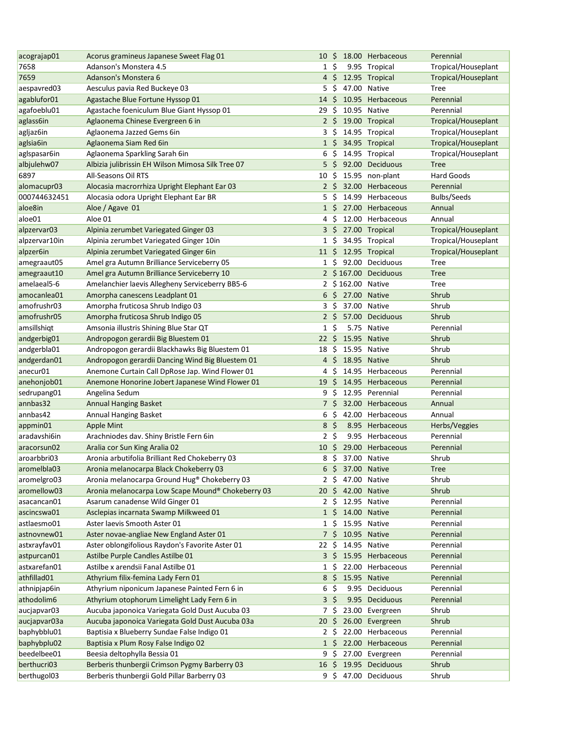| acograjap01              | Acorus gramineus Japanese Sweet Flag 01               | 10               |                |                   | \$ 18.00 Herbaceous   | Perennial                  |
|--------------------------|-------------------------------------------------------|------------------|----------------|-------------------|-----------------------|----------------------------|
| 7658                     | Adanson's Monstera 4.5                                | $1\,$ \$         |                |                   | 9.95 Tropical         | Tropical/Houseplant        |
| 7659                     | Adanson's Monstera 6                                  |                  |                |                   | 4 \$ 12.95 Tropical   | Tropical/Houseplant        |
| aespavred03              | Aesculus pavia Red Buckeye 03                         | 5                | - \$           | 47.00 Native      |                       | Tree                       |
| agablufor01              | Agastache Blue Fortune Hyssop 01                      | $14 \text{ }$    |                |                   | 10.95 Herbaceous      | Perennial                  |
| agafoeblu01              | Agastache foeniculum Blue Giant Hyssop 01             | 29               | \$             |                   | 10.95 Native          | Perennial                  |
| aglass6in                | Aglaonema Chinese Evergreen 6 in                      |                  |                |                   | 2 \$ 19.00 Tropical   | Tropical/Houseplant        |
| agljaz6in                | Aglaonema Jazzed Gems 6in                             | $3\,$ \$         |                |                   | 14.95 Tropical        | Tropical/Houseplant        |
| aglsia6in                | Aglaonema Siam Red 6in                                | $1\overline{5}$  |                |                   | 34.95 Tropical        | Tropical/Houseplant        |
| aglspasar6in             | Aglaonema Sparkling Sarah 6in                         |                  | $6\;$ \$       |                   | 14.95 Tropical        | Tropical/Houseplant        |
| albjulehw07              | Albizia julibrissin EH Wilson Mimosa Silk Tree 07     |                  |                |                   | 92.00 Deciduous       | <b>Tree</b>                |
| 6897                     | All-Seasons Oil RTS                                   | $10 \; \text{S}$ |                |                   | 15.95 non-plant       | Hard Goods                 |
| alomacupr03              | Alocasia macrorrhiza Upright Elephant Ear 03          |                  | $2\frac{1}{2}$ |                   | 32.00 Herbaceous      | Perennial                  |
| 000744632451             | Alocasia odora Upright Elephant Ear BR                | 5                | - \$           |                   | 14.99 Herbaceous      | <b>Bulbs/Seeds</b>         |
| aloe8in                  | Aloe / Agave 01                                       | $1\,$ \$         |                |                   | 27.00 Herbaceous      | Annual                     |
| aloe01                   | Aloe 01                                               | 4 S              |                |                   | 12.00 Herbaceous      | Annual                     |
| alpzervar03              | Alpinia zerumbet Variegated Ginger 03                 | $3\,$ \$         |                |                   | 27.00 Tropical        | Tropical/Houseplant        |
| alpzervar10in            | Alpinia zerumbet Variegated Ginger 10in               | $1\;$ \$         |                |                   | 34.95 Tropical        | Tropical/Houseplant        |
| alpzer6in                | Alpinia zerumbet Variegated Ginger 6in                | $11 \pm$         |                |                   | 12.95 Tropical        | Tropical/Houseplant        |
| amegraaut05              | Amel gra Autumn Brilliance Serviceberry 05            | 1 S              |                |                   | 92.00 Deciduous       | Tree                       |
| amegraaut10              | Amel gra Autumn Brilliance Serviceberry 10            |                  |                |                   | 2 \$167.00 Deciduous  | <b>Tree</b>                |
| amelaeal5-6              | Amelanchier laevis Allegheny Serviceberry BB5-6       |                  |                | 2 \$162.00 Native |                       | Tree                       |
| amocanlea01              | Amorpha canescens Leadplant 01                        | 6                | \$             | 27.00 Native      |                       | Shrub                      |
| amofrushr03              | Amorpha fruticosa Shrub Indigo 03                     | 3\$              |                | 37.00 Native      |                       | Shrub                      |
| amofrushr05              | Amorpha fruticosa Shrub Indigo 05                     | 2 <sup>5</sup>   |                |                   | 57.00 Deciduous       | Shrub                      |
| amsillshiqt              | Amsonia illustris Shining Blue Star QT                | $1\;$ \$         |                |                   | 5.75 Native           | Perennial                  |
| andgerbig01              | Andropogon gerardii Big Bluestem 01                   | $22 \div$        |                | 15.95 Native      |                       | Shrub                      |
| andgerbla01              | Andropogon gerardii Blackhawks Big Bluestem 01        | 18               | - \$           | 15.95 Native      |                       | Shrub                      |
| andgerdan01              | Andropogon gerardii Dancing Wind Big Bluestem 01      | $4\,$ \$         |                | 18.95 Native      |                       | Shrub                      |
| anecur01                 | Anemone Curtain Call DpRose Jap. Wind Flower 01       | 4                | \$             |                   | 14.95 Herbaceous      | Perennial                  |
| anehonjob01              | Anemone Honorine Jobert Japanese Wind Flower 01       | 19               | S.             |                   | 14.95 Herbaceous      | Perennial                  |
| sedrupang01              | Angelina Sedum                                        | 9\$              |                |                   | 12.95 Perennial       | Perennial                  |
| annbas32                 |                                                       | 7\$              |                |                   | 32.00 Herbaceous      | Annual                     |
| annbas42                 | <b>Annual Hanging Basket</b>                          | 6                | \$             |                   | 42.00 Herbaceous      | Annual                     |
|                          | Annual Hanging Basket                                 | 8                | - \$           |                   | 8.95 Herbaceous       |                            |
| appmin01<br>aradavshi6in | Apple Mint<br>Arachniodes dav. Shiny Bristle Fern 6in | $2 \;$ \$        |                |                   | 9.95 Herbaceous       | Herbs/Veggies<br>Perennial |
|                          |                                                       |                  |                |                   |                       |                            |
| aracorsun02              | Aralia cor Sun King Aralia 02                         | $10\,$ \$        |                |                   | 29.00 Herbaceous      | Perennial                  |
| aroarbbri03              | Aronia arbutifolia Brilliant Red Chokeberry 03        |                  |                | 8 \$ 37.00 Native |                       | Shrub                      |
| aromelbla03              | Aronia melanocarpa Black Chokeberry 03                | 6                | - \$           | 37.00 Native      |                       | <b>Tree</b>                |
| aromelgro03              | Aronia melanocarpa Ground Hug® Chokeberry 03          | 2 \$             |                |                   | 47.00 Native          | Shrub                      |
| aromellow03              | Aronia melanocarpa Low Scape Mound® Chokeberry 03     | 20 \$            |                |                   | 42.00 Native          | Shrub                      |
| asacancan01              | Asarum canadense Wild Ginger 01                       | 2 \$             |                |                   | 12.95 Native          | Perennial                  |
| ascincswa01              | Asclepias incarnata Swamp Milkweed 01                 | $1\;$ \$         |                |                   | 14.00 Native          | Perennial                  |
| astlaesmo01              | Aster laevis Smooth Aster 01                          | $1\,$ \$         |                |                   | 15.95 Native          | Perennial                  |
| astnovnew01              | Aster novae-angliae New England Aster 01              | 7\$              |                |                   | 10.95 Native          | Perennial                  |
| astxrayfav01             | Aster oblongifolious Raydon's Favorite Aster 01       | 22 S             |                |                   | 14.95 Native          | Perennial                  |
| astpurcan01              | Astilbe Purple Candles Astilbe 01                     | $3\,$ S          |                |                   | 15.95 Herbaceous      | Perennial                  |
| astxarefan01             | Astilbe x arendsii Fanal Astilbe 01                   | $1\,$ \$         |                |                   | 22.00 Herbaceous      | Perennial                  |
| athfillad01              | Athyrium filix-femina Lady Fern 01                    | 8                | $\zeta$        |                   | 15.95 Native          | Perennial                  |
| athnipjap6in             | Athyrium niponicum Japanese Painted Fern 6 in         | 6                | \$             |                   | 9.95 Deciduous        | Perennial                  |
| athodolim6               | Athyrium otophorum Limelight Lady Fern 6 in           | 3 <sup>5</sup>   |                |                   | 9.95 Deciduous        | Perennial                  |
| aucjapvar03              | Aucuba japonoica Variegata Gold Dust Aucuba 03        | 7\$              |                |                   | 23.00 Evergreen       | Shrub                      |
| aucjapvar03a             | Aucuba japonoica Variegata Gold Dust Aucuba 03a       | $20 \; \text{S}$ |                |                   | 26.00 Evergreen       | Shrub                      |
| baphybblu01              | Baptisia x Blueberry Sundae False Indigo 01           | 2 S              |                |                   | 22.00 Herbaceous      | Perennial                  |
| baphybplu02              | Baptisia x Plum Rosy False Indigo 02                  |                  |                |                   | 1 \$ 22.00 Herbaceous | Perennial                  |
| beedelbee01              | Beesia deltophylla Bessia 01                          | 9\$              |                |                   | 27.00 Evergreen       | Perennial                  |
| berthucri03              | Berberis thunbergii Crimson Pygmy Barberry 03         | 16 \$            |                |                   | 19.95 Deciduous       | Shrub                      |
| berthugol03              | Berberis thunbergii Gold Pillar Barberry 03           |                  |                |                   | 9 \$ 47.00 Deciduous  | Shrub                      |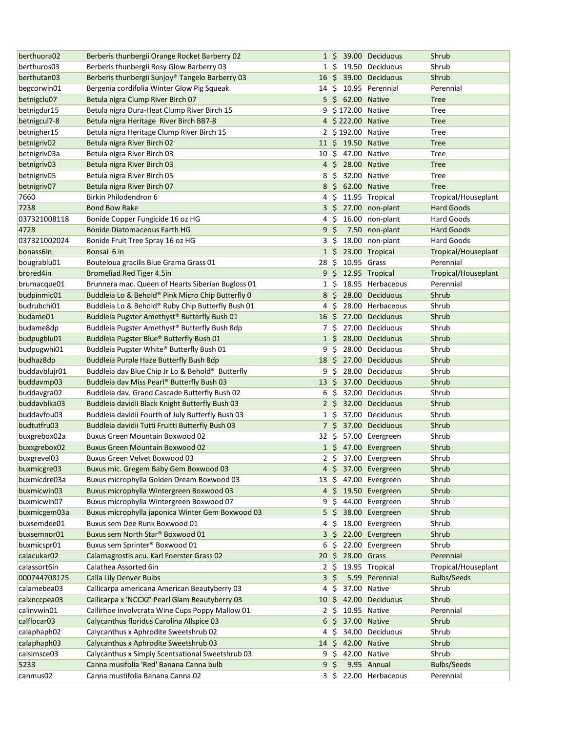| berthuora02             | Berberis thunbergii Orange Rocket Barberry 02     |                 |                |                    | 1 \$ 39.00 Deciduous  | Shrub               |
|-------------------------|---------------------------------------------------|-----------------|----------------|--------------------|-----------------------|---------------------|
| berthuros03             | Berberis thunbergii Rosy Glow Barberry 03         |                 |                |                    | 1 \$ 19.50 Deciduous  | Shrub               |
| berthutan03             | Berberis thunbergii Sunjoy® Tangelo Barberry 03   |                 |                |                    | 16 \$ 39.00 Deciduous | Shrub               |
| begcorwin01             | Bergenia cordifolia Winter Glow Pig Squeak        | 14 S            |                |                    | 10.95 Perennial       | Perennial           |
| betnigclu07             | Betula nigra Clump River Birch 07                 |                 |                | 5 \$ 62.00 Native  |                       | <b>Tree</b>         |
| betnigdur15             | Betula nigra Dura-Heat Clump River Birch 15       |                 |                | 9 \$172.00 Native  |                       | <b>Tree</b>         |
| betnigcul7-8            | Betula nigra Heritage River Birch BB7-8           |                 |                | 4 \$222.00 Native  |                       | <b>Tree</b>         |
| betnigher15             | Betula nigra Heritage Clump River Birch 15        |                 |                | 2 \$192.00 Native  |                       | Tree                |
| betnigriv <sub>02</sub> | Betula nigra River Birch 02                       |                 |                | 11 \$ 19.50 Native |                       | <b>Tree</b>         |
| betnigriv03a            | Betula nigra River Birch 03                       | 10 \$           |                | 47.00 Native       |                       | Tree                |
| betnigriv <sub>03</sub> | Betula nigra River Birch 03                       |                 |                | 4 \$ 28.00 Native  |                       | <b>Tree</b>         |
| betnigriv05             | Betula nigra River Birch 05                       | 8\$             |                |                    | 32.00 Native          | Tree                |
| betnigriv07             | Betula nigra River Birch 07                       |                 |                | 8 \$ 62.00 Native  |                       | <b>Tree</b>         |
| 7660                    | Birkin Philodendron 6                             | 4\$             |                |                    | 11.95 Tropical        | Tropical/Houseplant |
| 7238                    | <b>Bond Bow Rake</b>                              |                 |                |                    | 3 \$ 27.00 non-plant  | <b>Hard Goods</b>   |
| 037321008118            | Bonide Copper Fungicide 16 oz HG                  | 4\$             |                |                    | 16.00 non-plant       | Hard Goods          |
| 4728                    | <b>Bonide Diatomaceous Earth HG</b>               | 9 <sup>5</sup>  |                |                    | 7.50 non-plant        | <b>Hard Goods</b>   |
| 037321002024            | Bonide Fruit Tree Spray 16 oz HG                  | 3\$             |                |                    | 18.00 non-plant       | Hard Goods          |
| bonass6in               | Bonsai 6 in                                       | $1\overline{5}$ |                |                    | 23.00 Tropical        | Tropical/Houseplant |
| bougrablu01             | Bouteloua gracilis Blue Grama Grass 01            | 28              | \$             | 10.95 Grass        |                       | Perennial           |
| brored4in               | Bromeliad Red Tiger 4.5in                         | 9               | S              |                    | 12.95 Tropical        | Tropical/Houseplant |
| brumacque01             | Brunnera mac. Queen of Hearts Siberian Bugloss 01 | 1 S             |                |                    | 18.95 Herbaceous      | Perennial           |
| budpinmic01             | Buddleia Lo & Behold® Pink Micro Chip Butterfly 0 | 8               | -\$            |                    | 28.00 Deciduous       | Shrub               |
| budrubchi01             | Buddleia Lo & Behold® Ruby Chip Butterfly Bush 01 | 4               | Ŝ.             |                    | 28.00 Herbaceous      | Shrub               |
| budame01                | Buddleia Pugster Amethyst® Butterfly Bush 01      | 16              | \$             |                    | 27.00 Deciduous       | Shrub               |
| budame8dp               | Buddleia Pugster Amethyst® Butterfly Bush 8dp     | 7 S             |                |                    | 27.00 Deciduous       | Shrub               |
| budpugblu01             | Buddleia Pugster Blue® Butterfly Bush 01          | $1\,$ \$        |                |                    | 28.00 Deciduous       | Shrub               |
| budpugwhi01             | Buddleia Pugster White® Butterfly Bush 01         | 9               | Ŝ.             |                    | 28.00 Deciduous       | Shrub               |
| budhaz8dp               | Buddleia Purple Haze Butterfly Bush 8dp           |                 |                |                    | 18 \$ 27.00 Deciduous | Shrub               |
| buddavblujr01           | Buddleia dav Blue Chip Jr Lo & Behold® Butterfly  | 9               | -\$            |                    | 28.00 Deciduous       | Shrub               |
| buddavmp03              | Buddleia dav Miss Pearl® Butterfly Bush 03        | 13              | S.             |                    | 37.00 Deciduous       | Shrub               |
| buddavgra02             | Buddleia dav. Grand Cascade Butterfly Bush 02     | 6               | - \$           |                    | 32.00 Deciduous       | Shrub               |
| buddavblka03            | Buddleia davidii Black Knight Butterfly Bush 03   | 2 <sup>5</sup>  |                |                    | 32.00 Deciduous       | Shrub               |
| buddavfou03             | Buddleia davidii Fourth of July Butterfly Bush 03 | $1\,$ \$        |                |                    | 37.00 Deciduous       | Shrub               |
| budtutfru03             | Buddleia davidii Tutti Fruitti Butterfly Bush 03  |                 | 7\$            |                    | 37.00 Deciduous       | Shrub               |
| buxgrebox02a            | <b>Buxus Green Mountain Boxwood 02</b>            | 32 S            |                |                    | 57.00 Evergreen       | Shrub               |
| buxxgrebox02            | <b>Buxus Green Mountain Boxwood 02</b>            |                 |                |                    | 1 \$ 47.00 Evergreen  | Shrub               |
| buxgrevel03             | Buxus Green Velvet Boxwood 03                     |                 |                |                    | 2 \$ 37.00 Evergreen  | Shrub               |
| buxmicgre03             | Buxus mic. Gregem Baby Gem Boxwood 03             |                 |                |                    | 4 \$ 37.00 Evergreen  | Shrub               |
| buxmicdre03a            | Buxus microphylla Golden Dream Boxwood 03         | 13 S            |                |                    | 47.00 Evergreen       | Shrub               |
| buxmicwin03             | Buxus microphylla Wintergreen Boxwood 03          |                 |                |                    | 4 \$ 19.50 Evergreen  | Shrub               |
| buxmicwin07             | Buxus microphylla Wintergreen Boxwood 07          | 9               | -S             |                    | 44.00 Evergreen       | Shrub               |
| buxmicgem03a            | Buxus microphylla japonica Winter Gem Boxwood 03  |                 | 5\$            |                    | 38.00 Evergreen       | Shrub               |
| buxsemdee01             | Buxus sem Dee Runk Boxwood 01                     | 4               | -S             |                    | 18.00 Evergreen       | Shrub               |
| buxsemnor01             | Buxus sem North Star® Boxwood 01                  | 3\$             |                |                    | 22.00 Evergreen       | Shrub               |
| buxmicspr01             | Buxus sem Sprinter® Boxwood 01                    | 6               | S              |                    | 22.00 Evergreen       | Shrub               |
| calacukar02             | Calamagrostis acu. Karl Foerster Grass 02         | 20 \$           |                | 28.00 Grass        |                       | Perennial           |
| calassort6in            | Calathea Assorted 6in                             | $2 \sqrt{5}$    |                |                    | 19.95 Tropical        | Tropical/Houseplant |
| 000744708125            | Calla Lily Denver Bulbs                           | 3               | \$.            |                    | 5.99 Perennial        | <b>Bulbs/Seeds</b>  |
| calamebea03             | Callicarpa americana American Beautyberry 03      | 4               | \$             |                    | 37.00 Native          | Shrub               |
| calxnccpea03            | Callicarpa x 'NCCXZ' Pearl Glam Beautyberry 03    | 10              | \$             |                    | 42.00 Deciduous       | Shrub               |
| calinvwin01             | Callirhoe involvcrata Wine Cups Poppy Mallow 01   | $2 \sqrt{5}$    |                |                    | 10.95 Native          | Perennial           |
| calflocar03             | Calycanthus floridus Carolina Allspice 03         |                 | $6\frac{1}{2}$ | 37.00 Native       |                       | Shrub               |
| calaphaph02             | Calycanthus x Aphrodite Sweetshrub 02             | 4\$             |                |                    | 34.00 Deciduous       | Shrub               |
| calaphaph03             | Calycanthus x Aphrodite Sweetshrub 03             |                 |                | 14 \$ 42.00 Native |                       | Shrub               |
| calsimsce03             | Calycanthus x Simply Scentsational Sweetshrub 03  | 9\$             |                |                    | 42.00 Native          | Shrub               |
| 5233                    | Canna musifolia 'Red' Banana Canna bulb           | $9\,$ \$        |                |                    | 9.95 Annual           | <b>Bulbs/Seeds</b>  |
| canmus02                | Canna mustifolia Banana Canna 02                  |                 | 3\$            |                    | 22.00 Herbaceous      | Perennial           |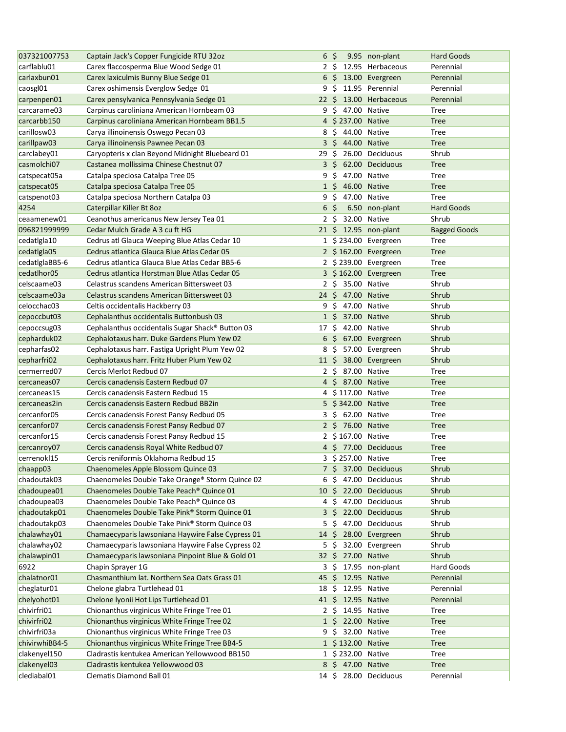| 037321007753   | Captain Jack's Copper Fungicide RTU 32oz          | $6\;$ \$         |      |                    | 9.95 non-plant         | <b>Hard Goods</b>   |
|----------------|---------------------------------------------------|------------------|------|--------------------|------------------------|---------------------|
| carflablu01    | Carex flaccosperma Blue Wood Sedge 01             | 2 <sup>5</sup>   |      |                    | 12.95 Herbaceous       | Perennial           |
| carlaxbun01    | Carex laxiculmis Bunny Blue Sedge 01              |                  |      |                    | 6 \$ 13.00 Evergreen   | Perennial           |
| caosgl01       | Carex oshimensis Everglow Sedge 01                | 9                | - \$ |                    | 11.95 Perennial        | Perennial           |
| carpenpen01    | Carex pensylvanica Pennsylvania Sedge 01          |                  |      |                    | 22 \$ 13.00 Herbaceous | Perennial           |
| carcarame03    | Carpinus caroliniana American Hornbeam 03         | $9\,$ \$         |      | 47.00 Native       |                        | Tree                |
| carcarbb150    | Carpinus caroliniana American Hornbeam BB1.5      |                  |      | 4 \$237.00 Native  |                        | <b>Tree</b>         |
| carillosw03    | Carya illinoinensis Oswego Pecan 03               | 8                |      | \$ 44.00 Native    |                        | Tree                |
| carillpaw03    | Carya illinoinensis Pawnee Pecan 03               |                  |      | 3 \$ 44.00 Native  |                        | <b>Tree</b>         |
| carclabey01    | Caryopteris x clan Beyond Midnight Bluebeard 01   | 29\$             |      |                    | 26.00 Deciduous        | Shrub               |
| casmolchi07    | Castanea mollissima Chinese Chestnut 07           | $3\,$ \$         |      |                    | 62.00 Deciduous        | <b>Tree</b>         |
| catspecat05a   | Catalpa speciosa Catalpa Tree 05                  | 9\$              |      |                    | 47.00 Native           | Tree                |
| catspecat05    | Catalpa speciosa Catalpa Tree 05                  |                  |      | 1 \$ 46.00 Native  |                        | <b>Tree</b>         |
| catspenot03    | Catalpa speciosa Northern Catalpa 03              | 9\$              |      |                    | 47.00 Native           | Tree                |
| 4254           | Caterpillar Killer Bt 8oz                         | 6 <sup>5</sup>   |      |                    | 6.50 non-plant         | Hard Goods          |
| ceaamenew01    | Ceanothus americanus New Jersey Tea 01            | $2\,$ \$         |      | 32.00 Native       |                        | Shrub               |
| 096821999999   | Cedar Mulch Grade A 3 cu ft HG                    |                  |      |                    | 21 \$ 12.95 non-plant  | <b>Bagged Goods</b> |
|                |                                                   |                  |      |                    |                        |                     |
| cedatIgla10    | Cedrus atl Glauca Weeping Blue Atlas Cedar 10     |                  |      |                    | 1 \$234.00 Evergreen   | Tree                |
| cedatlgla05    | Cedrus atlantica Glauca Blue Atlas Cedar 05       |                  |      |                    | 2 \$162.00 Evergreen   | <b>Tree</b>         |
| cedatlglaBB5-6 | Cedrus atlantica Glauca Blue Atlas Cedar BB5-6    |                  |      |                    | 2 \$239.00 Evergreen   | Tree                |
| cedatlhor05    | Cedrus atlantica Horstman Blue Atlas Cedar 05     |                  |      |                    | 3 \$162.00 Evergreen   | <b>Tree</b>         |
| celscaame03    | Celastrus scandens American Bittersweet 03        | $2 \cdot$ \$     |      | 35.00 Native       |                        | Shrub               |
| celscaame03a   | Celastrus scandens American Bittersweet 03        |                  |      | 24 \$ 47.00 Native |                        | Shrub               |
| celocchac03    | Celtis occidentalis Hackberry 03                  | 9                |      | \$ 47.00 Native    |                        | Shrub               |
| cepoccbut03    | Cephalanthus occidentalis Buttonbush 03           | $1\;$ \$         |      | 37.00 Native       |                        | Shrub               |
| cepoccsug03    | Cephalanthus occidentalis Sugar Shack® Button 03  | 17\$             |      |                    | 42.00 Native           | Shrub               |
| cepharduk02    | Cephalotaxus harr. Duke Gardens Plum Yew 02       | 6                |      |                    | \$ 67.00 Evergreen     | Shrub               |
| cepharfas02    | Cephalotaxus harr. Fastiga Upright Plum Yew 02    | 8                | -\$  |                    | 57.00 Evergreen        | Shrub               |
| cepharfri02    | Cephalotaxus harr. Fritz Huber Plum Yew 02        | $11 \; \text{S}$ |      |                    | 38.00 Evergreen        | Shrub               |
| cermerred07    | Cercis Merlot Redbud 07                           |                  |      | 2 \$ 87.00 Native  |                        | Tree                |
| cercaneas07    | Cercis canadensis Eastern Redbud 07               |                  |      | 4 \$ 87.00 Native  |                        | <b>Tree</b>         |
| cercaneas15    | Cercis canadensis Eastern Redbud 15               |                  |      | 4 \$117.00 Native  |                        | Tree                |
| cercaneas2in   | Cercis canadensis Eastern Redbud BB2in            |                  |      | 5 \$342.00 Native  |                        | <b>Tree</b>         |
| cercanfor05    | Cercis canadensis Forest Pansy Redbud 05          |                  |      | 3 \$ 62.00 Native  |                        | Tree                |
| cercanfor07    | Cercis canadensis Forest Pansy Redbud 07          |                  |      | 2 \$ 76.00 Native  |                        | <b>Tree</b>         |
| cercanfor15    | Cercis canadensis Forest Pansy Redbud 15          |                  |      | 2 \$167.00 Native  |                        | Tree                |
| cercanroy07    | Cercis canadensis Royal White Redbud 07           |                  |      |                    | 4 \$ 77.00 Deciduous   | <b>Tree</b>         |
| cerrenokl15    | Cercis reniformis Oklahoma Redbud 15              |                  |      | 3 \$ 257.00 Native |                        | Tree                |
| chaapp03       | Chaenomeles Apple Blossom Quince 03               |                  |      |                    | 7 \$ 37.00 Deciduous   | Shrub               |
| chadoutak03    | Chaenomeles Double Take Orange® Storm Quince 02   | 6\$              |      |                    | 47.00 Deciduous        | Shrub               |
| chadoupea01    | Chaenomeles Double Take Peach® Quince 01          | 10 <sup>5</sup>  |      |                    | 22.00 Deciduous        | Shrub               |
| chadoupea03    | Chaenomeles Double Take Peach® Quince 03          | $4\,$ \$         |      |                    | 47.00 Deciduous        | Shrub               |
| chadoutakp01   | Chaenomeles Double Take Pink® Storm Quince 01     | $3\,$ \$         |      |                    | 22.00 Deciduous        | Shrub               |
| chadoutakp03   | Chaenomeles Double Take Pink® Storm Quince 03     | 5                | \$   |                    | 47.00 Deciduous        | Shrub               |
| chalawhay01    | Chamaecyparis lawsoniana Haywire False Cypress 01 | 14 \$            |      |                    | 28.00 Evergreen        | Shrub               |
| chalawhay02    | Chamaecyparis lawsoniana Haywire False Cypress 02 | 5\$              |      |                    | 32.00 Evergreen        | Shrub               |
| chalawpin01    | Chamaecyparis lawsoniana Pinpoint Blue & Gold 01  |                  |      | 32 \$ 27.00 Native |                        | Shrub               |
| 6922           | Chapin Sprayer 1G                                 | 3\$              |      |                    | 17.95 non-plant        | Hard Goods          |
| chalatnor01    | Chasmanthium lat. Northern Sea Oats Grass 01      |                  |      | 45 \$ 12.95 Native |                        | Perennial           |
| cheglatur01    | Chelone glabra Turtlehead 01                      | 18               | -S   | 12.95 Native       |                        | Perennial           |
| chelyohot01    | Chelone Iyonii Hot Lips Turtlehead 01             |                  |      | 41 \$ 12.95 Native |                        | Perennial           |
| chivirfri01    | Chionanthus virginicus White Fringe Tree 01       |                  |      | 2 \$ 14.95 Native  |                        | <b>Tree</b>         |
| chivirfri02    | Chionanthus virginicus White Fringe Tree 02       |                  |      | 1 \$ 22.00 Native  |                        | <b>Tree</b>         |
| chivirfri03a   | Chionanthus virginicus White Fringe Tree 03       | 9\$              |      | 32.00 Native       |                        | <b>Tree</b>         |
| chivirwhiBB4-5 | Chionanthus virginicus White Fringe Tree BB4-5    |                  |      | 1 \$132.00 Native  |                        | <b>Tree</b>         |
| clakenyel150   | Cladrastis kentukea American Yellowwood BB150     |                  |      | 1 \$232.00 Native  |                        | <b>Tree</b>         |
| clakenyel03    | Cladrastis kentukea Yellowwood 03                 |                  |      | 8 \$ 47.00 Native  |                        | <b>Tree</b>         |
| clediabal01    | Clematis Diamond Ball 01                          | 14\$             |      |                    | 28.00 Deciduous        | Perennial           |
|                |                                                   |                  |      |                    |                        |                     |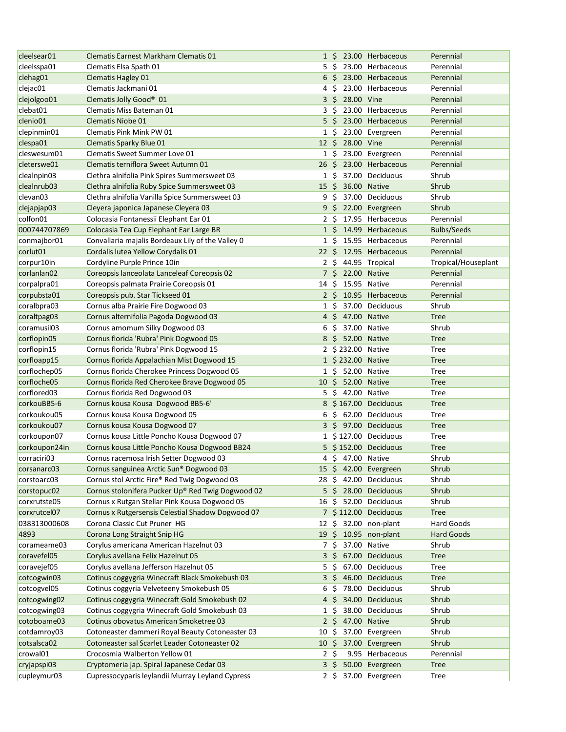| cleelsear01                | Clematis Earnest Markham Clematis 01              |                 |           |                   | 1 \$ 23.00 Herbaceous    | Perennial           |
|----------------------------|---------------------------------------------------|-----------------|-----------|-------------------|--------------------------|---------------------|
| cleelsspa01                | Clematis Elsa Spath 01                            | 5               | - Ś       |                   | 23.00 Herbaceous         | Perennial           |
| clehag01                   | <b>Clematis Hagley 01</b>                         | 6               | - \$      |                   | 23.00 Herbaceous         | Perennial           |
| clejac01                   | Clematis Jackmani 01                              | 4               | -\$       |                   | 23.00 Herbaceous         | Perennial           |
| clejolgoo01                | Clematis Jolly Good <sup>®</sup> 01               | $3\overline{5}$ |           | 28.00 Vine        |                          | Perennial           |
| clebat01                   | Clematis Miss Bateman 01                          | 3               | -\$       |                   | 23.00 Herbaceous         | Perennial           |
| clenio01                   | <b>Clematis Niobe 01</b>                          | $5\frac{1}{2}$  |           |                   | 23.00 Herbaceous         | Perennial           |
| clepinmin01                | Clematis Pink Mink PW 01                          | $1\;$ \$        |           |                   | 23.00 Evergreen          | Perennial           |
| clespa01                   | Clematis Sparky Blue 01                           | $12 \div$       |           | 28.00 Vine        |                          | Perennial           |
| cleswesum01                | Clematis Sweet Summer Love 01                     |                 | $1 \;$ \$ |                   | 23.00 Evergreen          | Perennial           |
| cleterswe01                | Clematis terniflora Sweet Autumn 01               | 26 \$           |           |                   | 23.00 Herbaceous         | Perennial           |
| clealnpin03                | Clethra alnifolia Pink Spires Summersweet 03      |                 | 1\$       |                   | 37.00 Deciduous          | Shrub               |
| clealnrub03                | Clethra alnifolia Ruby Spice Summersweet 03       | $15 \; \xi$     |           |                   | 36.00 Native             | Shrub               |
| clevan <sub>03</sub>       | Clethra alnifolia Vanilla Spice Summersweet 03    | 9\$             |           |                   | 37.00 Deciduous          | Shrub               |
| clejapjap03                | Cleyera japonica Japanese Cleyera 03              | 9\$             |           |                   | 22.00 Evergreen          | Shrub               |
| colfon01                   | Colocasia Fontanessii Elephant Ear 01             | $2\overline{5}$ |           |                   | 17.95 Herbaceous         | Perennial           |
| 000744707869               | Colocasia Tea Cup Elephant Ear Large BR           | 1 <sup>5</sup>  |           |                   | 14.99 Herbaceous         | <b>Bulbs/Seeds</b>  |
| conmajbor01                | Convallaria majalis Bordeaux Lily of the Valley 0 | $1\,$ \$        |           |                   | 15.95 Herbaceous         | Perennial           |
| corlut01                   | Cordalis lutea Yellow Corydalis 01                | $22 \,$ \$      |           |                   | 12.95 Herbaceous         | Perennial           |
| corpur10in                 | Cordyline Purple Prince 10in                      | $2\sqrt{5}$     |           |                   | 44.95 Tropical           | Tropical/Houseplant |
| corlanlan02                | Coreopsis lanceolata Lanceleaf Coreopsis 02       | 7\$             |           | 22.00 Native      |                          | Perennial           |
|                            |                                                   |                 |           |                   |                          | Perennial           |
| corpalpra01<br>corpubsta01 | Coreopsis palmata Prairie Coreopsis 01            | 14              | Ŝ.        |                   | 15.95 Native             |                     |
|                            | Coreopsis pub. Star Tickseed 01                   | $2\overline{5}$ |           |                   | 10.95 Herbaceous         | Perennial           |
| coralbpra03                | Cornus alba Prairie Fire Dogwood 03               | $1\,$ \$        |           |                   | 37.00 Deciduous          | Shrub               |
| coraltpag03                | Cornus alternifolia Pagoda Dogwood 03             |                 |           | 4 \$ 47.00 Native |                          | <b>Tree</b>         |
| coramusil03                | Cornus amomum Silky Dogwood 03                    | 6               | \$        |                   | 37.00 Native             | Shrub               |
| corflopin05                | Cornus florida 'Rubra' Pink Dogwood 05            | 8               |           | \$ 52.00 Native   |                          | <b>Tree</b>         |
| corflopin15                | Cornus florida 'Rubra' Pink Dogwood 15            |                 |           | 2 \$232.00 Native |                          | <b>Tree</b>         |
| corfloapp15                | Cornus florida Appalachian Mist Dogwood 15        |                 |           | 1 \$232.00 Native |                          | <b>Tree</b>         |
| corflochep05               | Cornus florida Cherokee Princess Dogwood 05       | $1\;$ \$        |           | 52.00 Native      |                          | <b>Tree</b>         |
| corfloche05                | Cornus florida Red Cherokee Brave Dogwood 05      | $10\frac{1}{5}$ |           |                   | 52.00 Native             | <b>Tree</b>         |
| corflored03                | Cornus florida Red Dogwood 03                     |                 |           | 5 \$ 42.00 Native |                          | Tree                |
| corkouBB5-6                | Cornus kousa Kousa Dogwood BB5-6'                 |                 |           |                   | 8 \$167.00 Deciduous     | <b>Tree</b>         |
| corkoukou05                | Cornus kousa Kousa Dogwood 05                     |                 |           |                   | $6\,$ \$ 62.00 Deciduous | Tree                |
| corkoukou07                | Cornus kousa Kousa Dogwood 07                     |                 |           |                   | 3 \$ 97.00 Deciduous     | <b>Tree</b>         |
| corkoupon07                | Cornus kousa Little Poncho Kousa Dogwood 07       |                 |           |                   | 1 \$127.00 Deciduous     | <b>Tree</b>         |
| corkoupon24in              | Cornus kousa Little Poncho Kousa Dogwood BB24     |                 |           |                   | 5 \$152.00 Deciduous     | <b>Tree</b>         |
| corraciri03                | Cornus racemosa Irish Setter Dogwood 03           |                 |           | 4 \$ 47.00 Native |                          | Shrub               |
| corsanarc03                | Cornus sanguinea Arctic Sun® Dogwood 03           |                 |           |                   | 15 \$ 42.00 Evergreen    | Shrub               |
| corstoarc03                | Cornus stol Arctic Fire® Red Twig Dogwood 03      | 28 Ş            |           |                   | 42.00 Deciduous          | Shrub               |
| corstopuc02                | Cornus stolonifera Pucker Up® Red Twig Dogwood 02 |                 | 5\$       |                   | 28.00 Deciduous          | Shrub               |
| corxrutste05               | Cornus x Rutgan Stellar Pink Kousa Dogwood 05     | 16 \$           |           |                   | 52.00 Deciduous          | Shrub               |
| corxrutcel07               | Cornus x Rutgersensis Celestial Shadow Dogwood 07 |                 |           |                   | 7 \$112.00 Deciduous     | <b>Tree</b>         |
| 038313000608               | Corona Classic Cut Pruner HG                      | 12 Ş            |           |                   | 32.00 non-plant          | <b>Hard Goods</b>   |
| 4893                       | Corona Long Straight Snip HG                      | 19 S            |           |                   | 10.95 non-plant          | <b>Hard Goods</b>   |
| corameame03                | Corylus americana American Hazelnut 03            |                 | 7 S       |                   | 37.00 Native             | Shrub               |
| coravefel05                | Corylus avellana Felix Hazelnut 05                | $3\,$ \$        |           |                   | 67.00 Deciduous          | <b>Tree</b>         |
| coravejef05                | Corylus avellana Jefferson Hazelnut 05            | 5\$             |           |                   | 67.00 Deciduous          | <b>Tree</b>         |
| cotcogwin03                | Cotinus coggygria Winecraft Black Smokebush 03    | $3\,$ \$        |           |                   | 46.00 Deciduous          | <b>Tree</b>         |
| cotcogvel05                | Cotinus coggyria Velveteeny Smokebush 05          | 6               | -\$       |                   | 78.00 Deciduous          | Shrub               |
| cotcogwing02               | Cotinus coggygria Winecraft Gold Smokebush 02     | $4\overline{5}$ |           |                   | 34.00 Deciduous          | Shrub               |
| cotcogwing03               | Cotinus coggygria Winecraft Gold Smokebush 03     | $1\,$ S         |           |                   | 38.00 Deciduous          | Shrub               |
| cotoboame03                | Cotinus obovatus American Smoketree 03            |                 |           | 2 \$ 47.00 Native |                          | Shrub               |
| cotdamroy03                | Cotoneaster dammeri Royal Beauty Cotoneaster 03   | 10 \$           |           |                   | 37.00 Evergreen          | Shrub               |
| cotsalsca02                | Cotoneaster sal Scarlet Leader Cotoneaster 02     |                 |           |                   | 10 \$ 37.00 Evergreen    | Shrub               |
| crowal01                   | Crocosmia Walberton Yellow 01                     | $2\sqrt{5}$     |           |                   | 9.95 Herbaceous          | Perennial           |
| cryjapspi03                | Cryptomeria jap. Spiral Japanese Cedar 03         |                 | $3\,$ \$  |                   | 50.00 Evergreen          | <b>Tree</b>         |
| cupleymur03                | Cupressocyparis leylandii Murray Leyland Cypress  |                 |           |                   | 2 \$ 37.00 Evergreen     | <b>Tree</b>         |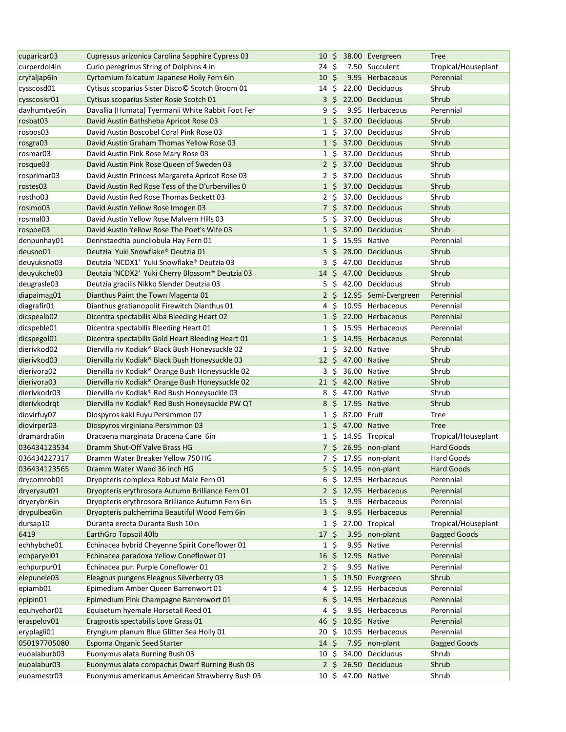| cuparicar03             | Cupressus arizonica Carolina Sapphire Cypress 03  |                  |                          |                   | 10 \$ 38.00 Evergreen | <b>Tree</b>         |
|-------------------------|---------------------------------------------------|------------------|--------------------------|-------------------|-----------------------|---------------------|
| curperdol4in            | Curio peregrinus String of Dolphins 4 in          | 24 \$            |                          |                   | 7.50 Succulent        | Tropical/Houseplant |
| cryfaljap6in            | Cyrtomium falcatum Japanese Holly Fern 6in        | 10 <sup>5</sup>  |                          |                   | 9.95 Herbaceous       | Perennial           |
| cysscosd01              | Cytisus scoparius Sister Disco© Scotch Broom 01   | 14\$             |                          |                   | 22.00 Deciduous       | Shrub               |
| cysscosisr01            | Cytisus scoparius Sister Rosie Scotch 01          |                  |                          |                   | 3 \$ 22.00 Deciduous  | Shrub               |
| davhumtye6in            | Davallia (Humata) Tyermanii White Rabbit Foot Fer | 9                | \$                       |                   | 9.95 Herbaceous       | Perennial           |
| rosbat03                |                                                   | $1\,$ \$         |                          |                   | 37.00 Deciduous       | Shrub               |
|                         | David Austin Bathsheba Apricot Rose 03            |                  |                          |                   |                       |                     |
| rosbos03                | David Austin Boscobel Coral Pink Rose 03          | $1\,$ \$         |                          |                   | 37.00 Deciduous       | Shrub               |
| rosgra03                | David Austin Graham Thomas Yellow Rose 03         | $1\overline{5}$  |                          |                   | 37.00 Deciduous       | Shrub               |
| rosmar03                | David Austin Pink Rose Mary Rose 03               | $1\;$ \$         |                          |                   | 37.00 Deciduous       | Shrub               |
| rosque03                | David Austin Pink Rose Queen of Sweden 03         |                  | 2 <sup>5</sup>           |                   | 37.00 Deciduous       | Shrub               |
| rosprimar03             | David Austin Princess Margareta Apricot Rose 03   | 2 <sup>5</sup>   |                          |                   | 37.00 Deciduous       | Shrub               |
| rostes03                | David Austin Red Rose Tess of the D'urbervilles 0 |                  | $1\,$ \$                 |                   | 37.00 Deciduous       | Shrub               |
| rostho03                | David Austin Red Rose Thomas Beckett 03           |                  | $2\,$ \$                 |                   | 37.00 Deciduous       | Shrub               |
| rosimo03                | David Austin Yellow Rose Imogen 03                |                  |                          |                   | 7 \$ 37.00 Deciduous  | Shrub               |
| rosmal03                | David Austin Yellow Rose Malvern Hills 03         | 5\$              |                          |                   | 37.00 Deciduous       | Shrub               |
| rospoe03                | David Austin Yellow Rose The Poet's Wife 03       | $1\,$ \$         |                          |                   | 37.00 Deciduous       | Shrub               |
| denpunhay01             | Dennstaedtia puncilobula Hay Fern 01              | $1\,$ \$         |                          |                   | 15.95 Native          | Perennial           |
| deusno01                | Deutzia Yuki Snowflake® Deutzia 01                | $5\,$ \$         |                          |                   | 28.00 Deciduous       | Shrub               |
| deuyuksno03             | Deutzia 'NCDX1' Yuki Snowflake® Deutzia 03        | $3\sqrt{5}$      |                          |                   | 47.00 Deciduous       | Shrub               |
| deuyukche03             | Deutzia 'NCDX2' Yuki Cherry Blossom® Deutzia 03   | $14 \text{ }$    |                          |                   | 47.00 Deciduous       | Shrub               |
| deugrasle03             | Deutzia gracilis Nikko Slender Deutzia 03         | 5                | Ŝ.                       |                   | 42.00 Deciduous       | Shrub               |
| diapaimag01             | Dianthus Paint the Town Magenta 01                | 2 <sub>5</sub>   |                          |                   | 12.95 Semi-Evergreen  | Perennial           |
| diagrafir01             | Dianthus gratianopolit Firewitch Dianthus 01      | 4                | -S                       |                   | 10.95 Herbaceous      | Perennial           |
|                         |                                                   | 1 <sup>5</sup>   |                          |                   | 22.00 Herbaceous      | Perennial           |
| dicspealb02             | Dicentra spectabilis Alba Bleeding Heart 02       |                  |                          |                   |                       |                     |
| dicspeble01             | Dicentra spectabilis Bleeding Heart 01            | $1\,$ \$         |                          |                   | 15.95 Herbaceous      | Perennial           |
| dicspegol01             | Dicentra spectabilis Gold Heart Bleeding Heart 01 | $1\,$ \$         |                          |                   | 14.95 Herbaceous      | Perennial           |
| dierivkod02             | Diervilla riv Kodiak® Black Bush Honeysuckle 02   | $1\,$ \$         |                          |                   | 32.00 Native          | Shrub               |
| dierivkod03             | Diervilla riv Kodiak® Black Bush Honeysuckle 03   |                  |                          |                   | 12 \$ 47.00 Native    | Shrub               |
| dierivora02             | Diervilla riv Kodiak® Orange Bush Honeysuckle 02  | $3\;$ \$         |                          |                   | 36.00 Native          | Shrub               |
| dierivora <sub>03</sub> | Diervilla riv Kodiak® Orange Bush Honeysuckle 02  | $21 \;$ \$       |                          |                   | 42.00 Native          | Shrub               |
| dierivkodr03            | Diervilla riv Kodiak® Red Bush Honeysuckle 03     |                  |                          | 8 \$ 47.00 Native |                       | Shrub               |
| dierivkodrgt            | Diervilla riv Kodiak® Red Bush Honeysuckle PW QT  | 8                | - \$                     |                   | 17.95 Native          | Shrub               |
| diovirfuy07             | Diospyros kaki Fuyu Persimmon 07                  | $1\;$ \$         |                          | 87.00 Fruit       |                       | <b>Tree</b>         |
| diovirper03             | Diospyros virginiana Persimmon 03                 | $1\overline{5}$  |                          |                   | 47.00 Native          | <b>Tree</b>         |
| dramardra6in            | Dracaena marginata Dracena Cane 6in               |                  |                          |                   | 1 \$ 14.95 Tropical   | Tropical/Houseplant |
| 036434123534            | Dramm Shut-Off Valve Brass HG                     |                  |                          |                   | 7 \$ 26.95 non-plant  | <b>Hard Goods</b>   |
| 036434227317            | Dramm Water Breaker Yellow 750 HG                 |                  |                          |                   | 7 \$ 17.95 non-plant  | Hard Goods          |
| 036434123565            | Dramm Water Wand 36 inch HG                       |                  |                          |                   | 5 \$ 14.95 non-plant  | <b>Hard Goods</b>   |
| drycomrob01             | Dryopteris complexa Robust Male Fern 01           | 6\$              |                          |                   | 12.95 Herbaceous      | Perennial           |
| dryeryaut01             | Dryopteris erythrosora Autumn Brilliance Fern 01  |                  | $2\frac{1}{2}$           |                   | 12.95 Herbaceous      | Perennial           |
| dryerybri6in            | Dryopteris erythrosora Brilliance Autumn Fern 6in | $15 \;$ \$       |                          |                   | 9.95 Herbaceous       | Perennial           |
| drypulbea6in            | Dryopteris pulcherrima Beautiful Wood Fern 6in    | $3\overline{5}$  |                          |                   | 9.95 Herbaceous       | Perennial           |
| dursap10                | Duranta erecta Duranta Bush 10in                  | 1 S              |                          |                   | 27.00 Tropical        | Tropical/Houseplant |
| 6419                    | EarthGro Topsoil 40lb                             | 17 S             |                          |                   | 3.95 non-plant        | <b>Bagged Goods</b> |
| echhybche01             | Echinacea hybrid Cheyenne Spirit Coneflower 01    | $1\;$ \$         |                          |                   | 9.95 Native           | Perennial           |
|                         |                                                   |                  |                          |                   |                       | Perennial           |
| echparyel01             | Echinacea paradoxa Yellow Coneflower 01           | 16               | \$                       |                   | 12.95 Native          |                     |
| echpurpur01             | Echinacea pur. Purple Coneflower 01               | $2\sqrt{5}$      |                          |                   | 9.95 Native           | Perennial           |
| elepunele03             | Eleagnus pungens Eleagnus Silverberry 03          | $1\,$ S          |                          |                   | 19.50 Evergreen       | Shrub               |
| epiamb01                | Epimedium Amber Queen Barrenwort 01               | 4                | S                        |                   | 12.95 Herbaceous      | Perennial           |
| epipin01                | Epimedium Pink Champagne Barrenwort 01            | 6                | S.                       |                   | 14.95 Herbaceous      | Perennial           |
| equhyehor01             | Equisetum hyemale Horsetail Reed 01               | 4                | \$                       |                   | 9.95 Herbaceous       | Perennial           |
| eraspelov01             | Eragrostis spectabilis Love Grass 01              | 46               | $\overline{\mathcal{S}}$ |                   | 10.95 Native          | Perennial           |
| eryplagli01             | Eryngium planum Blue Glitter Sea Holly 01         | 20               | Ŝ.                       |                   | 10.95 Herbaceous      | Perennial           |
| 050197705080            | Espoma Organic Seed Starter                       | $14 \; \text{S}$ |                          |                   | 7.95 non-plant        | <b>Bagged Goods</b> |
| euoalaburb03            | Euonymus alata Burning Bush 03                    | 10 \$            |                          |                   | 34.00 Deciduous       | Shrub               |
| euoalabur03             | Euonymus alata compactus Dwarf Burning Bush 03    |                  |                          |                   | 2 \$ 26.50 Deciduous  | Shrub               |
| euoamestr03             | Euonymus americanus American Strawberry Bush 03   |                  |                          |                   | 10 \$ 47.00 Native    | Shrub               |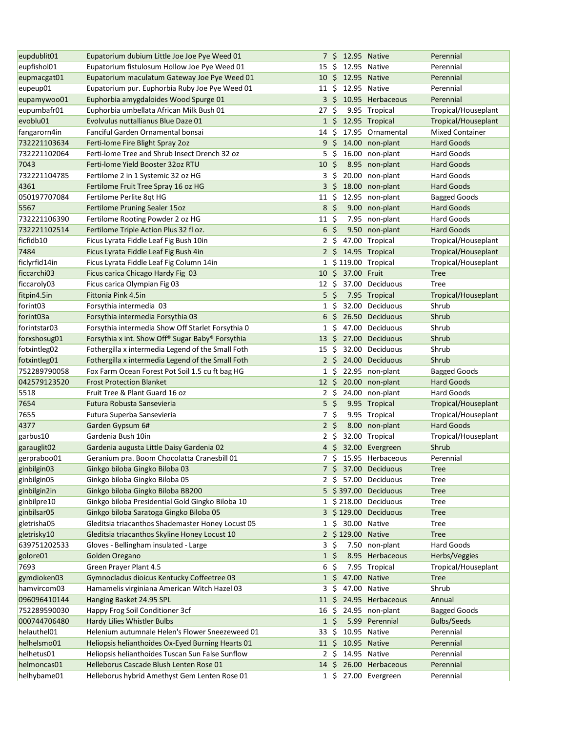| eupdublit01                | Eupatorium dubium Little Joe Joe Pye Weed 01                                             |                             |          | 7 \$ 12.95 Native  |                                                | Perennial                                |
|----------------------------|------------------------------------------------------------------------------------------|-----------------------------|----------|--------------------|------------------------------------------------|------------------------------------------|
| eupfishol01                | Eupatorium fistulosum Hollow Joe Pye Weed 01                                             | 15                          | -S       |                    | 12.95 Native                                   | Perennial                                |
| eupmacgat01                | Eupatorium maculatum Gateway Joe Pye Weed 01                                             |                             |          | 10 \$ 12.95 Native |                                                | Perennial                                |
| eupeup01                   | Eupatorium pur. Euphorbia Ruby Joe Pye Weed 01                                           | 11 \$                       |          | 12.95 Native       |                                                | Perennial                                |
| eupamywoo01                | Euphorbia amygdaloides Wood Spurge 01                                                    |                             |          |                    | 3 \$ 10.95 Herbaceous                          | Perennial                                |
| eupumbafr01                | Euphorbia umbellata African Milk Bush 01                                                 | 27                          | - \$     |                    | 9.95 Tropical                                  | Tropical/Houseplant                      |
| evoblu01                   | Evolvulus nuttallianus Blue Daze 01                                                      |                             |          |                    | 1 \$ 12.95 Tropical                            | Tropical/Houseplant                      |
| fangarorn4in               | Fanciful Garden Ornamental bonsai                                                        | 14                          | Ŝ.       |                    | 17.95 Ornamental                               | <b>Mixed Container</b>                   |
| 732221103634               | Ferti-lome Fire Blight Spray 2oz                                                         | 9 <sup>5</sup>              |          |                    | 14.00 non-plant                                | <b>Hard Goods</b>                        |
| 732221102064               | Ferti-lome Tree and Shrub Insect Drench 32 oz                                            | $5\;$ \$                    |          |                    | 16.00 non-plant                                | Hard Goods                               |
| 7043                       | Ferti-lome Yield Booster 32oz RTU                                                        | 10 <sup>5</sup>             |          |                    | 8.95 non-plant                                 | <b>Hard Goods</b>                        |
| 732221104785               | Fertilome 2 in 1 Systemic 32 oz HG                                                       | $3\frac{2}{7}$              |          |                    | 20.00 non-plant                                | Hard Goods                               |
| 4361                       | Fertilome Fruit Tree Spray 16 oz HG                                                      |                             |          |                    | 3 \$ 18.00 non-plant                           | <b>Hard Goods</b>                        |
| 050197707084               | Fertilome Perlite 8qt HG                                                                 | $11 \; \text{S}$            |          |                    | 12.95 non-plant                                | <b>Bagged Goods</b>                      |
| 5567                       | Fertilome Pruning Sealer 15oz                                                            | 8 <sup>5</sup>              |          |                    | 9.00 non-plant                                 | <b>Hard Goods</b>                        |
| 732221106390               | Fertilome Rooting Powder 2 oz HG                                                         | $11 \text{ }$               |          |                    | 7.95 non-plant                                 | Hard Goods                               |
| 732221102514               | Fertilome Triple Action Plus 32 fl oz.                                                   | 6 <sup>5</sup>              |          |                    | 9.50 non-plant                                 | <b>Hard Goods</b>                        |
| ficfidb10                  | Ficus Lyrata Fiddle Leaf Fig Bush 10in                                                   | 2 <sup>5</sup>              |          |                    | 47.00 Tropical                                 | Tropical/Houseplant                      |
| 7484                       | Ficus Lyrata Fiddle Leaf Fig Bush 4in                                                    | $2\sqrt{5}$                 |          |                    | 14.95 Tropical                                 | Tropical/Houseplant                      |
| ficlyrfid14in              | Ficus Lyrata Fiddle Leaf Fig Column 14in                                                 |                             |          |                    | 1 \$119.00 Tropical                            | Tropical/Houseplant                      |
| ficcarchi03                | Ficus carica Chicago Hardy Fig 03                                                        | 10 <sup>5</sup>             |          | 37.00 Fruit        |                                                | <b>Tree</b>                              |
| ficcaroly03                | Ficus carica Olympian Fig 03                                                             | 12 S                        |          |                    | 37.00 Deciduous                                | Tree                                     |
| fitpin4.5in                | Fittonia Pink 4.5in                                                                      | 5                           | -\$      |                    | 7.95 Tropical                                  | Tropical/Houseplant                      |
| forint <sub>03</sub>       | Forsythia intermedia 03                                                                  | 1                           | Ŝ.       |                    | 32.00 Deciduous                                | Shrub                                    |
| forint <sub>03a</sub>      | Forsythia intermedia Forsythia 03                                                        | 6                           | Ŝ.       |                    | 26.50 Deciduous                                | Shrub                                    |
| forintstar03               | Forsythia intermedia Show Off Starlet Forsythia 0                                        | $1\,$ \$                    |          |                    | 47.00 Deciduous                                | Shrub                                    |
| forxshosug01               | Forsythia x int. Show Off <sup>®</sup> Sugar Baby <sup>®</sup> Forsythia                 | $13 \;$ \$                  |          |                    | 27.00 Deciduous                                | Shrub                                    |
| fotxintleg02               | Fothergilla x intermedia Legend of the Small Foth                                        | 15                          | \$       |                    | 32.00 Deciduous                                | Shrub                                    |
| fotxintleg01               | Fothergilla x intermedia Legend of the Small Foth                                        |                             |          |                    | 2 \$ 24.00 Deciduous                           | Shrub                                    |
| 752289790058               | Fox Farm Ocean Forest Pot Soil 1.5 cu ft bag HG                                          |                             | $1\,$ \$ |                    | 22.95 non-plant                                | <b>Bagged Goods</b>                      |
|                            |                                                                                          |                             |          |                    |                                                |                                          |
|                            | <b>Frost Protection Blanket</b>                                                          |                             |          |                    |                                                | Hard Goods                               |
| 042579123520<br>5518       | Fruit Tree & Plant Guard 16 oz                                                           | $12 \; \xi$<br>$2 \cdot$ \$ |          |                    | 20.00 non-plant                                | Hard Goods                               |
|                            | Futura Robusta Sansevieria                                                               |                             |          |                    | 24.00 non-plant                                |                                          |
| 7654<br>7655               |                                                                                          | $5\sqrt{5}$                 |          |                    | 9.95 Tropical<br>9.95 Tropical                 | Tropical/Houseplant                      |
|                            | Futura Superba Sansevieria                                                               | 7\$<br>2 <sup>5</sup>       |          |                    |                                                | Tropical/Houseplant<br><b>Hard Goods</b> |
| 4377                       | Garden Gypsum 6#<br>Gardenia Bush 10in                                                   |                             |          |                    | 8.00 non-plant<br>32.00 Tropical               |                                          |
| garbus10                   |                                                                                          | $2 \;$ \$                   |          |                    |                                                | Tropical/Houseplant<br>Shrub             |
| garauglit02                | Gardenia augusta Little Daisy Gardenia 02<br>Geranium pra. Boom Chocolatta Cranesbill 01 |                             |          |                    | 4 \$ 32.00 Evergreen<br>7 \$ 15.95 Herbaceous  | Perennial                                |
| gerpraboo01                |                                                                                          |                             |          |                    |                                                |                                          |
| ginbilgin03                | Ginkgo biloba Gingko Biloba 03                                                           |                             |          |                    | 7 \$ 37.00 Deciduous                           | <b>Tree</b>                              |
| ginbilgin05                | Ginkgo biloba Gingko Biloba 05                                                           |                             |          |                    | 2 \$ 57.00 Deciduous<br>5 \$397.00 Deciduous   | <b>Tree</b>                              |
| ginbilgin2in               | Ginkgo biloba Gingko Biloba BB200                                                        |                             |          |                    |                                                | <b>Tree</b>                              |
| ginbilpre10                | Ginkgo biloba Presidential Gold Gingko Biloba 10                                         |                             |          |                    | 1 \$218.00 Deciduous                           | <b>Tree</b>                              |
| ginbilsar05                | Ginkgo biloba Saratoga Gingko Biloba 05                                                  |                             |          |                    | 3 \$129.00 Deciduous                           | <b>Tree</b>                              |
| gletrisha05                | Gleditsia triacanthos Shademaster Honey Locust 05                                        |                             | 1\$      |                    | 30.00 Native                                   | Tree                                     |
| gletrisky10                | Gleditsia triacanthos Skyline Honey Locust 10                                            |                             |          | 2 \$129.00 Native  |                                                | <b>Tree</b>                              |
| 639751202533               | Gloves - Bellingham insulated - Large                                                    | $3\sqrt{5}$                 |          |                    | 7.50 non-plant                                 | Hard Goods                               |
| golore01                   | Golden Oregano                                                                           | $1\,$ \$                    |          |                    | 8.95 Herbaceous                                | Herbs/Veggies                            |
| 7693                       | Green Prayer Plant 4.5                                                                   | 6                           | \$       |                    | 7.95 Tropical                                  | Tropical/Houseplant                      |
| gymdioken03                | Gymnocladus dioicus Kentucky Coffeetree 03                                               | $1\,$ \$                    |          |                    | 47.00 Native                                   | <b>Tree</b>                              |
| hamvircom03                | Hamamelis virginiana American Witch Hazel 03                                             | $3\;$ \$                    |          |                    | 47.00 Native                                   | Shrub                                    |
| 096096410144               | Hanging Basket 24.95 SPL                                                                 | $11 \div$                   |          |                    | 24.95 Herbaceous                               | Annual                                   |
| 752289590030               | Happy Frog Soil Conditioner 3cf                                                          | 16                          | -S       |                    | 24.95 non-plant                                | <b>Bagged Goods</b>                      |
| 000744706480               | Hardy Lilies Whistler Bulbs                                                              | $1\;$ \$                    |          |                    | 5.99 Perennial                                 | <b>Bulbs/Seeds</b>                       |
| helauthel01                | Helenium autumnale Helen's Flower Sneezeweed 01                                          | 33 S                        |          |                    | 10.95 Native                                   | Perennial                                |
| helhelsmo01                | Heliopsis helianthoides Ox-Eyed Burning Hearts 01                                        |                             |          | 11 \$ 10.95 Native |                                                | Perennial                                |
| helhetus01                 | Heliopsis helianthoides Tuscan Sun False Sunflow                                         |                             |          | 2 \$ 14.95 Native  |                                                | Perennial                                |
| helmoncas01<br>helhybame01 | Helleborus Cascade Blush Lenten Rose 01<br>Helleborus hybrid Amethyst Gem Lenten Rose 01 |                             |          |                    | 14 \$ 26.00 Herbaceous<br>1 \$ 27.00 Evergreen | Perennial<br>Perennial                   |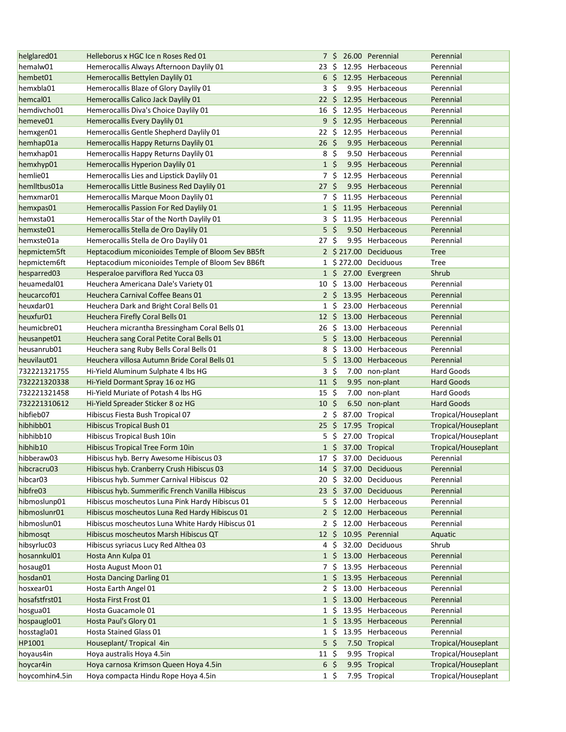| helglared01             | Helleborus x HGC Ice n Roses Red 01               |                  |                 | 7 \$ 26.00 Perennial  | Perennial           |
|-------------------------|---------------------------------------------------|------------------|-----------------|-----------------------|---------------------|
| hemalw01                | Hemerocallis Always Afternoon Daylily 01          | 23 S             |                 | 12.95 Herbaceous      | Perennial           |
| hembet01                | Hemerocallis Bettylen Daylily 01                  |                  |                 | 6 \$ 12.95 Herbaceous | Perennial           |
| hemxbla01               | Hemerocallis Blaze of Glory Daylily 01            |                  | 3 <sup>5</sup>  | 9.95 Herbaceous       | Perennial           |
| hemcal01                | Hemerocallis Calico Jack Daylily 01               | $22 \,$ \$       |                 | 12.95 Herbaceous      | Perennial           |
| hemdivcho01             | Hemerocallis Diva's Choice Daylily 01             | 16               | -\$             | 12.95 Herbaceous      | Perennial           |
| hemeve01                | Hemerocallis Every Daylily 01                     |                  | 9 <sup>5</sup>  | 12.95 Herbaceous      | Perennial           |
| hemxgen01               | Hemerocallis Gentle Shepherd Daylily 01           | 22 \$            |                 | 12.95 Herbaceous      | Perennial           |
| hemhap01a               | Hemerocallis Happy Returns Daylily 01             | 26 <sup>5</sup>  |                 | 9.95 Herbaceous       | Perennial           |
| hemxhap01               | Hemerocallis Happy Returns Daylily 01             |                  | $8\sqrt{5}$     | 9.50 Herbaceous       | Perennial           |
| hemxhyp01               | Hemerocallis Hyperion Daylily 01                  |                  | $1\overline{5}$ | 9.95 Herbaceous       | Perennial           |
| hemlie01                | Hemerocallis Lies and Lipstick Daylily 01         |                  | 7\$             | 12.95 Herbaceous      | Perennial           |
| hemiltbus01a            | Hemerocallis Little Business Red Daylily 01       | 27S              |                 | 9.95 Herbaceous       | Perennial           |
| hemxmar01               | Hemerocallis Marque Moon Daylily 01               |                  | 7\$             | 11.95 Herbaceous      | Perennial           |
| hemxpas01               | Hemerocallis Passion For Red Daylily 01           |                  | $1\,$ \$        | 11.95 Herbaceous      | Perennial           |
| hemxsta01               | Hemerocallis Star of the North Daylily 01         |                  | 3 S             | 11.95 Herbaceous      | Perennial           |
| hemxste01               | Hemerocallis Stella de Oro Daylily 01             |                  | $5\overline{5}$ | 9.50 Herbaceous       | Perennial           |
| hemxste01a              | Hemerocallis Stella de Oro Daylily 01             | 27 \$            |                 | 9.95 Herbaceous       | Perennial           |
| hepmictem5ft            | Heptacodium miconioides Temple of Bloom Sev BB5ft |                  |                 | 2 \$217.00 Deciduous  | <b>Tree</b>         |
| hepmictem6ft            | Heptacodium miconioides Temple of Bloom Sev BB6ft |                  |                 | 1 \$272.00 Deciduous  | Tree                |
| hesparred03             | Hesperaloe parviflora Red Yucca 03                |                  |                 | 1 \$ 27.00 Evergreen  | Shrub               |
| heuamedal01             | Heuchera Americana Dale's Variety 01              | 10               | Ŝ.              | 13.00 Herbaceous      | Perennial           |
| heucarcof01             | Heuchera Carnival Coffee Beans 01                 |                  |                 | 2 \$ 13.95 Herbaceous | Perennial           |
| heuxdar01               | Heuchera Dark and Bright Coral Bells 01           |                  | $1\,$ \$        | 23.00 Herbaceous      | Perennial           |
| heuxfur01               | Heuchera Firefly Coral Bells 01                   | $12 \div$        |                 | 13.00 Herbaceous      | Perennial           |
| heumicbre01             | Heuchera micrantha Bressingham Coral Bells 01     | 26               |                 | \$ 13.00 Herbaceous   | Perennial           |
| heusanpet <sub>01</sub> | Heuchera sang Coral Petite Coral Bells 01         | 5                | \$              | 13.00 Herbaceous      | Perennial           |
| heusanrub01             | Heuchera sang Ruby Bells Coral Bells 01           | 8                | -\$             | 13.00 Herbaceous      | Perennial           |
| heuvilaut01             | Heuchera villosa Autumn Bride Coral Bells 01      |                  | $5\frac{1}{2}$  | 13.00 Herbaceous      | Perennial           |
| 732221321755            | Hi-Yield Aluminum Sulphate 4 lbs HG               |                  | $3 \; \zeta$    | 7.00 non-plant        | <b>Hard Goods</b>   |
| 732221320338            | Hi-Yield Dormant Spray 16 oz HG                   | $11 \;$ \$       |                 | 9.95 non-plant        | <b>Hard Goods</b>   |
| 732221321458            | Hi-Yield Muriate of Potash 4 lbs HG               | $15 \; \xi$      |                 | 7.00 non-plant        | Hard Goods          |
| 732221310612            | Hi-Yield Spreader Sticker 8 oz HG                 | 10 <sup>5</sup>  |                 | 6.50 non-plant        | <b>Hard Goods</b>   |
| hibfieb07               | Hibiscus Fiesta Bush Tropical 07                  |                  | $2 \;$ \$       | 87.00 Tropical        | Tropical/Houseplant |
| hibhibb01               | <b>Hibiscus Tropical Bush 01</b>                  |                  |                 | 25 \$ 17.95 Tropical  | Tropical/Houseplant |
| hibhibb10               | Hibiscus Tropical Bush 10in                       |                  |                 | 5 \$ 27.00 Tropical   | Tropical/Houseplant |
| hibhib10                | Hibiscus Tropical Tree Form 10in                  |                  |                 | 1 \$ 37.00 Tropical   | Tropical/Houseplant |
| hibberaw03              | Hibiscus hyb. Berry Awesome Hibiscus 03           |                  |                 | 17 \$ 37.00 Deciduous | Perennial           |
| hibcracru03             | Hibiscus hyb. Cranberry Crush Hibiscus 03         |                  |                 | 37.00 Deciduous       | Perennial           |
| hibcar03                | Hibiscus hyb. Summer Carnival Hibiscus 02         | $14 \cdot 5$     |                 | 32.00 Deciduous       | Perennial           |
| hibfre03                |                                                   | 20 \$            |                 |                       |                     |
|                         | Hibiscus hyb. Summerific French Vanilla Hibiscus  | $23 \; \zeta$    |                 | 37.00 Deciduous       | Perennial           |
| hibmoslunp01            | Hibiscus moscheutos Luna Pink Hardy Hibiscus 01   | 5                | Ŝ.              | 12.00 Herbaceous      | Perennial           |
| hibmoslunr01            | Hibiscus moscheutos Luna Red Hardy Hibiscus 01    |                  | 2 <sup>5</sup>  | 12.00 Herbaceous      | Perennial           |
| hibmoslun01             | Hibiscus moscheutos Luna White Hardy Hibiscus 01  |                  | 2\$             | 12.00 Herbaceous      | Perennial           |
| hibmosqt                | Hibiscus moscheutos Marsh Hibiscus QT             | $12 \cdot 5$     |                 | 10.95 Perennial       | Aquatic             |
| hibsyrluc03             | Hibiscus syriacus Lucy Red Althea 03              |                  | 4\$             | 32.00 Deciduous       | Shrub               |
| hosannkul01             | Hosta Ann Kulpa 01                                |                  | $1\,$ S         | 13.00 Herbaceous      | Perennial           |
| hosaug01                | Hosta August Moon 01                              |                  | 7 S             | 13.95 Herbaceous      | Perennial           |
| hosdan01                | <b>Hosta Dancing Darling 01</b>                   |                  | $1\,$ \$        | 13.95 Herbaceous      | Perennial           |
| hosxear01               | Hosta Earth Angel 01                              |                  | 2 \$            | 13.00 Herbaceous      | Perennial           |
| hosafstfrst01           | Hosta First Frost 01                              |                  | $1\,$ \$        | 13.00 Herbaceous      | Perennial           |
| hosgua01                | Hosta Guacamole 01                                |                  | $1\,$ \$        | 13.95 Herbaceous      | Perennial           |
| hospauglo01             | Hosta Paul's Glory 01                             |                  | $1\overline{5}$ | 13.95 Herbaceous      | Perennial           |
| hosstagla01             | <b>Hosta Stained Glass 01</b>                     |                  | $1\,$ \$        | 13.95 Herbaceous      | Perennial           |
| HP1001                  | Houseplant/ Tropical 4in                          |                  | $5\frac{2}{3}$  | 7.50 Tropical         | Tropical/Houseplant |
| hoyaus4in               | Hoya australis Hoya 4.5in                         | $11 \; \text{S}$ |                 | 9.95 Tropical         | Tropical/Houseplant |
| hoycar4in               | Hoya carnosa Krimson Queen Hoya 4.5in             |                  | $6\frac{2}{3}$  | 9.95 Tropical         | Tropical/Houseplant |
| hoycomhin4.5in          | Hoya compacta Hindu Rope Hoya 4.5in               |                  | $1\;$ \$        | 7.95 Tropical         | Tropical/Houseplant |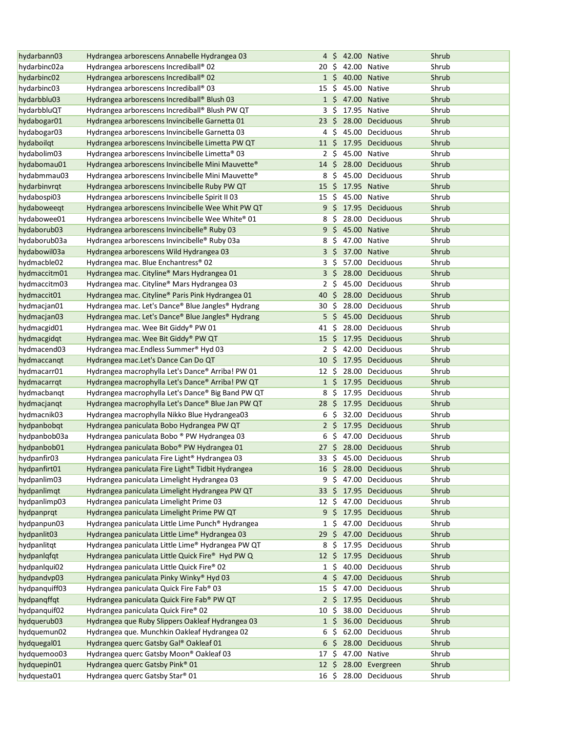| hydarbann03   | Hydrangea arborescens Annabelle Hydrangea 03                                          |                  | 4 S             | 42.00 Native |                       | Shrub |
|---------------|---------------------------------------------------------------------------------------|------------------|-----------------|--------------|-----------------------|-------|
| hydarbinc02a  | Hydrangea arborescens Incrediball® 02                                                 | 20               | S.              |              | 42.00 Native          | Shrub |
| hydarbinc02   | Hydrangea arborescens Incrediball® 02                                                 |                  | $1\,$ \$        | 40.00 Native |                       | Shrub |
| hydarbinc03   | Hydrangea arborescens Incrediball® 03                                                 | 15               | \$.             |              | 45.00 Native          | Shrub |
| hydarbblu03   | Hydrangea arborescens Incrediball® Blush 03                                           |                  | $1\,$ \$        |              | 47.00 Native          | Shrub |
| hydarbbluQT   | Hydrangea arborescens Incrediball® Blush PW QT                                        | 3                | Ŝ.              |              | 17.95 Native          | Shrub |
| hydabogar01   | Hydrangea arborescens Invincibelle Garnetta 01                                        | $23 \;$ \$       |                 |              | 28.00 Deciduous       | Shrub |
| hydabogar03   | Hydrangea arborescens Invincibelle Garnetta 03                                        |                  | 4\$             |              | 45.00 Deciduous       | Shrub |
| hydaboilqt    | Hydrangea arborescens Invincibelle Limetta PW QT                                      | $11 \text{ }$    |                 |              | 17.95 Deciduous       | Shrub |
| hydabolim03   | Hydrangea arborescens Invincibelle Limetta® 03                                        |                  | $2\sqrt{5}$     |              | 45.00 Native          | Shrub |
| hydabomau01   | Hydrangea arborescens Invincibelle Mini Mauvette <sup>®</sup>                         | $14 \,$ \$       |                 |              | 28.00 Deciduous       | Shrub |
| hydabmmau03   | Hydrangea arborescens Invincibelle Mini Mauvette®                                     | 8                | - \$            |              | 45.00 Deciduous       | Shrub |
| hydarbinvrqt  | Hydrangea arborescens Invincibelle Ruby PW QT                                         | $15 \; \xi$      |                 | 17.95 Native |                       | Shrub |
| hydabospi03   | Hydrangea arborescens Invincibelle Spirit II 03                                       | 15               | \$              |              | 45.00 Native          | Shrub |
| hydaboweeqt   | Hydrangea arborescens Invincibelle Wee Whit PW QT                                     |                  | $9\,$ \$        |              | 17.95 Deciduous       | Shrub |
| hydabowee01   | Hydrangea arborescens Invincibelle Wee White® 01                                      | 8                | Ŝ.              |              | 28.00 Deciduous       | Shrub |
| hydaborub03   | Hydrangea arborescens Invincibelle® Ruby 03                                           |                  | 9 <sup>5</sup>  | 45.00 Native |                       | Shrub |
|               |                                                                                       | 8                | Ŝ.              |              | 47.00 Native          |       |
| hydaborub03a  | Hydrangea arborescens Invincibelle® Ruby 03a                                          |                  |                 |              |                       | Shrub |
| hydabowil03a  | Hydrangea arborescens Wild Hydrangea 03                                               |                  | $3\,$ \$        |              | 37.00 Native          | Shrub |
| hydmacble02   | Hydrangea mac. Blue Enchantress® 02                                                   | 3                | Ŝ.              |              | 57.00 Deciduous       | Shrub |
| hydmaccitm01  | Hydrangea mac. Cityline® Mars Hydrangea 01                                            |                  | 3\$             |              | 28.00 Deciduous       | Shrub |
| hydmaccitm03  | Hydrangea mac. Cityline® Mars Hydrangea 03                                            |                  | 2\$             |              | 45.00 Deciduous       | Shrub |
| hydmaccit01   | Hydrangea mac. Cityline® Paris Pink Hydrangea 01                                      | 40               | \$              |              | 28.00 Deciduous       | Shrub |
| hydmacjan01   | Hydrangea mac. Let's Dance® Blue Jangles® Hydrang                                     | 30               | \$              |              | 28.00 Deciduous       | Shrub |
| hydmacjan03   | Hydrangea mac. Let's Dance® Blue Jangles® Hydrang                                     | 5                | Ś               |              | 45.00 Deciduous       | Shrub |
| hydmacgid01   | Hydrangea mac. Wee Bit Giddy® PW 01                                                   | 41               | S               |              | 28.00 Deciduous       | Shrub |
| hydmacgidqt   | Hydrangea mac. Wee Bit Giddy <sup>®</sup> PW QT                                       | 15               | -S              |              | 17.95 Deciduous       | Shrub |
| hydmacend03   | Hydrangea mac. Endless Summer <sup>®</sup> Hyd 03                                     |                  | 2\$             |              | 42.00 Deciduous       | Shrub |
| hydmaccangt   | Hydrangea mac.Let's Dance Can Do QT                                                   | $10 \; \text{S}$ |                 |              | 17.95 Deciduous       | Shrub |
| hydmacarr01   | Hydrangea macrophylla Let's Dance® Arriba! PW 01                                      | 12S              |                 |              | 28.00 Deciduous       | Shrub |
| hydmacarrqt   | Hydrangea macrophylla Let's Dance® Arriba! PW QT                                      |                  |                 |              | 1 \$ 17.95 Deciduous  | Shrub |
| hydmacbanqt   | Hydrangea macrophylla Let's Dance® Big Band PW QT                                     | 8                | -S              |              | 17.95 Deciduous       | Shrub |
| hydmacjangt   | Hydrangea macrophylla Let's Dance® Blue Jan PW QT                                     | 28S              |                 |              | 17.95 Deciduous       | Shrub |
| hydmacnik03   | Hydrangea macrophylla Nikko Blue Hydrangea03                                          | 6                | -\$             |              | 32.00 Deciduous       | Shrub |
| hydpanbobgt   | Hydrangea paniculata Bobo Hydrangea PW QT                                             |                  | $2\overline{5}$ |              | 17.95 Deciduous       | Shrub |
| hydpanbob03a  | Hydrangea paniculata Bobo ® PW Hydrangea 03                                           | 6                | -\$             |              | 47.00 Deciduous       | Shrub |
| hydpanbob01   | Hydrangea paniculata Bobo® PW Hydrangea 01                                            | 27S              |                 |              | 28.00 Deciduous       | Shrub |
| hydpanfir03   | Hydrangea paniculata Fire Light <sup>®</sup> Hydrangea 03                             |                  |                 |              | 33 \$ 45.00 Deciduous | Shrub |
| hydpanfirt01  | Hydrangea paniculata Fire Light® Tidbit Hydrangea                                     |                  |                 |              | 16 \$ 28.00 Deciduous | Shrub |
| hydpanlim03   | Hydrangea paniculata Limelight Hydrangea 03                                           | 9                | \$              |              | 47.00 Deciduous       | Shrub |
| hydpanlimqt   | Hydrangea paniculata Limelight Hydrangea PW QT                                        | 33 <sup>5</sup>  |                 |              | 17.95 Deciduous       | Shrub |
| hydpanlimp03  | Hydrangea paniculata Limelight Prime 03                                               | 12 S             |                 |              | 47.00 Deciduous       | Shrub |
| hydpanprqt    | Hydrangea paniculata Limelight Prime PW QT                                            |                  |                 |              | 9 \$ 17.95 Deciduous  | Shrub |
| hydpanpun03   | Hydrangea paniculata Little Lime Punch <sup>®</sup> Hydrangea                         |                  | $1\,$ \$        |              | 47.00 Deciduous       | Shrub |
| hydpanlit03   | Hydrangea paniculata Little Lime® Hydrangea 03                                        |                  |                 |              | 29 \$ 47.00 Deciduous | Shrub |
| hydpanlitgt   | Hydrangea paniculata Little Lime® Hydrangea PW QT                                     |                  | 85              |              | 17.95 Deciduous       | Shrub |
| hydpanlqfqt   | Hydrangea paniculata Little Quick Fire® Hyd PW Q                                      | 12 <sup>5</sup>  |                 |              | 17.95 Deciduous       | Shrub |
| hydpanlqui02  | Hydrangea paniculata Little Quick Fire® 02                                            |                  | 1 S             |              | 40.00 Deciduous       | Shrub |
| hydpandvp03   | Hydrangea paniculata Pinky Winky® Hyd 03                                              | 4                | Ŝ               |              | 47.00 Deciduous       | Shrub |
|               |                                                                                       |                  |                 |              | 47.00 Deciduous       |       |
| hydpanquiff03 | Hydrangea paniculata Quick Fire Fab® 03<br>Hydrangea paniculata Quick Fire Fab® PW QT | 15               | \$.<br>2S       |              | 17.95 Deciduous       | Shrub |
| hydpanqffqt   |                                                                                       |                  |                 |              |                       | Shrub |
| hydpanquif02  | Hydrangea paniculata Quick Fire® 02                                                   | 10               | \$.             |              | 38.00 Deciduous       | Shrub |
| hydquerub03   | Hydrangea que Ruby Slippers Oakleaf Hydrangea 03                                      |                  | $1\,$ \$        |              | 36.00 Deciduous       | Shrub |
| hydquemun02   | Hydrangea que. Munchkin Oakleaf Hydrangea 02                                          | 6                | S.              |              | 62.00 Deciduous       | Shrub |
| hydquegal01   | Hydrangea querc Gatsby Gal® Oakleaf 01                                                |                  | $6\frac{1}{2}$  |              | 28.00 Deciduous       | Shrub |
| hydquemoo03   | Hydrangea querc Gatsby Moon® Oakleaf 03                                               | 17               | \$              |              | 47.00 Native          | Shrub |
| hydquepin01   | Hydrangea querc Gatsby Pink® 01                                                       | $12 \; \text{S}$ |                 |              | 28.00 Evergreen       | Shrub |
| hydquesta01   | Hydrangea querc Gatsby Star® 01                                                       | $16 \; \text{S}$ |                 |              | 28.00 Deciduous       | Shrub |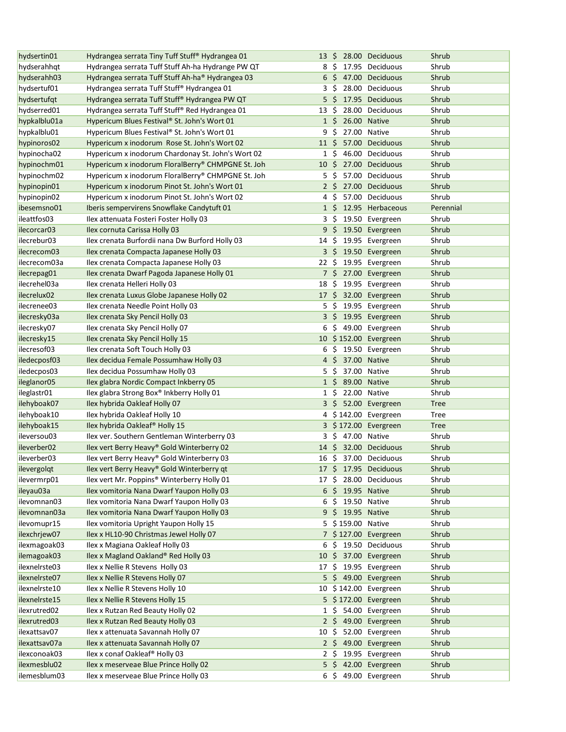| hydsertin01   | Hydrangea serrata Tiny Tuff Stuff® Hydrangea 01   |                  |             |                   | 13 \$ 28.00 Deciduous    | Shrub       |
|---------------|---------------------------------------------------|------------------|-------------|-------------------|--------------------------|-------------|
| hydserahhqt   | Hydrangea serrata Tuff Stuff Ah-ha Hydrange PW QT | 8                | - S         |                   | 17.95 Deciduous          | Shrub       |
| hydserahh03   | Hydrangea serrata Tuff Stuff Ah-ha® Hydrangea 03  |                  |             |                   | $6\,$ \$ 47.00 Deciduous | Shrub       |
| hydsertuf01   | Hydrangea serrata Tuff Stuff® Hydrangea 01        |                  | 3\$         |                   | 28.00 Deciduous          | Shrub       |
| hydsertufqt   | Hydrangea serrata Tuff Stuff® Hydrangea PW QT     |                  | 5\$         |                   | 17.95 Deciduous          | Shrub       |
| hydserred01   | Hydrangea serrata Tuff Stuff® Red Hydrangea 01    | 13               | -\$         |                   | 28.00 Deciduous          | Shrub       |
| hypkalblu01a  | Hypericum Blues Festival® St. John's Wort 01      |                  | $1\,$ \$    |                   | 26.00 Native             | Shrub       |
| hypkalblu01   | Hypericum Blues Festival® St. John's Wort 01      | 9                | \$          |                   | 27.00 Native             | Shrub       |
| hypinoros02   | Hypericum x inodorum Rose St. John's Wort 02      | $11 \text{ }$    |             |                   | 57.00 Deciduous          | Shrub       |
| hypinocha02   | Hypericum x inodorum Chardonay St. John's Wort 02 |                  | $1\;$ \$    |                   | 46.00 Deciduous          | Shrub       |
| hypinochm01   | Hypericum x inodorum FloralBerry® CHMPGNE St. Joh | 10 <sup>5</sup>  |             |                   | 27.00 Deciduous          | Shrub       |
| hypinochm02   | Hypericum x inodorum FloralBerry® CHMPGNE St. Joh |                  | 5\$         |                   | 57.00 Deciduous          | Shrub       |
| hypinopin01   | Hypericum x inodorum Pinot St. John's Wort 01     |                  | $2 \cdot 5$ |                   | 27.00 Deciduous          | Shrub       |
| hypinopin02   | Hypericum x inodorum Pinot St. John's Wort 02     |                  | 4\$         |                   | 57.00 Deciduous          | Shrub       |
| ibesemsno01   | Iberis sempervirens Snowflake Candytuft 01        |                  |             |                   | 1 \$ 12.95 Herbaceous    | Perennial   |
| ileattfos03   | Ilex attenuata Fosteri Foster Holly 03            |                  | 3\$         |                   | 19.50 Evergreen          | Shrub       |
| ilecorcar03   | Ilex cornuta Carissa Holly 03                     |                  |             |                   | 9 \$ 19.50 Evergreen     | Shrub       |
| ilecrebur03   | Ilex crenata Burfordii nana Dw Burford Holly 03   | $14 \; \text{S}$ |             |                   | 19.95 Evergreen          | Shrub       |
| ilecrecom03   | Ilex crenata Compacta Japanese Holly 03           |                  |             |                   | 3 \$ 19.50 Evergreen     | Shrub       |
| ilecrecom03a  | Ilex crenata Compacta Japanese Holly 03           | $22 \,$ \$       |             |                   | 19.95 Evergreen          | Shrub       |
| ilecrepag01   | Ilex crenata Dwarf Pagoda Japanese Holly 01       |                  |             |                   | 7 \$ 27.00 Evergreen     | Shrub       |
|               |                                                   |                  |             |                   |                          |             |
| ilecrehel03a  | Ilex crenata Helleri Holly 03                     | 18               | -\$         |                   | 19.95 Evergreen          | Shrub       |
| ilecrelux02   | Ilex crenata Luxus Globe Japanese Holly 02        |                  |             |                   | 17 \$ 32.00 Evergreen    | Shrub       |
| ilecrenee03   | Ilex crenata Needle Point Holly 03                | 5                | S.          |                   | 19.95 Evergreen          | Shrub       |
| ilecresky03a  | Ilex crenata Sky Pencil Holly 03                  |                  | 3 \$        |                   | 19.95 Evergreen          | Shrub       |
| ilecresky07   | Ilex crenata Sky Pencil Holly 07                  | 6                | S.          |                   | 49.00 Evergreen          | Shrub       |
| ilecresky15   | Ilex crenata Sky Pencil Holly 15                  |                  |             |                   | 10 \$152.00 Evergreen    | Shrub       |
| ilecresof03   | Ilex crenata Soft Touch Holly 03                  | 6                |             |                   | \$ 19.50 Evergreen       | Shrub       |
| iledecposf03  | Ilex decidua Female Possumhaw Holly 03            |                  |             | 4 \$ 37.00 Native |                          | Shrub       |
| iledecpos03   | Ilex decidua Possumhaw Holly 03                   | 5                | \$          |                   | 37.00 Native             | Shrub       |
| ileglanor05   | Ilex glabra Nordic Compact Inkberry 05            |                  | $1\,$ \$    | 89.00 Native      |                          | Shrub       |
| ileglastr01   | Ilex glabra Strong Box® Inkberry Holly 01         |                  | $1\;$ \$    |                   | 22.00 Native             | Shrub       |
| ilehyboak07   | Ilex hybrida Oakleaf Holly 07                     |                  | 3\$         |                   | 52.00 Evergreen          | <b>Tree</b> |
| ilehyboak10   | Ilex hybrida Oakleaf Holly 10                     |                  |             |                   | 4 \$142.00 Evergreen     | Tree        |
| ilehyboak15   | Ilex hybrida Oakleaf® Holly 15                    |                  |             |                   | 3 \$172.00 Evergreen     | <b>Tree</b> |
| ileversou03   | Ilex ver. Southern Gentleman Winterberry 03       |                  | 3\$         | 47.00 Native      |                          | Shrub       |
| ileverber02   | Ilex vert Berry Heavy® Gold Winterberry 02        |                  |             |                   | 14 \$ 32.00 Deciduous    | Shrub       |
| ileverber03   | Ilex vert Berry Heavy® Gold Winterberry 03        |                  |             |                   | 16 \$ 37.00 Deciduous    | Shrub       |
| ilevergolqt   | Ilex vert Berry Heavy® Gold Winterberry qt        |                  |             |                   | 17 \$ 17.95 Deciduous    | Shrub       |
| ilevermrp01   | Ilex vert Mr. Poppins® Winterberry Holly 01       | 17 \$            |             |                   | 28.00 Deciduous          | Shrub       |
| ileyau03a     | Ilex vomitoria Nana Dwarf Yaupon Holly 03         |                  |             |                   | 6 \$ 19.95 Native        | Shrub       |
| ilevomnan03   | Ilex vomitoria Nana Dwarf Yaupon Holly 03         |                  | 6\$         |                   | 19.50 Native             | Shrub       |
| ilevomnan03a  | Ilex vomitoria Nana Dwarf Yaupon Holly 03         |                  |             |                   | 9 \$ 19.95 Native        | Shrub       |
| ilevomupr15   | Ilex vomitoria Upright Yaupon Holly 15            |                  |             |                   | 5 \$159.00 Native        | Shrub       |
| ilexchriew07  | Ilex x HL10-90 Christmas Jewel Holly 07           |                  |             |                   | 7 \$127.00 Evergreen     | Shrub       |
| ilexmagoak03  | Ilex x Magiana Oakleaf Holly 03                   | 6                | \$.         |                   | 19.50 Deciduous          | Shrub       |
| ilemagoak03   | Ilex x Magland Oakland® Red Holly 03              |                  |             |                   | 10 \$ 37.00 Evergreen    | Shrub       |
| ilexnelrste03 | Ilex x Nellie R Stevens Holly 03                  |                  |             |                   | 17 \$ 19.95 Evergreen    | Shrub       |
| ilexnelrste07 | Ilex x Nellie R Stevens Holly 07                  | 5                |             |                   | $$49.00$ Evergreen       | Shrub       |
| ilexnelrste10 | Ilex x Nellie R Stevens Holly 10                  | 10               |             |                   | $$142.00$ Evergreen      | Shrub       |
| ilexnelrste15 | Ilex x Nellie R Stevens Holly 15                  |                  |             |                   | 5 \$172.00 Evergreen     | Shrub       |
| ilexrutred02  | Ilex x Rutzan Red Beauty Holly 02                 |                  |             |                   | 1 \$ 54.00 Evergreen     | Shrub       |
| ilexrutred03  | Ilex x Rutzan Red Beauty Holly 03                 |                  |             |                   | 2 \$ 49.00 Evergreen     | Shrub       |
| ilexattsav07  | Ilex x attenuata Savannah Holly 07                | 10 <sup>5</sup>  |             |                   | 52.00 Evergreen          | Shrub       |
| ilexattsav07a | Ilex x attenuata Savannah Holly 07                |                  |             |                   | 2 \$ 49.00 Evergreen     | Shrub       |
| ilexconoak03  | Ilex x conaf Oakleaf® Holly 03                    |                  |             |                   | $2 \div 19.95$ Evergreen | Shrub       |
| ilexmesblu02  | Ilex x meserveae Blue Prince Holly 02             |                  |             |                   | 5 \$ 42.00 Evergreen     | Shrub       |
| ilemesblum03  | Ilex x meserveae Blue Prince Holly 03             |                  | 6\$         |                   | 49.00 Evergreen          | Shrub       |
|               |                                                   |                  |             |                   |                          |             |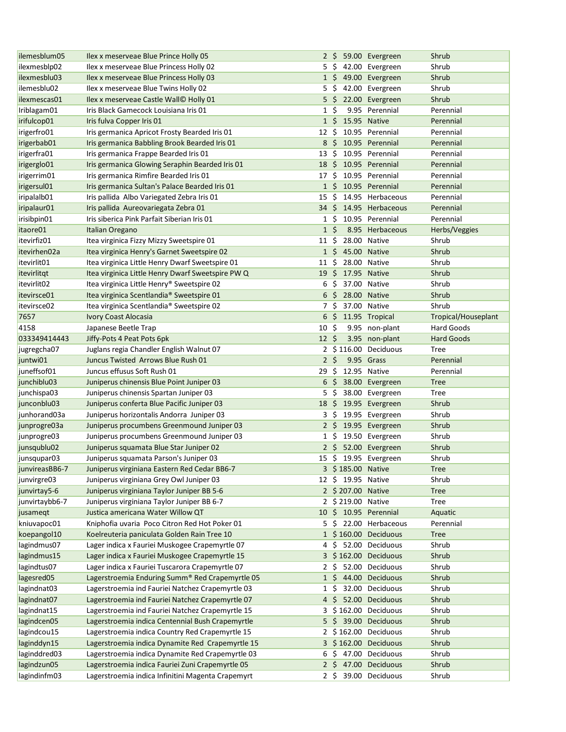| ilemesblum05                | Ilex x meserveae Blue Prince Holly 05                                                                 |                 |     |                    | 2 \$ 59.00 Evergreen                        | Shrub               |
|-----------------------------|-------------------------------------------------------------------------------------------------------|-----------------|-----|--------------------|---------------------------------------------|---------------------|
| ilexmesblp02                | Ilex x meserveae Blue Princess Holly 02                                                               |                 |     |                    | 5 \$ 42.00 Evergreen                        | Shrub               |
| ilexmesblu03                | Ilex x meserveae Blue Princess Holly 03                                                               |                 |     |                    | 1 \$ 49.00 Evergreen                        | Shrub               |
| ilemesblu02                 | Ilex x meserveae Blue Twins Holly 02                                                                  | 5\$             |     |                    | 42.00 Evergreen                             | Shrub               |
| ilexmescas01                | Ilex x meserveae Castle Wall© Holly 01                                                                |                 |     |                    | 5 \$ 22.00 Evergreen                        | Shrub               |
| Iriblagam01                 | Iris Black Gamecock Louisiana Iris 01                                                                 | $1\,$ \$        |     |                    | 9.95 Perennial                              | Perennial           |
| irifulcop01                 | Iris fulva Copper Iris 01                                                                             | $1\,$ \$        |     | 15.95 Native       |                                             | Perennial           |
| irigerfro01                 | Iris germanica Apricot Frosty Bearded Iris 01                                                         | 12 \$           |     |                    | 10.95 Perennial                             | Perennial           |
| irigerbab01                 | Iris germanica Babbling Brook Bearded Iris 01                                                         |                 |     |                    | 8 \$ 10.95 Perennial                        | Perennial           |
| irigerfra01                 | Iris germanica Frappe Bearded Iris 01                                                                 | $13 \; \zeta$   |     |                    | 10.95 Perennial                             | Perennial           |
| irigerglo01                 | Iris germanica Glowing Seraphin Bearded Iris 01                                                       |                 |     |                    | 18 \$ 10.95 Perennial                       | Perennial           |
| irigerrim01                 | Iris germanica Rimfire Bearded Iris 01                                                                | 17 \$           |     |                    | 10.95 Perennial                             | Perennial           |
| irigersul01                 | Iris germanica Sultan's Palace Bearded Iris 01                                                        |                 |     |                    | 1 \$ 10.95 Perennial                        | Perennial           |
| iripalalb01                 | Iris pallida Albo Variegated Zebra Iris 01                                                            | 15              | S.  |                    | 14.95 Herbaceous                            | Perennial           |
| iripalaur01                 | Iris pallida Aureovariegata Zebra 01                                                                  |                 |     |                    | 34 \$ 14.95 Herbaceous                      | Perennial           |
| irisibpin01                 | Iris siberica Pink Parfait Siberian Iris 01                                                           | $1\,$ \$        |     |                    | 10.95 Perennial                             | Perennial           |
| itaore01                    | Italian Oregano                                                                                       | $1\overline{5}$ |     |                    | 8.95 Herbaceous                             | Herbs/Veggies       |
| itevirfiz01                 | Itea virginica Fizzy Mizzy Sweetspire 01                                                              | 11 \$           |     |                    | 28.00 Native                                | Shrub               |
| itevirhen02a                | Itea virginica Henry's Garnet Sweetspire 02                                                           | $1\,$ \$        |     | 45.00 Native       |                                             | Shrub               |
| itevirlit01                 | Itea virginica Little Henry Dwarf Sweetspire 01                                                       | 11 S            |     |                    | 28.00 Native                                | Shrub               |
| itevirlitgt                 | Itea virginica Little Henry Dwarf Sweetspire PW Q                                                     | 19              | -S  |                    | 17.95 Native                                | Shrub               |
| itevirlit <sub>02</sub>     | Itea virginica Little Henry® Sweetspire 02                                                            | 6               | S   |                    | 37.00 Native                                | Shrub               |
| itevirsce01                 | Itea virginica Scentlandia® Sweetspire 01                                                             | 6               | Ŝ.  | 28.00 Native       |                                             | Shrub               |
| itevirsce02                 | Itea virginica Scentlandia® Sweetspire 02                                                             | 7\$             |     |                    | 37.00 Native                                | Shrub               |
| 7657                        | <b>Ivory Coast Alocasia</b>                                                                           | 6               | S.  |                    | 11.95 Tropical                              | Tropical/Houseplant |
| 4158                        | Japanese Beetle Trap                                                                                  | 10 \$           |     |                    | 9.95 non-plant                              | Hard Goods          |
| 033349414443                | Jiffy-Pots 4 Peat Pots 6pk                                                                            | $12 \text{ }$   |     |                    | 3.95 non-plant                              | <b>Hard Goods</b>   |
| jugregcha07                 | Juglans regia Chandler English Walnut 07                                                              |                 |     |                    | 2 \$116.00 Deciduous                        | Tree                |
| juntwi01                    | Juncus Twisted Arrows Blue Rush 01                                                                    | 2 <sup>5</sup>  |     |                    | 9.95 Grass                                  | Perennial           |
|                             |                                                                                                       |                 |     |                    |                                             |                     |
| juneffsof01                 | Juncus effusus Soft Rush 01                                                                           | 29              | S.  | 12.95 Native       |                                             | Perennial           |
| junchiblu03                 | Juniperus chinensis Blue Point Juniper 03                                                             |                 |     |                    | $6\,$ \$ 38.00 Evergreen                    | <b>Tree</b>         |
| junchispa03                 | Juniperus chinensis Spartan Juniper 03                                                                | 5               | \$  |                    | 38.00 Evergreen                             | Tree                |
| junconblu03                 | Juniperus conferta Blue Pacific Juniper 03                                                            |                 |     |                    | 18 \$ 19.95 Evergreen                       | Shrub               |
| junhorand03a                | Juniperus horizontalis Andorra Juniper 03                                                             |                 |     |                    | 3 \$ 19.95 Evergreen                        | Shrub               |
| junprogre03a                | Juniperus procumbens Greenmound Juniper 03                                                            |                 |     |                    | $2 \div 19.95$ Evergreen                    | Shrub               |
| junprogre03                 | Juniperus procumbens Greenmound Juniper 03                                                            |                 |     |                    | 1 \$ 19.50 Evergreen                        | Shrub               |
| junsqublu02                 | Juniperus squamata Blue Star Juniper 02                                                               |                 |     |                    | 2 \$ 52.00 Evergreen                        | Shrub               |
| junsqupar03                 | Juniperus squamata Parson's Juniper 03                                                                |                 |     |                    | 15 \$ 19.95 Evergreen                       | Shrub               |
| junvireasBB6-7              | Juniperus virginiana Eastern Red Cedar BB6-7                                                          |                 |     | 3 \$185.00 Native  |                                             | <b>Tree</b>         |
| junvirgre03                 | Juniperus virginiana Grey Owl Juniper 03                                                              |                 |     | 12 \$ 19.95 Native |                                             | Shrub               |
| junvirtay5-6                | Juniperus virginiana Taylor Juniper BB 5-6                                                            |                 |     | 2 \$207.00 Native  |                                             | <b>Tree</b>         |
| junvirtaybb6-7              | Juniperus virginiana Taylor Juniper BB 6-7                                                            |                 |     | 2 \$ 219.00 Native |                                             | Tree                |
| jusamegt                    | Justica americana Water Willow QT                                                                     |                 |     |                    | 10 \$ 10.95 Perennial                       | Aquatic             |
| kniuvapoc01                 | Kniphofia uvaria Poco Citron Red Hot Poker 01                                                         | 5.              | \$  |                    | 22.00 Herbaceous                            | Perennial           |
| koepangol10                 | Koelreuteria paniculata Golden Rain Tree 10                                                           |                 |     |                    | 1 \$160.00 Deciduous                        | <b>Tree</b>         |
| lagindmus07                 | Lager indica x Fauriei Muskogee Crapemyrtle 07                                                        | 4               | -\$ |                    | 52.00 Deciduous                             | Shrub               |
| lagindmus15                 | Lager indica x Fauriei Muskogee Crapemyrtle 15                                                        |                 |     |                    | 3 \$162.00 Deciduous                        | Shrub               |
| lagindtus07                 | Lager indica x Fauriei Tuscarora Crapemyrtle 07                                                       |                 |     |                    | 2 \$ 52.00 Deciduous                        | Shrub               |
| lagesred05                  | Lagerstroemia Enduring Summ® Red Crapemyrtle 05                                                       |                 |     |                    | 1 \$ 44.00 Deciduous                        | Shrub               |
| lagindnat03                 | Lagerstroemia ind Fauriei Natchez Crapemyrtle 03                                                      | 1 \$            |     |                    | 32.00 Deciduous                             | Shrub               |
| lagind nat <sup>07</sup>    | Lagerstroemia ind Fauriei Natchez Crapemyrtle 07                                                      |                 |     |                    | 4 \$ 52.00 Deciduous                        | Shrub               |
| lagindnat15                 | Lagerstroemia ind Fauriei Natchez Crapemyrtle 15                                                      |                 |     |                    | 3 \$162.00 Deciduous                        | Shrub               |
| lagindcen05                 | Lagerstroemia indica Centennial Bush Crapemyrtle                                                      |                 |     |                    | 5 \$ 39.00 Deciduous                        | Shrub               |
| lagindcou15                 | Lagerstroemia indica Country Red Crapemyrtle 15                                                       |                 |     |                    | 2 \$162.00 Deciduous                        | Shrub               |
| laginddyn15                 | Lagerstroemia indica Dynamite Red Crapemyrtle 15                                                      |                 |     |                    | 3 \$162.00 Deciduous                        | Shrub               |
| laginddred03                | Lagerstroemia indica Dynamite Red Crapemyrtle 03                                                      | 6\$             |     |                    | 47.00 Deciduous                             | Shrub               |
| lagindzun05<br>lagindinfm03 | Lagerstroemia indica Fauriei Zuni Crapemyrtle 05<br>Lagerstroemia indica Infinitini Magenta Crapemyrt | $2\frac{1}{2}$  |     |                    | $2 \div 47.00$ Deciduous<br>39.00 Deciduous | Shrub<br>Shrub      |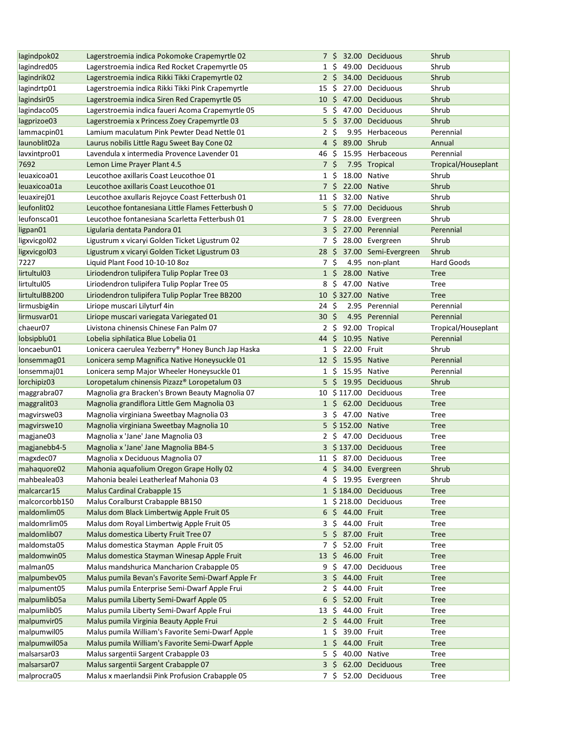| lagindpok02              | Lagerstroemia indica Pokomoke Crapemyrtle 02      |                  |             |                    | 7 \$ 32.00 Deciduous  | Shrub               |
|--------------------------|---------------------------------------------------|------------------|-------------|--------------------|-----------------------|---------------------|
| lagindred05              | Lagerstroemia indica Red Rocket Crapemyrtle 05    | 1 S              |             |                    | 49.00 Deciduous       | Shrub               |
| lagindrik02              | Lagerstroemia indica Rikki Tikki Crapemyrtle 02   |                  | $2\sqrt{5}$ |                    | 34.00 Deciduous       | Shrub               |
| lagindrtp01              | Lagerstroemia indica Rikki Tikki Pink Crapemyrtle | 15               | Ŝ.          |                    | 27.00 Deciduous       | Shrub               |
| lagindsir05              | Lagerstroemia indica Siren Red Crapemyrtle 05     |                  |             |                    | 10 \$ 47.00 Deciduous | Shrub               |
| lagindaco05              | Lagerstroemia indica faueri Acoma Crapemyrtle 05  | 5                | Ŝ.          |                    | 47.00 Deciduous       | Shrub               |
| lagprizoe03              | Lagerstroemia x Princess Zoey Crapemyrtle 03      |                  | $5\,$ \$    |                    | 37.00 Deciduous       | Shrub               |
| lammacpin01              | Lamium maculatum Pink Pewter Dead Nettle 01       | 2\$              |             |                    | 9.95 Herbaceous       | Perennial           |
| launoblit <sub>02a</sub> | Laurus nobilis Little Ragu Sweet Bay Cone 02      | $4\overline{5}$  |             | 89.00 Shrub        |                       | Annual              |
| lavxintpro01             | Lavendula x intermedia Provence Lavender 01       | 46               | -\$         |                    | 15.95 Herbaceous      | Perennial           |
| 7692                     | Lemon Lime Prayer Plant 4.5                       | 7 <sup>5</sup>   |             |                    | 7.95 Tropical         | Tropical/Houseplant |
| leuaxicoa01              | Leucothoe axillaris Coast Leucothoe 01            | $1\;$ \$         |             |                    | 18.00 Native          | Shrub               |
| leuaxicoa01a             | Leucothoe axillaris Coast Leucothoe 01            |                  |             | 7 \$ 22.00 Native  |                       | Shrub               |
| leuaxirej01              | Leucothoe axullaris Rejoyce Coast Fetterbush 01   | $11 \; \text{S}$ |             |                    | 32.00 Native          | Shrub               |
| leufonlit <sub>02</sub>  | Leucothoe fontanesiana Little Flames Fetterbush 0 |                  |             |                    | 5 \$ 77.00 Deciduous  | Shrub               |
| leufonsca01              | Leucothoe fontanesiana Scarletta Fetterbush 01    |                  | 7\$         |                    | 28.00 Evergreen       | Shrub               |
| ligpan01                 | Ligularia dentata Pandora 01                      |                  |             |                    | 3 \$ 27.00 Perennial  | Perennial           |
| ligxvicgol02             | Ligustrum x vicaryi Golden Ticket Ligustrum 02    | 7\$              |             |                    | 28.00 Evergreen       | Shrub               |
| ligxvicgol03             | Ligustrum x vicaryi Golden Ticket Ligustrum 03    | 28 <sup>5</sup>  |             |                    | 37.00 Semi-Evergreen  | Shrub               |
| 7227                     | Liquid Plant Food 10-10-10 8oz                    | 7\$              |             |                    | 4.95 non-plant        | Hard Goods          |
| lirtultul03              | Liriodendron tulipifera Tulip Poplar Tree 03      | $1\,$ \$         |             |                    | 28.00 Native          | <b>Tree</b>         |
| lirtultul05              | Liriodendron tulipifera Tulip Poplar Tree 05      | 8                | \$.         |                    | 47.00 Native          | Tree                |
| lirtultulBB200           | Liriodendron tulipifera Tulip Poplar Tree BB200   |                  |             | 10 \$327.00 Native |                       | <b>Tree</b>         |
| lirmusbig4in             | Liriope muscari Lilyturf 4in                      | 24 \$            |             |                    | 2.95 Perennial        | Perennial           |
| lirmusvar01              | Liriope muscari variegata Variegated 01           | 30               | Ŝ.          |                    | 4.95 Perennial        | Perennial           |
| chaeur07                 | Livistona chinensis Chinese Fan Palm 07           |                  | 2\$         |                    | 92.00 Tropical        | Tropical/Houseplant |
| lobsipblu01              | Lobelia siphilatica Blue Lobelia 01               | 44               | Ŝ.          |                    | 10.95 Native          | Perennial           |
| loncaebun01              | Lonicera caerulea Yezberry® Honey Bunch Jap Haska | $1\;$ \$         |             | 22.00 Fruit        |                       | Shrub               |
| lonsemmag01              | Lonicera semp Magnifica Native Honeysuckle 01     | $12 \div$        |             | 15.95 Native       |                       | Perennial           |
| lonsemmaj01              | Lonicera semp Major Wheeler Honeysuckle 01        |                  |             | 1 \$ 15.95 Native  |                       | Perennial           |
| lorchipiz03              | Loropetalum chinensis Pizazz® Loropetalum 03      | 5                |             |                    | \$ 19.95 Deciduous    | Shrub               |
| maggrabra07              | Magnolia gra Bracken's Brown Beauty Magnolia 07   |                  |             |                    | 10 \$117.00 Deciduous | Tree                |
| maggralit03              | Magnolia grandiflora Little Gem Magnolia 03       |                  |             |                    | 1 \$ 62.00 Deciduous  | <b>Tree</b>         |
| magvirswe03              | Magnolia virginiana Sweetbay Magnolia 03          |                  |             | 3 \$ 47.00 Native  |                       | Tree                |
| magvirswe10              | Magnolia virginiana Sweetbay Magnolia 10          |                  |             | 5 \$152.00 Native  |                       | <b>Tree</b>         |
| magjane03                | Magnolia x 'Jane' Jane Magnolia 03                |                  |             |                    | 2 \$ 47.00 Deciduous  | Tree                |
| magjanebb4-5             | Magnolia x 'Jane' Jane Magnolia BB4-5             |                  |             |                    | 3 \$137.00 Deciduous  | <b>Tree</b>         |
| magxdec07                | Magnolia x Deciduous Magnolia 07                  |                  |             |                    | 11 \$ 87.00 Deciduous | Tree                |
| mahaquore02              | Mahonia aquafolium Oregon Grape Holly 02          |                  |             |                    | 4 \$ 34.00 Evergreen  | Shrub               |
| mahbealea03              | Mahonia bealei Leatherleaf Mahonia 03             |                  |             |                    | 4 \$ 19.95 Evergreen  | Shrub               |
| malcarcar15              | Malus Cardinal Crabapple 15                       |                  |             |                    | 1 \$184.00 Deciduous  | <b>Tree</b>         |
| malcorcorbb150           | Malus Coralburst Crabapple BB150                  |                  |             |                    | 1 \$218.00 Deciduous  | <b>Tree</b>         |
| maldomlim05              | Malus dom Black Limbertwig Apple Fruit 05         |                  |             | 6 \$ 44.00 Fruit   |                       | <b>Tree</b>         |
| maldomrlim05             | Malus dom Royal Limbertwig Apple Fruit 05         |                  | 3\$         | 44.00 Fruit        |                       | Tree                |
| maldomlib07              | Malus domestica Liberty Fruit Tree 07             |                  |             | 5 \$ 87.00 Fruit   |                       | <b>Tree</b>         |
| maldomsta05              | Malus domestica Stayman Apple Fruit 05            | 7\$              |             | 52.00 Fruit        |                       | Tree                |
| maldomwin05              | Malus domestica Stayman Winesap Apple Fruit       | $13 \; \text{S}$ |             | 46.00 Fruit        |                       | <b>Tree</b>         |
| malman05                 | Malus mandshurica Mancharion Crabapple 05         | 9                | \$          |                    | 47.00 Deciduous       | Tree                |
| malpumbev05              | Malus pumila Bevan's Favorite Semi-Dwarf Apple Fr | $3\overline{5}$  |             | 44.00 Fruit        |                       | <b>Tree</b>         |
| malpument05              | Malus pumila Enterprise Semi-Dwarf Apple Frui     | $2\sqrt{5}$      |             | 44.00 Fruit        |                       | Tree                |
| malpumlib05a             | Malus pumila Liberty Semi-Dwarf Apple 05          | 6                | $\zeta$     | 52.00 Fruit        |                       | <b>Tree</b>         |
| malpumlib05              | Malus pumila Liberty Semi-Dwarf Apple Frui        | $13 \; \xi$      |             | 44.00 Fruit        |                       | Tree                |
| malpumvir05              | Malus pumila Virginia Beauty Apple Frui           |                  |             | 2 \$ 44.00 Fruit   |                       | <b>Tree</b>         |
| malpumwil05              | Malus pumila William's Favorite Semi-Dwarf Apple  | $1\;$ \$         |             | 39.00 Fruit        |                       | <b>Tree</b>         |
| malpumwil05a             | Malus pumila William's Favorite Semi-Dwarf Apple  |                  |             | 1 \$ 44.00 Fruit   |                       | <b>Tree</b>         |
| malsarsar03              | Malus sargentii Sargent Crabapple 03              | 5                | \$          |                    | 40.00 Native          | Tree                |
| malsarsar07              | Malus sargentii Sargent Crabapple 07              | $3\overline{5}$  |             |                    | 62.00 Deciduous       | <b>Tree</b>         |
| malprocra05              | Malus x maerlandsii Pink Profusion Crabapple 05   |                  | 7\$         |                    | 52.00 Deciduous       | Tree                |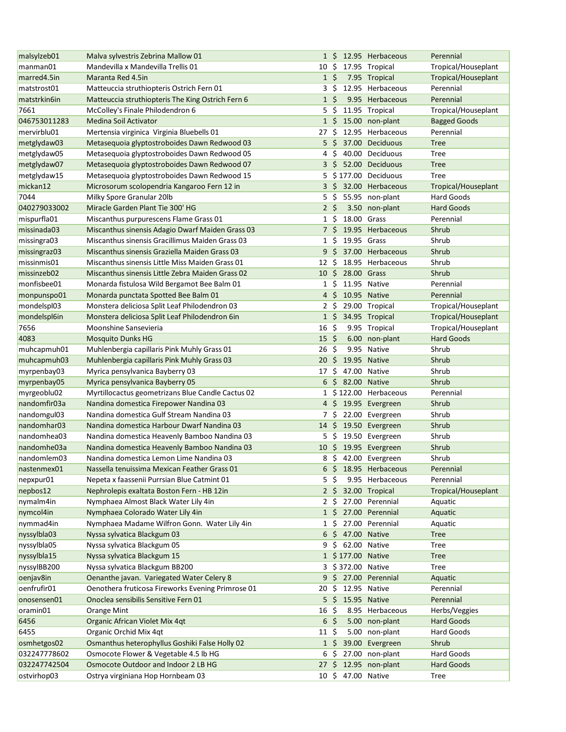| malsylzeb01  | Malva sylvestris Zebrina Mallow 01                |                 |                    |                    | 1 \$ 12.95 Herbaceous | Perennial           |
|--------------|---------------------------------------------------|-----------------|--------------------|--------------------|-----------------------|---------------------|
| manman01     | Mandevilla x Mandevilla Trellis 01                |                 |                    |                    | 10 \$ 17.95 Tropical  | Tropical/Houseplant |
| marred4.5in  | Maranta Red 4.5in                                 | $1\;$ \$        |                    |                    | 7.95 Tropical         | Tropical/Houseplant |
| matstrost01  | Matteuccia struthiopteris Ostrich Fern 01         | 3\$             |                    |                    | 12.95 Herbaceous      | Perennial           |
| matstrkin6in | Matteuccia struthiopteris The King Ostrich Fern 6 | $1\overline{5}$ |                    |                    | 9.95 Herbaceous       | Perennial           |
| 7661         | McColley's Finale Philodendron 6                  | 5               | - \$               |                    | 11.95 Tropical        | Tropical/Houseplant |
| 046753011283 | Medina Soil Activator                             |                 |                    |                    | 1 \$ 15.00 non-plant  | <b>Bagged Goods</b> |
| mervirblu01  | Mertensia virginica Virginia Bluebells 01         | 27 \$           |                    |                    | 12.95 Herbaceous      | Perennial           |
| metglydaw03  | Metasequoia glyptostroboides Dawn Redwood 03      | $5\frac{1}{2}$  |                    |                    | 37.00 Deciduous       | <b>Tree</b>         |
| metglydaw05  | Metasequoia glyptostroboides Dawn Redwood 05      | 4               | \$                 |                    | 40.00 Deciduous       | Tree                |
| metglydaw07  | Metasequoia glyptostroboides Dawn Redwood 07      | 3 \$            |                    |                    | 52.00 Deciduous       | <b>Tree</b>         |
| metglydaw15  | Metasequoia glyptostroboides Dawn Redwood 15      |                 |                    |                    | 5 \$177.00 Deciduous  | Tree                |
| mickan12     | Microsorum scolopendria Kangaroo Fern 12 in       |                 |                    |                    | 3 \$ 32.00 Herbaceous | Tropical/Houseplant |
| 7044         | Milky Spore Granular 20lb                         | 5\$             |                    |                    | 55.95 non-plant       | Hard Goods          |
|              | Miracle Garden Plant Tie 300' HG                  |                 |                    |                    |                       |                     |
| 040279033002 |                                                   | 2 <sup>5</sup>  |                    |                    | 3.50 non-plant        | <b>Hard Goods</b>   |
| mispurfla01  | Miscanthus purpurescens Flame Grass 01            | $1\,$ \$        |                    | 18.00 Grass        |                       | Perennial           |
| missinada03  | Miscanthus sinensis Adagio Dwarf Maiden Grass 03  | 7 S             |                    |                    | 19.95 Herbaceous      | Shrub               |
| missingra03  | Miscanthus sinensis Gracillimus Maiden Grass 03   | $1\,$ \$        |                    | 19.95 Grass        |                       | Shrub               |
| missingraz03 | Miscanthus sinensis Graziella Maiden Grass 03     | 9               | \$                 |                    | 37.00 Herbaceous      | Shrub               |
| missinmis01  | Miscanthus sinensis Little Miss Maiden Grass 01   | 12 S            |                    |                    | 18.95 Herbaceous      | Shrub               |
| missinzeb02  | Miscanthus sinensis Little Zebra Maiden Grass 02  | 10 <sub>5</sub> |                    | 28.00 Grass        |                       | Shrub               |
| monfisbee01  | Monarda fistulosa Wild Bergamot Bee Balm 01       | 1 S             |                    |                    | 11.95 Native          | Perennial           |
| monpunspo01  | Monarda punctata Spotted Bee Balm 01              | 4               | \$                 |                    | 10.95 Native          | Perennial           |
| mondelspl03  | Monstera deliciosa Split Leaf Philodendron 03     | $2\sqrt{5}$     |                    |                    | 29.00 Tropical        | Tropical/Houseplant |
| mondelspl6in | Monstera deliciosa Split Leaf Philodendron 6in    | $1\;$ \$        |                    |                    | 34.95 Tropical        | Tropical/Houseplant |
| 7656         | Moonshine Sansevieria                             | 16              | \$                 |                    | 9.95 Tropical         | Tropical/Houseplant |
| 4083         | <b>Mosquito Dunks HG</b>                          | 15              | $\ddot{\varsigma}$ |                    | 6.00 non-plant        | <b>Hard Goods</b>   |
| muhcapmuh01  | Muhlenbergia capillaris Pink Muhly Grass 01       | 26              | -\$                |                    | 9.95 Native           | Shrub               |
| muhcapmuh03  | Muhlenbergia capillaris Pink Muhly Grass 03       | 20              | S.                 |                    | 19.95 Native          | Shrub               |
| myrpenbay03  | Myrica pensylvanica Bayberry 03                   | 17 \$           |                    |                    | 47.00 Native          | Shrub               |
| myrpenbay05  | Myrica pensylvanica Bayberry 05                   | 6               |                    | \$ 82.00 Native    |                       | Shrub               |
| myrgeoblu02  | Myrtillocactus geometrizans Blue Candle Cactus 02 |                 |                    |                    | 1 \$122.00 Herbaceous | Perennial           |
| nandomfir03a | Nandina domestica Firepower Nandina 03            |                 |                    |                    | 4 \$ 19.95 Evergreen  | Shrub               |
| nandomgul03  | Nandina domestica Gulf Stream Nandina 03          |                 |                    |                    | 7 \$ 22.00 Evergreen  | Shrub               |
| nandomhar03  | Nandina domestica Harbour Dwarf Nandina 03        |                 |                    |                    | 14 \$ 19.50 Evergreen | Shrub               |
| nandomhea03  | Nandina domestica Heavenly Bamboo Nandina 03      |                 |                    |                    | 5 \$ 19.50 Evergreen  | Shrub               |
| nandomhe03a  | Nandina domestica Heavenly Bamboo Nandina 03      |                 |                    |                    | 10 \$ 19.95 Evergreen | Shrub               |
| nandomlem03  | Nandina domestica Lemon Lime Nandina 03           |                 |                    |                    | 8 \$ 42.00 Evergreen  | Shrub               |
| nastenmex01  | Nassella tenuissima Mexican Feather Grass 01      | 6               | -\$                |                    | 18.95 Herbaceous      | Perennial           |
| nepxpur01    | Nepeta x faassenii Purrsian Blue Catmint 01       | 5\$             |                    |                    | 9.95 Herbaceous       | Perennial           |
| nepbos12     | Nephrolepis exaltata Boston Fern - HB 12in        | $2 \cdot 5$     |                    |                    | 32.00 Tropical        | Tropical/Houseplant |
| nymalm4in    | Nymphaea Almost Black Water Lily 4in              | 2 \$            |                    |                    | 27.00 Perennial       | Aquatic             |
| nymcol4in    | Nymphaea Colorado Water Lily 4in                  | $1\,$ S         |                    |                    | 27.00 Perennial       | Aquatic             |
| nymmad4in    | Nymphaea Madame Wilfron Gonn. Water Lily 4in      | 1 S             |                    |                    | 27.00 Perennial       | Aquatic             |
| nyssylbla03  | Nyssa sylvatica Blackgum 03                       | 6\$             |                    |                    | 47.00 Native          | <b>Tree</b>         |
|              |                                                   |                 |                    |                    |                       |                     |
| nyssylbla05  | Nyssa sylvatica Blackgum 05                       | 9               | \$                 |                    | 62.00 Native          | Tree                |
| nyssylbla15  | Nyssa sylvatica Blackgum 15                       |                 |                    | 1 \$177.00 Native  |                       | <b>Tree</b>         |
| nyssylBB200  | Nyssa sylvatica Blackgum BB200                    |                 |                    | 3 \$372.00 Native  |                       | <b>Tree</b>         |
| oenjav8in    | Oenanthe javan. Variegated Water Celery 8         | 9               | \$                 |                    | 27.00 Perennial       | Aquatic             |
| oenfrufir01  | Oenothera fruticosa Fireworks Evening Primrose 01 | 20              | \$                 |                    | 12.95 Native          | Perennial           |
| onosensen01  | Onoclea sensibilis Sensitive Fern 01              | 5               | $\ddot{\phi}$      |                    | 15.95 Native          | Perennial           |
| oramin01     | <b>Orange Mint</b>                                | 16              | \$                 |                    | 8.95 Herbaceous       | Herbs/Veggies       |
| 6456         | Organic African Violet Mix 4qt                    | 6               | -\$                |                    | 5.00 non-plant        | <b>Hard Goods</b>   |
| 6455         | Organic Orchid Mix 4qt                            | 11 S            |                    |                    | 5.00 non-plant        | Hard Goods          |
| osmhetgos02  | Osmanthus heterophyllus Goshiki False Holly 02    | $1\,$ \$        |                    |                    | 39.00 Evergreen       | Shrub               |
| 032247778602 | Osmocote Flower & Vegetable 4.5 lb HG             | 6\$             |                    |                    | 27.00 non-plant       | Hard Goods          |
| 032247742504 | Osmocote Outdoor and Indoor 2 LB HG               |                 |                    |                    | 27 \$ 12.95 non-plant | <b>Hard Goods</b>   |
| ostvirhop03  | Ostrya virginiana Hop Hornbeam 03                 |                 |                    | 10 \$ 47.00 Native |                       | Tree                |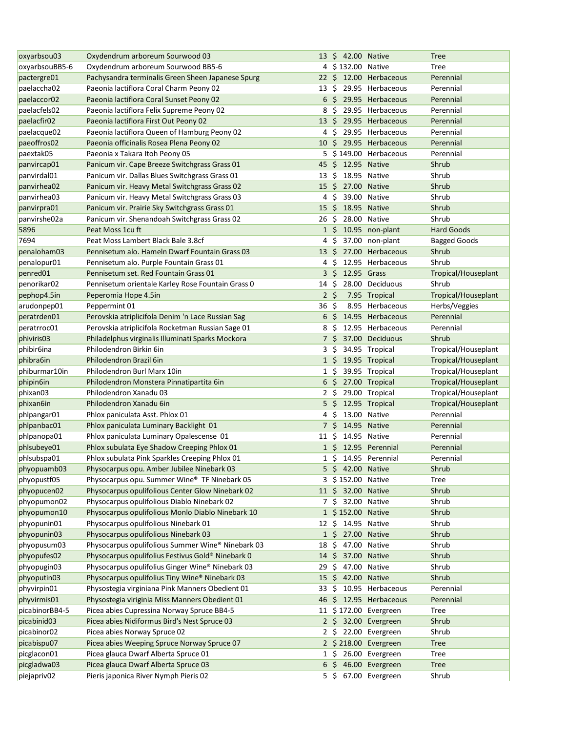| oxyarbsou03          | Oxydendrum arboreum Sourwood 03                   |              | 13 \$ 42.00 Native   |                          | <b>Tree</b>         |
|----------------------|---------------------------------------------------|--------------|----------------------|--------------------------|---------------------|
| oxyarbsouBB5-6       | Oxydendrum arboreum Sourwood BB5-6                |              | 4 \$132.00 Native    |                          | Tree                |
| pactergre01          | Pachysandra terminalis Green Sheen Japanese Spurg |              |                      | 22 \$ 12.00 Herbaceous   | Perennial           |
| paelaccha02          | Paeonia lactiflora Coral Charm Peony 02           | 13           | -S                   | 29.95 Herbaceous         | Perennial           |
| paelaccor02          | Paeonia lactiflora Coral Sunset Peony 02          |              |                      | 6 \$ 29.95 Herbaceous    | Perennial           |
| paelacfels02         | Paeonia lactiflora Felix Supreme Peony 02         | 8            | Ŝ.                   | 29.95 Herbaceous         | Perennial           |
| paelacfir02          | Paeonia lactiflora First Out Peony 02             |              |                      | 13 \$ 29.95 Herbaceous   | Perennial           |
| paelacque02          | Paeonia lactiflora Queen of Hamburg Peony 02      |              | 4 S                  | 29.95 Herbaceous         | Perennial           |
| paeoffros02          | Paeonia officinalis Rosea Plena Peony 02          | 10           | - Ś                  | 29.95 Herbaceous         | Perennial           |
| paextak05            | Paeonia x Takara Itoh Peony 05                    |              |                      | 5 \$149.00 Herbaceous    | Perennial           |
| panvircap01          | Panicum vir. Cape Breeze Switchgrass Grass 01     |              | 45 \$ 12.95 Native   |                          | Shrub               |
| panvirdal01          | Panicum vir. Dallas Blues Switchgrass Grass 01    | 13           | -\$                  | 18.95 Native             | Shrub               |
| panvirhea02          | Panicum vir. Heavy Metal Switchgrass Grass 02     |              | 15 \$ 27.00 Native   |                          | Shrub               |
| panvirhea03          | Panicum vir. Heavy Metal Switchgrass Grass 03     |              | 4\$                  | 39.00 Native             | Shrub               |
| panvirpra01          | Panicum vir. Prairie Sky Switchgrass Grass 01     | $15 \; \xi$  |                      | 18.95 Native             | Shrub               |
| panvirshe02a         | Panicum vir. Shenandoah Switchgrass Grass 02      | 26           | Ŝ.                   | 28.00 Native             | Shrub               |
| 5896                 | Peat Moss 1cu ft                                  |              |                      | 1 \$ 10.95 non-plant     | <b>Hard Goods</b>   |
| 7694                 | Peat Moss Lambert Black Bale 3.8cf                | 4            | \$                   | 37.00 non-plant          | <b>Bagged Goods</b> |
| penaloham03          | Pennisetum alo. Hameln Dwarf Fountain Grass 03    | $13 \cdot 5$ |                      | 27.00 Herbaceous         | Shrub               |
| penalopur01          | Pennisetum alo. Purple Fountain Grass 01          | 4            | -Ś                   | 12.95 Herbaceous         | Shrub               |
| penred <sub>01</sub> | Pennisetum set. Red Fountain Grass 01             |              | 3\$<br>12.95 Grass   |                          | Tropical/Houseplant |
| penorikar02          | Pennisetum orientale Karley Rose Fountain Grass 0 | 14           | -\$                  | 28.00 Deciduous          | Shrub               |
| pephop4.5in          | Peperomia Hope 4.5in                              |              | 2 <sup>5</sup>       | 7.95 Tropical            | Tropical/Houseplant |
| arudonpep01          | Peppermint 01                                     | 36           | -\$                  | 8.95 Herbaceous          | Herbs/Veggies       |
| peratrden01          | Perovskia atriplicifola Denim 'n Lace Russian Sag | 6            | Ŝ                    | 14.95 Herbaceous         | Perennial           |
| peratrroc01          | Perovskia atriplicifola Rocketman Russian Sage 01 | 8            | S                    | 12.95 Herbaceous         | Perennial           |
| phiviris03           | Philadelphus virginalis Illuminati Sparks Mockora |              | 7 S                  | 37.00 Deciduous          | Shrub               |
| phibir6ina           | Philodendron Birkin 6in                           | 3            | Ŝ.                   | 34.95 Tropical           | Tropical/Houseplant |
| phibra6in            | Philodendron Brazil 6in                           |              | 1 \$ 19.95 Tropical  |                          | Tropical/Houseplant |
| phiburmar10in        | Philodendron Burl Marx 10in                       |              | $1\;$ \$             | 39.95 Tropical           | Tropical/Houseplant |
| phipin6in            | Philodendron Monstera Pinnatipartita 6in          |              | 6 \$ 27.00 Tropical  |                          | Tropical/Houseplant |
| phixan03             | Philodendron Xanadu 03                            |              | $2\,$ \$             | 29.00 Tropical           | Tropical/Houseplant |
| phixan6in            | Philodendron Xanadu 6in                           |              | 5\$                  | 12.95 Tropical           | Tropical/Houseplant |
| phlpangar01          | Phlox paniculata Asst. Phlox 01                   | 4            | -\$                  | 13.00 Native             | Perennial           |
| phlpanbac01          | Phlox paniculata Luminary Backlight 01            |              | 7\$                  | 14.95 Native             | Perennial           |
| phlpanopa01          | Phlox paniculata Luminary Opalescense 01          | $11\,$ \$    |                      | 14.95 Native             | Perennial           |
| phlsubeye01          | Phlox subulata Eye Shadow Creeping Phlox 01       |              | 1 \$ 12.95 Perennial |                          | Perennial           |
| phlsubspa01          | Phlox subulata Pink Sparkles Creeping Phlox 01    |              | 1 \$ 14.95 Perennial |                          | Perennial           |
| phyopuamb03          | Physocarpus opu. Amber Jubilee Ninebark 03        |              | 5 \$ 42.00 Native    |                          | Shrub               |
| phyopustf05          | Physocarpus opu. Summer Wine® TF Ninebark 05      |              | 3 \$152.00 Native    |                          | Tree                |
| phyopucen02          | Physocarpus opulifolious Center Glow Ninebark 02  |              | 11 \$ 32.00 Native   |                          | Shrub               |
| phyopumon02          | Physocarpus opulifolious Diablo Ninebark 02       |              | 7 \$ 32.00 Native    |                          | Shrub               |
| phyopumon10          | Physocarpus opulifolious Monlo Diablo Ninebark 10 |              | 1 \$152.00 Native    |                          | Shrub               |
| phyopunin01          | Physocarpus opulifolious Ninebark 01              |              | 12 \$ 14.95 Native   |                          | Shrub               |
| phyopunin03          | Physocarpus opulifolious Ninebark 03              |              | 1 \$ 27.00 Native    |                          | Shrub               |
| phyopusum03          | Physocarpus opulifolious Summer Wine® Ninebark 03 | 18 \$        |                      | 47.00 Native             | Shrub               |
| phyopufes02          | Physocarpus opulifolius Festivus Gold® Ninebark 0 |              | 14 \$ 37.00 Native   |                          | Shrub               |
| phyopugin03          | Physocarpus opulifolius Ginger Wine® Ninebark 03  | 29           | \$.                  | 47.00 Native             | Shrub               |
| phyoputin03          | Physocarpus opulifolius Tiny Wine® Ninebark 03    | 15           | \$.                  | 42.00 Native             | Shrub               |
| phyvirpin01          | Physostegia virginiana Pink Manners Obedient 01   | 33           | \$.                  | 10.95 Herbaceous         | Perennial           |
| phyvirmis01          | Physostegia viriginia Miss Manners Obedient 01    | 46           |                      | \$ 12.95 Herbaceous      | Perennial           |
| picabinorBB4-5       | Picea abies Cupressina Norway Spruce BB4-5        |              |                      | 11 \$172.00 Evergreen    | Tree                |
| picabinid03          | Picea abies Nidiformus Bird's Nest Spruce 03      |              |                      | 2 \$ 32.00 Evergreen     | Shrub               |
| picabinor02          | Picea abies Norway Spruce 02                      |              |                      | 2 \$ 22.00 Evergreen     | Shrub               |
| picabispu07          | Picea abies Weeping Spruce Norway Spruce 07       |              |                      | 2 \$218.00 Evergreen     | <b>Tree</b>         |
| picglacon01          | Picea glauca Dwarf Alberta Spruce 01              |              |                      | $1 \div 26.00$ Evergreen | <b>Tree</b>         |
| picgladwa03          | Picea glauca Dwarf Alberta Spruce 03              |              |                      | $6\,$ \$ 46.00 Evergreen | <b>Tree</b>         |
| piejapriv02          | Pieris japonica River Nymph Pieris 02             |              |                      | 5 \$ 67.00 Evergreen     | Shrub               |
|                      |                                                   |              |                      |                          |                     |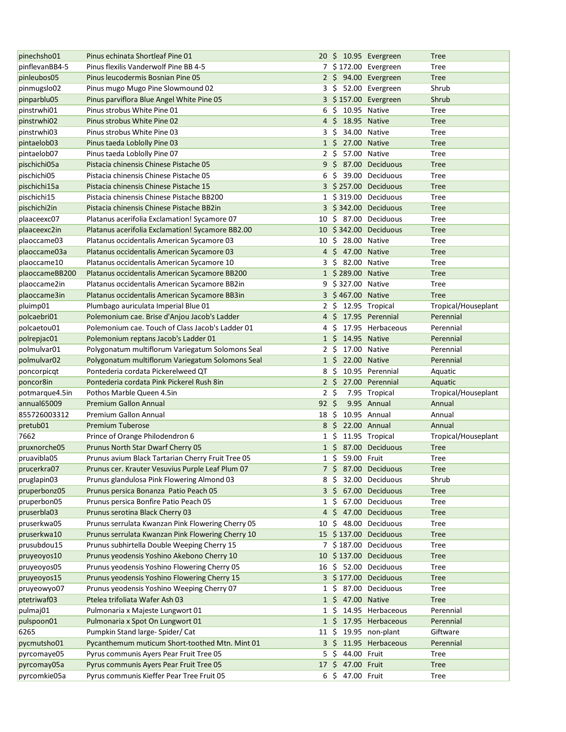| pinechsho01             | Pinus echinata Shortleaf Pine 01                  |                 |                    | 20 \$ 10.95 Evergreen | <b>Tree</b>         |
|-------------------------|---------------------------------------------------|-----------------|--------------------|-----------------------|---------------------|
| pinflevanBB4-5          | Pinus flexilis Vanderwolf Pine BB 4-5             |                 |                    | 7 \$172.00 Evergreen  | Tree                |
| pinleubos05             | Pinus leucodermis Bosnian Pine 05                 |                 |                    | 2 \$ 94.00 Evergreen  | <b>Tree</b>         |
| pinmugslo02             | Pinus mugo Mugo Pine Slowmound 02                 |                 |                    | 3 \$ 52.00 Evergreen  | Shrub               |
| pinparblu05             | Pinus parviflora Blue Angel White Pine 05         |                 |                    | 3 \$157.00 Evergreen  | Shrub               |
| pinstrwhi01             | Pinus strobus White Pine 01                       | 6               | - \$               | 10.95 Native          | <b>Tree</b>         |
| pinstrwhi02             | Pinus strobus White Pine 02                       | $4\overline{5}$ | 18.95 Native       |                       | <b>Tree</b>         |
| pinstrwhi03             | Pinus strobus White Pine 03                       | 3               | -\$                | 34.00 Native          | <b>Tree</b>         |
| pintaelob03             | Pinus taeda Loblolly Pine 03                      | $1\overline{5}$ |                    | 27.00 Native          | <b>Tree</b>         |
| pintaelob07             | Pinus taeda Loblolly Pine 07                      | $2 \cdot$ \$    |                    | 57.00 Native          | Tree                |
| pischichi05a            | Pistacia chinensis Chinese Pistache 05            |                 |                    | 9 \$ 87.00 Deciduous  | <b>Tree</b>         |
| pischichi05             | Pistacia chinensis Chinese Pistache 05            |                 | 6\$                | 39.00 Deciduous       | Tree                |
| pischichi15a            | Pistacia chinensis Chinese Pistache 15            |                 |                    | 3 \$257.00 Deciduous  | <b>Tree</b>         |
| pischichi15             | Pistacia chinensis Chinese Pistache BB200         |                 |                    | 1 \$319.00 Deciduous  | Tree                |
| pischichi2in            | Pistacia chinensis Chinese Pistache BB2in         |                 |                    | 3 \$342.00 Deciduous  | <b>Tree</b>         |
| plaaceexc07             | Platanus acerifolia Exclamation! Sycamore 07      |                 |                    | 10 \$ 87.00 Deciduous | Tree                |
| plaaceexc2in            | Platanus acerifolia Exclamation! Sycamore BB2.00  |                 |                    | 10 \$342.00 Deciduous | <b>Tree</b>         |
| plaoccame03             | Platanus occidentalis American Sycamore 03        | 10 S            |                    | 28.00 Native          | Tree                |
| plaoccame03a            | Platanus occidentalis American Sycamore 03        |                 | 4 \$ 47.00 Native  |                       | <b>Tree</b>         |
| plaoccame10             | Platanus occidentalis American Sycamore 10        | 3               | \$                 | 82.00 Native          | Tree                |
| plaoccameBB200          | Platanus occidentalis American Sycamore BB200     |                 | 1 \$289.00 Native  |                       | <b>Tree</b>         |
| plaoccame2in            | Platanus occidentalis American Sycamore BB2in     |                 | 9 \$327.00 Native  |                       | Tree                |
| plaoccame3in            | Platanus occidentalis American Sycamore BB3in     |                 | 3 \$467.00 Native  |                       | <b>Tree</b>         |
| pluimp01                | Plumbago auriculata Imperial Blue 01              | 2 S             |                    | 12.95 Tropical        | Tropical/Houseplant |
| polcaebri01             | Polemonium cae. Brise d'Anjou Jacob's Ladder      | 4               | Ŝ.                 | 17.95 Perennial       | Perennial           |
| polcaetou01             | Polemonium cae. Touch of Class Jacob's Ladder 01  | 4               | Ŝ                  | 17.95 Herbaceous      | Perennial           |
| polrepjac01             | Polemonium reptans Jacob's Ladder 01              |                 | 1 \$ 14.95 Native  |                       | Perennial           |
| polmulvar01             | Polygonatum multiflorum Variegatum Solomons Seal  | $2\sqrt{5}$     |                    | 17.00 Native          | Perennial           |
| polmulvar <sub>02</sub> | Polygonatum multiflorum Variegatum Solomons Seal  |                 | 1 \$ 22.00 Native  |                       | Perennial           |
| poncorpicqt             | Pontederia cordata Pickerelweed QT                | 8\$             |                    | 10.95 Perennial       | Aquatic             |
| poncor8in               | Pontederia cordata Pink Pickerel Rush 8in         | $2\sqrt{5}$     |                    | 27.00 Perennial       | Aquatic             |
| potmarque4.5in          | Pothos Marble Queen 4.5in                         | $2 \;$ \$       |                    | 7.95 Tropical         | Tropical/Houseplant |
| annual65009             | <b>Premium Gallon Annual</b>                      | 92 <sup>5</sup> |                    | 9.95 Annual           | Annual              |
| 855726003312            | <b>Premium Gallon Annual</b>                      | 18 \$           |                    | 10.95 Annual          | Annual              |
| pretub01                | <b>Premium Tuberose</b>                           |                 | 8\$                | 22.00 Annual          | Annual              |
| 7662                    | Prince of Orange Philodendron 6                   |                 | $1\,$ \$           | 11.95 Tropical        | Tropical/Houseplant |
| pruxnorche05            | Prunus North Star Dwarf Cherry 05                 |                 |                    | 1 \$ 87.00 Deciduous  | <b>Tree</b>         |
| pruavibla05             | Prunus avium Black Tartarian Cherry Fruit Tree 05 |                 | 1 \$ 59.00 Fruit   |                       | Tree                |
| prucerkra07             | Prunus cer. Krauter Vesuvius Purple Leaf Plum 07  |                 |                    | 7 \$ 87.00 Deciduous  | <b>Tree</b>         |
| pruglapin03             | Prunus glandulosa Pink Flowering Almond 03        | 8\$             |                    | 32.00 Deciduous       | Shrub               |
| pruperbonz05            | Prunus persica Bonanza Patio Peach 05             |                 |                    | 3 \$ 67.00 Deciduous  | <b>Tree</b>         |
| pruperbon05             | Prunus persica Bonfire Patio Peach 05             |                 | $1\,$ \$           | 67.00 Deciduous       | Tree                |
| pruserbla03             | Prunus serotina Black Cherry 03                   |                 |                    | 4 \$ 47.00 Deciduous  | <b>Tree</b>         |
| pruserkwa05             | Prunus serrulata Kwanzan Pink Flowering Cherry 05 | 10 \$           |                    | 48.00 Deciduous       | Tree                |
| pruserkwa10             | Prunus serrulata Kwanzan Pink Flowering Cherry 10 |                 |                    | 15 \$137.00 Deciduous | <b>Tree</b>         |
| prusubdou15             | Prunus subhirtella Double Weeping Cherry 15       |                 |                    | 7 \$187.00 Deciduous  | Tree                |
| pruyeoyos10             | Prunus yeodensis Yoshino Akebono Cherry 10        |                 |                    | 10 \$137.00 Deciduous | <b>Tree</b>         |
| pruyeoyos05             | Prunus yeodensis Yoshino Flowering Cherry 05      |                 |                    | 16 \$ 52.00 Deciduous | Tree                |
| pruyeoyos15             | Prunus yeodensis Yoshino Flowering Cherry 15      |                 |                    | 3 \$177.00 Deciduous  | <b>Tree</b>         |
| pruyeowyo07             | Prunus yeodensis Yoshino Weeping Cherry 07        |                 | 1\$                | 87.00 Deciduous       | Tree                |
| ptetriwaf03             | Ptelea trifoliata Wafer Ash 03                    |                 | 1 \$ 47.00 Native  |                       | <b>Tree</b>         |
| pulmaj01                | Pulmonaria x Majeste Lungwort 01                  |                 | 1 S                | 14.95 Herbaceous      | Perennial           |
| pulspoon01              | Pulmonaria x Spot On Lungwort 01                  |                 |                    | 1 \$ 17.95 Herbaceous | Perennial           |
| 6265                    | Pumpkin Stand large-Spider/Cat                    |                 |                    | 11 \$ 19.95 non-plant | Giftware            |
| pycmutsho01             | Pycanthemum muticum Short-toothed Mtn. Mint 01    |                 |                    | 3 \$ 11.95 Herbaceous | Perennial           |
| pyrcomaye05             | Pyrus communis Ayers Pear Fruit Tree 05           |                 | 44.00 Fruit<br>5\$ |                       | <b>Tree</b>         |
| pyrcomay05a             | Pyrus communis Ayers Pear Fruit Tree 05           |                 | 17 \$ 47.00 Fruit  |                       | <b>Tree</b>         |
| pyrcomkie05a            | Pyrus communis Kieffer Pear Tree Fruit 05         |                 | 6 \$ 47.00 Fruit   |                       | <b>Tree</b>         |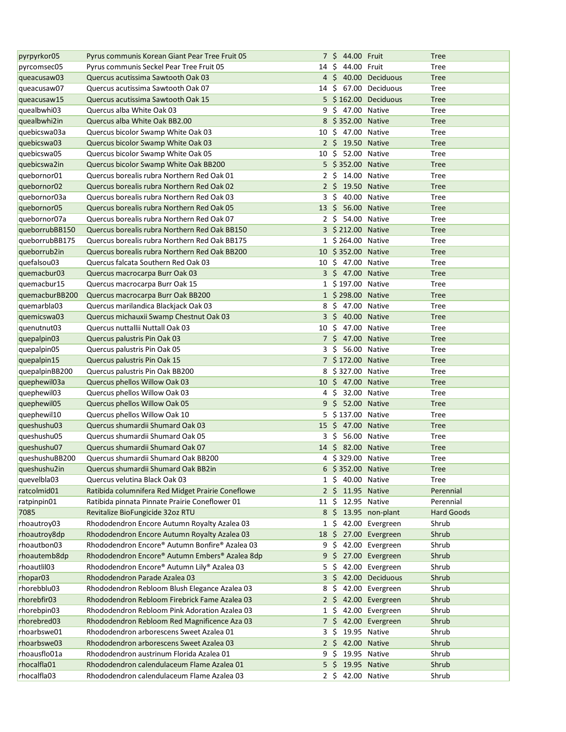| pyrpyrkor05             | Pyrus communis Korean Giant Pear Tree Fruit 05    |                 | 7 \$ 44.00 Fruit         |                          | <b>Tree</b>       |
|-------------------------|---------------------------------------------------|-----------------|--------------------------|--------------------------|-------------------|
| pyrcomsec05             | Pyrus communis Seckel Pear Tree Fruit 05          | 14\$            | 44.00 Fruit              |                          | Tree              |
| queacusaw03             | Quercus acutissima Sawtooth Oak 03                |                 |                          | 4 \$ 40.00 Deciduous     | <b>Tree</b>       |
| queacusaw07             | Quercus acutissima Sawtooth Oak 07                | 14 S            |                          | 67.00 Deciduous          | <b>Tree</b>       |
| queacusaw15             | Quercus acutissima Sawtooth Oak 15                |                 |                          | 5 \$162.00 Deciduous     | <b>Tree</b>       |
| quealbwhi03             | Quercus alba White Oak 03                         |                 | 9 \$ 47.00 Native        |                          | <b>Tree</b>       |
| quealbwhi2in            | Quercus alba White Oak BB2.00                     |                 | 8 \$352.00 Native        |                          | <b>Tree</b>       |
| quebicswa03a            | Quercus bicolor Swamp White Oak 03                | 10 <sup>5</sup> | 47.00 Native             |                          | <b>Tree</b>       |
| quebicswa03             | Quercus bicolor Swamp White Oak 03                |                 | 2 \$ 19.50 Native        |                          | <b>Tree</b>       |
| quebicswa05             | Quercus bicolor Swamp White Oak 05                | 10              | $$ 52.00$ Native         |                          | Tree              |
| quebicswa2in            | Quercus bicolor Swamp White Oak BB200             |                 | 5 \$352.00 Native        |                          | <b>Tree</b>       |
| quebornor01             | Quercus borealis rubra Northern Red Oak 01        |                 | 2 \$ 14.00 Native        |                          | Tree              |
| quebornor <sub>02</sub> | Quercus borealis rubra Northern Red Oak 02        |                 | 2 \$ 19.50 Native        |                          | <b>Tree</b>       |
| quebornor03a            | Quercus borealis rubra Northern Red Oak 03        |                 | 3\$                      | 40.00 Native             | Tree              |
| quebornor05             | Quercus borealis rubra Northern Red Oak 05        | $13 \; \zeta$   | 56.00 Native             |                          | <b>Tree</b>       |
| quebornor07a            | Quercus borealis rubra Northern Red Oak 07        |                 | 2\$<br>54.00 Native      |                          | Tree              |
| queborrubBB150          | Quercus borealis rubra Northern Red Oak BB150     |                 | 3 \$ 212.00 Native       |                          | <b>Tree</b>       |
| queborrubBB175          | Quercus borealis rubra Northern Red Oak BB175     |                 | 1 \$264.00 Native        |                          | Tree              |
| queborrub2in            | Quercus borealis rubra Northern Red Oak BB200     |                 | 10 \$352.00 Native       |                          | <b>Tree</b>       |
| quefalsou03             | Quercus falcata Southern Red Oak 03               |                 | 10 \$ 47.00 Native       |                          | Tree              |
| quemacbur03             | Quercus macrocarpa Burr Oak 03                    |                 | 3 \$ 47.00 Native        |                          | <b>Tree</b>       |
| quemacbur15             | Quercus macrocarpa Burr Oak 15                    |                 | 1 \$197.00 Native        |                          | Tree              |
| quemacburBB200          | Quercus macrocarpa Burr Oak BB200                 |                 | 1 \$298.00 Native        |                          | <b>Tree</b>       |
| quemarbla03             | Quercus marilandica Blackjack Oak 03              | 8               | \$<br>47.00 Native       |                          | Tree              |
| quemicswa03             | Quercus michauxii Swamp Chestnut Oak 03           |                 | $3\,$ \$<br>40.00 Native |                          | <b>Tree</b>       |
| quenutnut03             | Quercus nuttallii Nuttall Oak 03                  | 10              | \$                       | 47.00 Native             | Tree              |
| quepalpin03             | Quercus palustris Pin Oak 03                      |                 | 7 \$ 47.00 Native        |                          | <b>Tree</b>       |
| quepalpin05             | Quercus palustris Pin Oak 05                      |                 | 3\$<br>56.00 Native      |                          | Tree              |
| quepalpin15             | Quercus palustris Pin Oak 15                      |                 | 7 \$ 172.00 Native       |                          | <b>Tree</b>       |
| quepalpinBB200          | Quercus palustris Pin Oak BB200                   |                 | 8 \$327.00 Native        |                          | Tree              |
| quephewil03a            | Quercus phellos Willow Oak 03                     |                 | 10 \$ 47.00 Native       |                          | <b>Tree</b>       |
| quephewil03             | Quercus phellos Willow Oak 03                     |                 | 4\$                      | 32.00 Native             | <b>Tree</b>       |
| quephewil05             | Quercus phellos Willow Oak 05                     | 9               | \$<br>52.00 Native       |                          | <b>Tree</b>       |
| quephewil10             | Quercus phellos Willow Oak 10                     |                 | 5 \$137.00 Native        |                          | Tree              |
| queshushu03             | Quercus shumardii Shumard Oak 03                  |                 | 15 \$ 47.00 Native       |                          | <b>Tree</b>       |
| queshushu05             | Quercus shumardii Shumard Oak 05                  |                 | 3 \$ 56.00 Native        |                          | Tree              |
| queshushu07             | Quercus shumardii Shumard Oak 07                  |                 | 14 \$ 82.00 Native       |                          | <b>Tree</b>       |
| queshushuBB200          | Quercus shumardii Shumard Oak BB200               |                 | 4 \$329.00 Native        |                          | Tree              |
| queshushu2in            | Quercus shumardii Shumard Oak BB2in               |                 | 6 \$352.00 Native        |                          | <b>Tree</b>       |
| quevelbla03             | Quercus velutina Black Oak 03                     |                 | 1 \$ 40.00 Native        |                          | <b>Tree</b>       |
| ratcolmid01             | Ratibida columnifera Red Midget Prairie Coneflowe |                 | 2 \$ 11.95 Native        |                          | Perennial         |
| ratpinpin01             | Ratibida pinnata Pinnate Prairie Coneflower 01    |                 | 11 \$ 12.95 Native       |                          | Perennial         |
| 7085                    | Revitalize BioFungicide 32oz RTU                  |                 |                          | 8 \$ 13.95 non-plant     | <b>Hard Goods</b> |
| rhoautroy03             | Rhododendron Encore Autumn Royalty Azalea 03      |                 | 1\$                      | 42.00 Evergreen          | Shrub             |
| rhoautroy8dp            | Rhododendron Encore Autumn Royalty Azalea 03      |                 |                          | 18 \$ 27.00 Evergreen    | Shrub             |
| rhoautbon03             | Rhododendron Encore® Autumn Bonfire® Azalea 03    | 9               | -S                       | 42.00 Evergreen          | Shrub             |
| rhoautemb8dp            | Rhododendron Encore® Autumn Embers® Azalea 8dp    |                 | 9\$                      | 27.00 Evergreen          | Shrub             |
| rhoautlil03             | Rhododendron Encore® Autumn Lily® Azalea 03       |                 | 5\$                      | 42.00 Evergreen          | Shrub             |
| rhopar <sub>03</sub>    | Rhododendron Parade Azalea 03                     |                 |                          | 3 \$ 42.00 Deciduous     | Shrub             |
| rhorebblu03             | Rhododendron Rebloom Blush Elegance Azalea 03     | 8               |                          | \$ 42.00 Evergreen       | Shrub             |
| rhorebfir03             | Rhododendron Rebloom Firebrick Fame Azalea 03     |                 |                          | $2 \div 42.00$ Evergreen | Shrub             |
| rhorebpin03             | Rhododendron Rebloom Pink Adoration Azalea 03     |                 |                          | 1 \$ 42.00 Evergreen     | Shrub             |
| rhorebred03             | Rhododendron Rebloom Red Magnificence Aza 03      |                 |                          | 7 \$ 42.00 Evergreen     | Shrub             |
| rhoarbswe01             | Rhododendron arborescens Sweet Azalea 01          |                 | 19.95 Native<br>35       |                          | Shrub             |
| rhoarbswe03             | Rhododendron arborescens Sweet Azalea 03          |                 | 2 \$ 42.00 Native        |                          | Shrub             |
| rhoausflo01a            | Rhododendron austrinum Florida Azalea 01          |                 | 19.95 Native<br>9\$      |                          | Shrub             |
| rhocalfla01             | Rhododendron calendulaceum Flame Azalea 01        |                 | 5 \$ 19.95 Native        |                          | Shrub             |
| rhocalfla03             | Rhododendron calendulaceum Flame Azalea 03        |                 | 2 \$ 42.00 Native        |                          | Shrub             |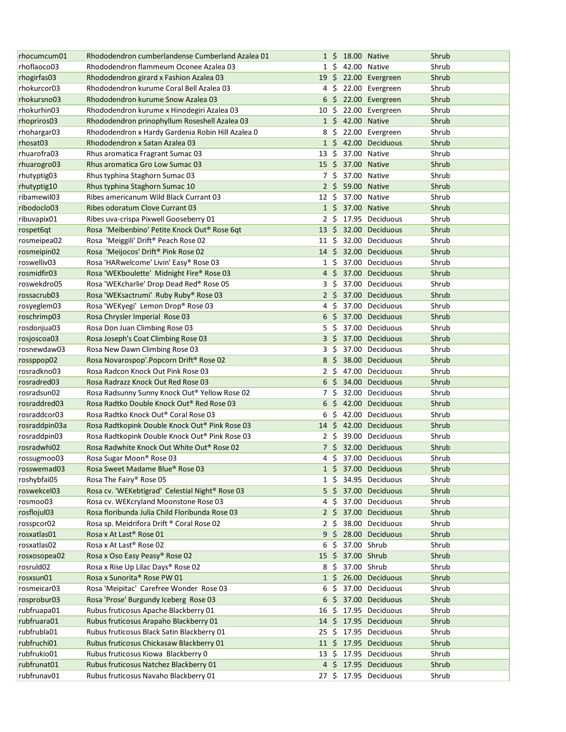| rhocumcum01   | Rhododendron cumberlandense Cumberland Azalea 01  |               |                 | 1 \$ 18.00 Native |                          | Shrub |
|---------------|---------------------------------------------------|---------------|-----------------|-------------------|--------------------------|-------|
| rhoflaoco03   | Rhododendron flammeum Oconee Azalea 03            |               | $1\,$ \$        | 42.00 Native      |                          | Shrub |
| rhogirfas03   | Rhododendron girard x Fashion Azalea 03           |               |                 |                   | 19 \$ 22.00 Evergreen    | Shrub |
| rhokurcor03   | Rhododendron kurume Coral Bell Azalea 03          |               | $4\;$ \$        |                   | 22.00 Evergreen          | Shrub |
| rhokursno03   | Rhododendron kurume Snow Azalea 03                |               | $6\frac{1}{2}$  |                   | 22.00 Evergreen          | Shrub |
| rhokurhin03   | Rhododendron kurume x Hinodegiri Azalea 03        | $10 \;$ \$    |                 |                   | 22.00 Evergreen          | Shrub |
| rhopriros03   | Rhododendron prinophyllum Roseshell Azalea 03     |               | $1\;$ \$        | 42.00 Native      |                          | Shrub |
| rhohargar03   | Rhododendron x Hardy Gardenia Robin Hill Azalea 0 |               | 8\$             |                   | 22.00 Evergreen          | Shrub |
| rhosat03      | Rhododendron x Satan Azalea 03                    |               |                 |                   | 1 \$ 42.00 Deciduous     | Shrub |
| rhuarofra03   | Rhus aromatica Fragrant Sumac 03                  | $13 \; \zeta$ |                 | 37.00 Native      |                          | Shrub |
| rhuarogro03   | Rhus aromatica Gro Low Sumac 03                   | $15 \; \xi$   |                 | 37.00 Native      |                          | Shrub |
| rhutyptig03   | Rhus typhina Staghorn Sumac 03                    |               | 7\$             | 37.00 Native      |                          | Shrub |
| rhutyptig10   | Rhus typhina Staghorn Sumac 10                    |               | $2\frac{1}{2}$  | 59.00 Native      |                          | Shrub |
| ribamewil03   | Ribes americanum Wild Black Currant 03            | $12 \cdot 5$  |                 | 37.00 Native      |                          | Shrub |
| ribodoclo03   | Ribes odoratum Clove Currant 03                   |               |                 | 1 \$ 37.00 Native |                          | Shrub |
| ribuvapix01   | Ribes uva-crispa Pixwell Gooseberry 01            |               | 2 S             |                   | 17.95 Deciduous          | Shrub |
| rospet6qt     | Rosa 'Meibenbino' Petite Knock Out® Rose 6qt      |               |                 |                   | 13 \$ 32.00 Deciduous    | Shrub |
| rosmeipea02   | Rosa 'Meiggili' Drift <sup>®</sup> Peach Rose 02  | 11 S          |                 |                   | 32.00 Deciduous          | Shrub |
| rosmeipin02   | Rosa 'Meijocos' Drift <sup>®</sup> Pink Rose 02   | $14 \text{ }$ |                 |                   | 32.00 Deciduous          | Shrub |
| roswelliv03   | Rosa 'HARwelcome' Livin' Easy® Rose 03            |               | 1 S             |                   | 37.00 Deciduous          | Shrub |
| rosmidfir03   | Rosa 'WEKboulette' Midnight Fire® Rose 03         |               | 4 S             |                   | 37.00 Deciduous          | Shrub |
| roswekdro05   | Rosa 'WEKcharlie' Drop Dead Red® Rose 05          | 3             | -\$             |                   | 37.00 Deciduous          | Shrub |
| rossacrub03   | Rosa 'WEKsactrumi' Ruby Ruby® Rose 03             |               | $2\overline{5}$ |                   | 37.00 Deciduous          | Shrub |
| rosyeglem03   | Rosa 'WEKyegi' Lemon Drop® Rose 03                | 4             | -\$             |                   | 37.00 Deciduous          | Shrub |
| roschrimp03   | Rosa Chrysler Imperial Rose 03                    |               | $6\frac{1}{2}$  |                   | 37.00 Deciduous          | Shrub |
| rosdonjua03   | Rosa Don Juan Climbing Rose 03                    | 5.            | - \$            |                   | 37.00 Deciduous          | Shrub |
| rosjoscoa03   | Rosa Joseph's Coat Climbing Rose 03               |               | 3\$             |                   | 37.00 Deciduous          | Shrub |
| rosnewdaw03   | Rosa New Dawn Climbing Rose 03                    |               | 3\$             |                   | 37.00 Deciduous          | Shrub |
| rossppop02    | Rosa Novarospop'.Popcorn Drift® Rose 02           |               | 8 <sup>5</sup>  |                   | 38.00 Deciduous          | Shrub |
| rosradkno03   | Rosa Radcon Knock Out Pink Rose 03                |               | 2\$             |                   | 47.00 Deciduous          | Shrub |
| rosradred03   | Rosa Radrazz Knock Out Red Rose 03                |               | $6\sqrt{5}$     |                   | 34.00 Deciduous          | Shrub |
| rosradsun02   | Rosa Radsunny Sunny Knock Out® Yellow Rose 02     |               | 7\$             |                   | 32.00 Deciduous          | Shrub |
| rosraddred03  | Rosa Radtko Double Knock Out® Red Rose 03         |               | 6\$             |                   | 42.00 Deciduous          | Shrub |
| rosraddcor03  | Rosa Radtko Knock Out® Coral Rose 03              | 6             | - \$            |                   | 42.00 Deciduous          | Shrub |
| rosraddpin03a | Rosa Radtkopink Double Knock Out® Pink Rose 03    | $14 \text{ }$ |                 |                   | 42.00 Deciduous          | Shrub |
| rosraddpin03  | Rosa Radtkopink Double Knock Out® Pink Rose 03    |               |                 |                   | 2 \$ 39.00 Deciduous     | Shrub |
| rosradwhi02   | Rosa Radwhite Knock Out White Out® Rose 02        |               |                 |                   | 7 \$ 32.00 Deciduous     | Shrub |
| rossugmoo03   | Rosa Sugar Moon <sup>®</sup> Rose 03              |               |                 |                   | 4 \$ 37.00 Deciduous     | Shrub |
| rosswemad03   | Rosa Sweet Madame Blue® Rose 03                   |               |                 |                   | 1 \$ 37.00 Deciduous     | Shrub |
| roshybfai05   | Rosa The Fairy® Rose 05                           |               |                 |                   | $1 \div 34.95$ Deciduous | Shrub |
| roswekcel03   | Rosa cv. 'WEKebtigrad' Celestial Night® Rose 03   |               |                 |                   | 5 \$ 37.00 Deciduous     | Shrub |
| rosmoo03      | Rosa cv. WEKcryland Moonstone Rose 03             |               |                 |                   | 4 \$ 37.00 Deciduous     | Shrub |
| rosflojul03   | Rosa floribunda Julia Child Floribunda Rose 03    |               |                 |                   | 2 \$ 37.00 Deciduous     | Shrub |
| rosspcor02    | Rosa sp. Meidrifora Drift ® Coral Rose 02         |               | 2\$             |                   | 38.00 Deciduous          | Shrub |
| rosxatlas01   | Rosa x At Last <sup>®</sup> Rose 01               |               | 9\$             |                   | 28.00 Deciduous          | Shrub |
| rosxatlas02   | Rosa x At Last <sup>®</sup> Rose 02               |               | 6\$             | 37.00 Shrub       |                          | Shrub |
| rosxosopea02  | Rosa x Oso Easy Peasy® Rose 02                    |               |                 | 15 \$ 37.00 Shrub |                          | Shrub |
| rosruld02     | Rosa x Rise Up Lilac Days® Rose 02                |               | 8\$             | 37.00 Shrub       |                          | Shrub |
| rosxsun01     | Rosa x Sunorita® Rose PW 01                       |               |                 |                   | 1 \$ 26.00 Deciduous     | Shrub |
| rosmeicar03   | Rosa 'Meipitac' Carefree Wonder Rose 03           |               |                 |                   | $6$ \$ 37.00 Deciduous   | Shrub |
| rosprobur03   | Rosa 'Prose' Burgundy Iceberg Rose 03             |               |                 |                   | 6 \$ 37.00 Deciduous     | Shrub |
| rubfruapa01   | Rubus fruticosus Apache Blackberry 01             |               |                 |                   | 16 \$ 17.95 Deciduous    | Shrub |
| rubfruara01   | Rubus fruticosus Arapaho Blackberry 01            |               |                 |                   | 14 \$ 17.95 Deciduous    | Shrub |
| rubfrubla01   |                                                   |               |                 |                   | 25 \$ 17.95 Deciduous    | Shrub |
|               | Rubus fruticosus Black Satin Blackberry 01        |               |                 |                   |                          |       |
| rubfruchi01   | Rubus fruticosus Chickasaw Blackberry 01          |               |                 |                   | 11 \$ 17.95 Deciduous    | Shrub |
| rubfrukio01   | Rubus fruticosus Kiowa Blackberry 0               |               |                 |                   | 13 \$ 17.95 Deciduous    | Shrub |
| rubfrunat01   | Rubus fruticosus Natchez Blackberry 01            |               |                 |                   | 4 \$ 17.95 Deciduous     | Shrub |
| rubfrunav01   | Rubus fruticosus Navaho Blackberry 01             |               |                 |                   | 27 \$ 17.95 Deciduous    | Shrub |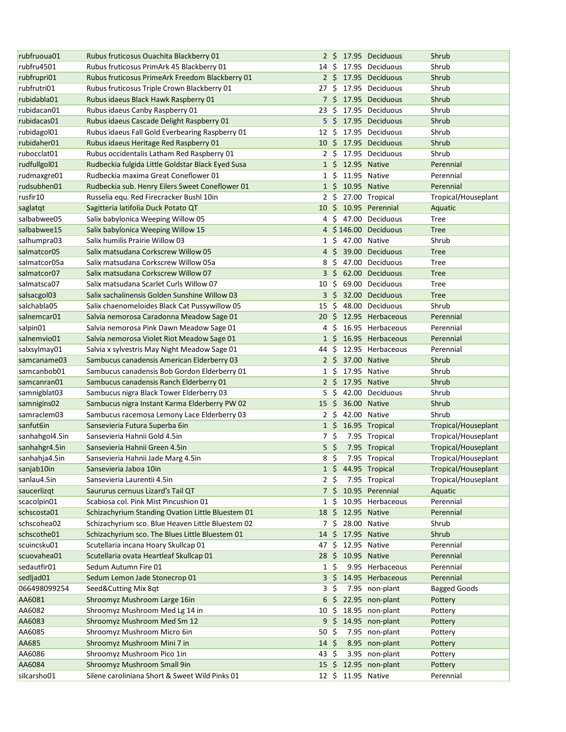| rubfruoua01    | Rubus fruticosus Ouachita Blackberry 01           |                  |                    |                   | 2 \$ 17.95 Deciduous  | Shrub               |
|----------------|---------------------------------------------------|------------------|--------------------|-------------------|-----------------------|---------------------|
| rubfru4501     | Rubus fruticosus PrimArk 45 Blackberry 01         | 14 S             |                    |                   | 17.95 Deciduous       | Shrub               |
| rubfrupri01    | Rubus fruticosus PrimeArk Freedom Blackberry 01   | $2\overline{5}$  |                    |                   | 17.95 Deciduous       | Shrub               |
| rubfrutri01    | Rubus fruticosus Triple Crown Blackberry 01       | 27               | Ŝ.                 |                   | 17.95 Deciduous       | Shrub               |
| rubidabla01    | Rubus idaeus Black Hawk Raspberry 01              |                  |                    |                   | 7 \$ 17.95 Deciduous  | Shrub               |
| rubidacan01    | Rubus idaeus Canby Raspberry 01                   | 23               | Ŝ.                 |                   | 17.95 Deciduous       | Shrub               |
| rubidacas01    | Rubus idaeus Cascade Delight Raspberry 01         |                  |                    |                   | 5 \$ 17.95 Deciduous  | Shrub               |
| rubidagol01    | Rubus idaeus Fall Gold Everbearing Raspberry 01   | 12 \$            |                    |                   | 17.95 Deciduous       | Shrub               |
| rubidaher01    | Rubus idaeus Heritage Red Raspberry 01            |                  |                    |                   | 10 \$ 17.95 Deciduous | Shrub               |
| rubocclat01    | Rubus occidentalis Latham Red Raspberry 01        | $2 \cdot$ \$     |                    |                   | 17.95 Deciduous       | Shrub               |
| rudfullgol01   | Rudbeckia fulgida Little Goldstar Black Eyed Susa |                  |                    | 1 \$ 12.95 Native |                       | Perennial           |
| rudmaxgre01    | Rudbeckia maxima Great Coneflower 01              | $1\,$ \$         |                    |                   | 11.95 Native          | Perennial           |
| rudsubhen01    | Rudbeckia sub. Henry Eilers Sweet Coneflower 01   |                  | $1\,$ \$           |                   | 10.95 Native          | Perennial           |
| rusfir10       | Russelia equ. Red Firecracker Bushl 10in          |                  | 2 \$               |                   | 27.00 Tropical        | Tropical/Houseplant |
| saglatqt       | Sagitteria latifolia Duck Potato QT               |                  |                    |                   | 10 \$ 10.95 Perennial | Aquatic             |
| salbabwee05    | Salix babylonica Weeping Willow 05                |                  |                    |                   | 4 \$ 47.00 Deciduous  | Tree                |
| salbabwee15    | Salix babylonica Weeping Willow 15                |                  |                    |                   | 4 \$146.00 Deciduous  | <b>Tree</b>         |
| salhumpra03    | Salix humilis Prairie Willow 03                   | $1\,$ \$         |                    |                   | 47.00 Native          | Shrub               |
| salmatcor05    | Salix matsudana Corkscrew Willow 05               | 4                | S.                 |                   | 39.00 Deciduous       | <b>Tree</b>         |
| salmatcor05a   | Salix matsudana Corkscrew Willow 05a              | 8                | \$                 |                   | 47.00 Deciduous       | Tree                |
| salmatcor07    | Salix matsudana Corkscrew Willow 07               | 3                | $\zeta$            |                   | 62.00 Deciduous       | <b>Tree</b>         |
| salmatsca07    | Salix matsudana Scarlet Curls Willow 07           | 10               | Ŝ.                 |                   | 69.00 Deciduous       | Tree                |
| salsacgol03    | Salix sachalinensis Golden Sunshine Willow 03     | 3                | \$                 |                   | 32.00 Deciduous       | <b>Tree</b>         |
| salchabla05    | Salix chaenomeloides Black Cat Pussywillow 05     | 15               | Ŝ.                 |                   | 48.00 Deciduous       | Shrub               |
| salnemcar01    | Salvia nemorosa Caradonna Meadow Sage 01          | 20               | Ŝ.                 |                   | 12.95 Herbaceous      | Perennial           |
| salpin01       | Salvia nemorosa Pink Dawn Meadow Sage 01          | 4                | Ŝ.                 |                   | 16.95 Herbaceous      | Perennial           |
| salnemvio01    | Salvia nemorosa Violet Riot Meadow Sage 01        | $1\,$ \$         |                    |                   | 16.95 Herbaceous      | Perennial           |
| salxsylmay01   | Salvia x sylvestris May Night Meadow Sage 01      | 44               | Ŝ.                 |                   | 12.95 Herbaceous      | Perennial           |
| samcaname03    | Sambucus canadensis American Elderberry 03        |                  |                    |                   | 2 \$ 37.00 Native     | Shrub               |
| samcanbob01    | Sambucus canadensis Bob Gordon Elderberry 01      | $1\,$ \$         |                    |                   | 17.95 Native          | Shrub               |
| samcanran01    | Sambucus canadensis Ranch Elderberry 01           | 2 <sup>5</sup>   |                    |                   | 17.95 Native          | Shrub               |
| samnigblat03   | Sambucus nigra Black Tower Elderberry 03          | 5                | -\$                |                   | 42.00 Deciduous       | Shrub               |
| samnigins02    | Sambucus nigra Instant Karma Elderberry PW 02     | 15               | $\ddot{\varsigma}$ |                   | 36.00 Native          | Shrub               |
| samraclem03    | Sambucus racemosa Lemony Lace Elderberry 03       | $2 \;$ \$        |                    |                   | 42.00 Native          | Shrub               |
| sanfut6in      | Sansevieria Futura Superba 6in                    | $1\overline{5}$  |                    |                   | 16.95 Tropical        | Tropical/Houseplant |
| sanhahgol4.5in | Sansevieria Hahnii Gold 4.5in                     | $7 \;$ \$        |                    |                   | 7.95 Tropical         | Tropical/Houseplant |
| sanhahgr4.5in  | Sansevieria Hahnii Green 4.5in                    | $5\frac{2}{3}$   |                    |                   | 7.95 Tropical         | Tropical/Houseplant |
| sanhahja4.5in  | Sansevieria Hahnii Jade Marg 4.5in                | $8\sqrt{5}$      |                    |                   | 7.95 Tropical         | Tropical/Houseplant |
| sanjab10in     | Sansevieria Jaboa 10in                            |                  |                    |                   | 1 \$ 44.95 Tropical   | Tropical/Houseplant |
| sanlau4.5in    | Sansevieria Laurentii 4.5in                       | $2\sqrt{5}$      |                    |                   | 7.95 Tropical         | Tropical/Houseplant |
| saucerlizgt    | Saururus cernuus Lizard's Tail QT                 |                  | 7\$                |                   | 10.95 Perennial       | Aquatic             |
| scacolpin01    | Scabiosa col. Pink Mist Pincushion 01             | $1\,$ S          |                    |                   | 10.95 Herbaceous      | Perennial           |
| schscosta01    | Schizachyrium Standing Ovation Little Bluestem 01 |                  |                    |                   | 18 \$ 12.95 Native    | Perennial           |
| schscohea02    | Schizachyrium sco. Blue Heaven Little Bluestem 02 | 7\$              |                    |                   | 28.00 Native          | Shrub               |
| schscothe01    | Schizachyrium sco. The Blues Little Bluestem 01   |                  |                    |                   | 14 \$ 17.95 Native    | Shrub               |
| scuincsku01    | Scutellaria incana Hoary Skullcap 01              | 47\$             |                    |                   | 12.95 Native          | Perennial           |
| scuovahea01    | Scutellaria ovata Heartleaf Skullcap 01           | 28 \$            |                    |                   | 10.95 Native          | Perennial           |
| sedautfir01    | Sedum Autumn Fire 01                              | 1 S              |                    |                   | 9.95 Herbaceous       | Perennial           |
| sedljad01      | Sedum Lemon Jade Stonecrop 01                     | $3\,$ $\,$       |                    |                   | 14.95 Herbaceous      | Perennial           |
| 066498099254   | Seed&Cutting Mix 8qt                              | $3\sqrt{5}$      |                    |                   | 7.95 non-plant        | <b>Bagged Goods</b> |
| AA6081         | Shroomyz Mushroom Large 16in                      | 6                | \$                 |                   | 22.95 non-plant       | Pottery             |
| AA6082         | Shroomyz Mushroom Med Lg 14 in                    | 10               | \$                 |                   | 18.95 non-plant       | Pottery             |
| AA6083         | Shroomyz Mushroom Med Sm 12                       |                  |                    |                   | 9 \$ 14.95 non-plant  | Pottery             |
| AA6085         | Shroomyz Mushroom Micro 6in                       | $50 \; \text{S}$ |                    |                   | 7.95 non-plant        | Pottery             |
| AA685          | Shroomyz Mushroom Mini 7 in                       | $14 \; \xi$      |                    |                   | 8.95 non-plant        | Pottery             |
| AA6086         | Shroomyz Mushroom Pico 1in                        | 43 \$            |                    |                   | 3.95 non-plant        | Pottery             |
| AA6084         | Shroomyz Mushroom Small 9in                       |                  |                    |                   | 15 \$ 12.95 non-plant | Pottery             |
| silcarsho01    | Silene caroliniana Short & Sweet Wild Pinks 01    |                  |                    |                   | 12 \$ 11.95 Native    | Perennial           |
|                |                                                   |                  |                    |                   |                       |                     |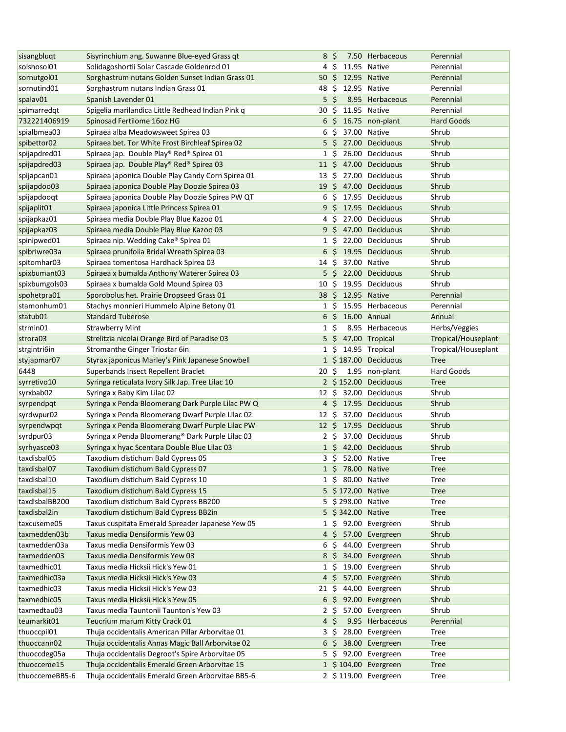| sisangbluqt             | Sisyrinchium ang. Suwanne Blue-eyed Grass qt      | 8                | -\$             | 7.50 Herbaceous          | Perennial           |
|-------------------------|---------------------------------------------------|------------------|-----------------|--------------------------|---------------------|
| solshosol01             | Solidagoshortii Solar Cascade Goldenrod 01        | 4                | Ŝ               | 11.95 Native             | Perennial           |
| sornutgol01             | Sorghastrum nutans Golden Sunset Indian Grass 01  |                  |                 | 50 \$ 12.95 Native       | Perennial           |
| sornutind01             | Sorghastrum nutans Indian Grass 01                | 48               | -S              | 12.95 Native             | Perennial           |
| spalav01                | Spanish Lavender 01                               |                  | $5\,$ \$        | 8.95 Herbaceous          | Perennial           |
| spimarredgt             | Spigelia marilandica Little Redhead Indian Pink q | 30               | Ŝ               | 11.95 Native             | Perennial           |
| 732221406919            | Spinosad Fertilome 16oz HG                        |                  | 6 \$            | 16.75 non-plant          | <b>Hard Goods</b>   |
| spialbmea03             | Spiraea alba Meadowsweet Spirea 03                | 6                | Ŝ.              | 37.00 Native             | Shrub               |
| spibettor <sub>02</sub> | Spiraea bet. Tor White Frost Birchleaf Spirea 02  |                  | $5\,$ \$        | 27.00 Deciduous          | Shrub               |
| spijapdred01            | Spiraea jap. Double Play® Red® Spirea 01          |                  | $1\,$ \$        | 26.00 Deciduous          | Shrub               |
| spijapdred03            | Spiraea jap. Double Play® Red® Spirea 03          |                  |                 | 11 \$ 47.00 Deciduous    | Shrub               |
| spijapcan01             | Spiraea japonica Double Play Candy Corn Spirea 01 | $13\,$ S         |                 | 27.00 Deciduous          | Shrub               |
| spijapdoo03             | Spiraea japonica Double Play Doozie Spirea 03     |                  |                 | 19 \$ 47.00 Deciduous    | Shrub               |
| spijapdooqt             | Spiraea japonica Double Play Doozie Spirea PW QT  |                  | 6\$             | 17.95 Deciduous          | Shrub               |
| spijaplit01             | Spiraea japonica Little Princess Spirea 01        |                  |                 | 9 \$ 17.95 Deciduous     | Shrub               |
| spijapkaz01             | Spiraea media Double Play Blue Kazoo 01           |                  | 4\$             | 27.00 Deciduous          | Shrub               |
| spijapkaz03             | Spiraea media Double Play Blue Kazoo 03           |                  | 9\$             | 47.00 Deciduous          | Shrub               |
| spinipwed01             | Spiraea nip. Wedding Cake® Spirea 01              |                  | $1\,$ \$        | 22.00 Deciduous          | Shrub               |
| spibriwre03a            | Spiraea prunifolia Bridal Wreath Spirea 03        |                  | 6 \$            | 19.95 Deciduous          | Shrub               |
| spitomhar03             | Spiraea tomentosa Hardhack Spirea 03              | 14S              |                 | 37.00 Native             | Shrub               |
| spixbumant03            | Spiraea x bumalda Anthony Waterer Spirea 03       | 5                | S.              | 22.00 Deciduous          | Shrub               |
| spixbumgols03           | Spiraea x bumalda Gold Mound Spirea 03            | 10               | S               | 19.95 Deciduous          | Shrub               |
| spohetpra01             | Sporobolus het. Prairie Dropseed Grass 01         | 38               | -S              | 12.95 Native             | Perennial           |
| stamonhum01             | Stachys monnieri Hummelo Alpine Betony 01         | $\mathbf{1}$     | -S              | 15.95 Herbaceous         | Perennial           |
| statub01                | <b>Standard Tuberose</b>                          | 6                | Ŝ.              | 16.00 Annual             | Annual              |
| strmin01                | <b>Strawberry Mint</b>                            |                  | $1\,$ \$        | 8.95 Herbaceous          | Herbs/Veggies       |
| strora <sub>03</sub>    | Strelitzia nicolai Orange Bird of Paradise 03     |                  |                 | 5 \$ 47.00 Tropical      | Tropical/Houseplant |
| strgintri6in            | Stromanthe Ginger Triostar 6in                    |                  | 1 S             | 14.95 Tropical           | Tropical/Houseplant |
| styjapmar07             | Styrax japonicus Marley's Pink Japanese Snowbell  |                  |                 | 1 \$187.00 Deciduous     | <b>Tree</b>         |
| 6448                    | Superbands Insect Repellent Braclet               | $20 \; \text{S}$ |                 | 1.95 non-plant           | Hard Goods          |
| syrretivo10             | Syringa reticulata Ivory Silk Jap. Tree Lilac 10  |                  |                 | 2 \$152.00 Deciduous     | <b>Tree</b>         |
| syrxbab02               | Syringa x Baby Kim Lilac 02                       | $12 \cdot 5$     |                 | 32.00 Deciduous          | Shrub               |
| syrpendpqt              | Syringa x Penda Bloomerang Dark Purple Lilac PW Q |                  | $4\,$ \$        | 17.95 Deciduous          | Shrub               |
| syrdwpur02              | Syringa x Penda Bloomerang Dwarf Purple Lilac 02  | 12 <sup>5</sup>  |                 | 37.00 Deciduous          | Shrub               |
| syrpendwpqt             | Syringa x Penda Bloomerang Dwarf Purple Lilac PW  | $12 \cdot 5$     |                 | 17.95 Deciduous          | Shrub               |
| syrdpur03               | Syringa x Penda Bloomerang® Dark Purple Lilac 03  |                  | $2\overline{5}$ | 37.00 Deciduous          | Shrub               |
| syrhyasce03             | Syringa x hyac Scentara Double Blue Lilac 03      |                  |                 | 1 \$ 42.00 Deciduous     | Shrub               |
| taxdisbal05             | Taxodium distichum Bald Cypress 05                |                  |                 | 3 \$ 52.00 Native        | Tree                |
| taxdisbal07             | Taxodium distichum Bald Cypress 07                |                  |                 | 1 \$ 78.00 Native        | <b>Tree</b>         |
| taxdisbal10             | Taxodium distichum Bald Cypress 10                |                  |                 | 1 \$ 80.00 Native        | <b>Tree</b>         |
| taxdisbal15             | Taxodium distichum Bald Cypress 15                |                  |                 | 5 \$172.00 Native        | <b>Tree</b>         |
| taxdisbalBB200          | Taxodium distichum Bald Cypress BB200             |                  |                 | 5 \$298.00 Native        | <b>Tree</b>         |
| taxdisbal2in            | Taxodium distichum Bald Cypress BB2in             |                  |                 | 5 \$342.00 Native        | <b>Tree</b>         |
| taxcuseme05             | Taxus cuspitata Emerald Spreader Japanese Yew 05  |                  |                 | 1 \$ 92.00 Evergreen     | Shrub               |
| taxmedden03b            | Taxus media Densiformis Yew 03                    |                  |                 | 4 \$ 57.00 Evergreen     | Shrub               |
| taxmedden03a            | Taxus media Densiformis Yew 03                    |                  | 6\$             | 44.00 Evergreen          | Shrub               |
| taxmedden03             | Taxus media Densiformis Yew 03                    |                  | 8\$             | 34.00 Evergreen          | Shrub               |
| taxmedhic01             | Taxus media Hicksii Hick's Yew 01                 |                  | $1\,$ \$        | 19.00 Evergreen          | Shrub               |
| taxmedhic03a            | Taxus media Hicksii Hick's Yew 03                 | 4                | S.              | 57.00 Evergreen          | Shrub               |
| taxmedhic03             | Taxus media Hicksii Hick's Yew 03                 |                  |                 | 21 \$ 44.00 Evergreen    | Shrub               |
| taxmedhic05             | Taxus media Hicksii Hick's Yew 05                 | 6                |                 | \$ 92.00 Evergreen       | Shrub               |
| taxmedtau03             | Taxus media Tauntonii Taunton's Yew 03            |                  | 2 \$            | 57.00 Evergreen          | Shrub               |
| teumarkit01             | Teucrium marum Kitty Crack 01                     |                  | $4 \;$ \$       | 9.95 Herbaceous          | Perennial           |
| thuoccpil01             | Thuja occidentalis American Pillar Arborvitae 01  |                  |                 | 3 \$ 28.00 Evergreen     | Tree                |
| thuoccann02             | Thuja occidentalis Annas Magic Ball Arborvitae 02 |                  |                 | $6\,$ \$ 38.00 Evergreen | <b>Tree</b>         |
| thuoccdeg05a            | Thuja occidentalis Degroot's Spire Arborvitae 05  |                  |                 | 5 \$ 92.00 Evergreen     | Tree                |
| thuocceme15             | Thuja occidentalis Emerald Green Arborvitae 15    |                  |                 | 1 \$104.00 Evergreen     | <b>Tree</b>         |
| thuoccemeBB5-6          | Thuja occidentalis Emerald Green Arborvitae BB5-6 |                  |                 | 2 \$119.00 Evergreen     | <b>Tree</b>         |
|                         |                                                   |                  |                 |                          |                     |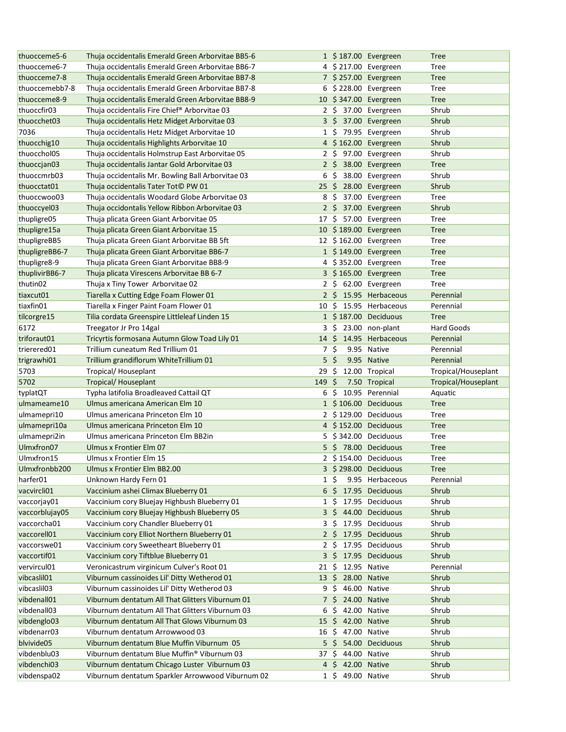| thuocceme5-6               | Thuja occidentalis Emerald Green Arborvitae BB5-6                                                |                |                         | 1 \$187.00 Evergreen  | <b>Tree</b>         |
|----------------------------|--------------------------------------------------------------------------------------------------|----------------|-------------------------|-----------------------|---------------------|
| thuocceme6-7               | Thuja occidentalis Emerald Green Arborvitae BB6-7                                                |                |                         | 4 \$217.00 Evergreen  | <b>Tree</b>         |
| thuocceme7-8               | Thuja occidentalis Emerald Green Arborvitae BB7-8                                                |                |                         | 7 \$257.00 Evergreen  | <b>Tree</b>         |
| thuoccemebb7-8             | Thuja occidentalis Emerald Green Arborvitae BB7-8                                                |                |                         | 6 \$228.00 Evergreen  | <b>Tree</b>         |
| thuocceme8-9               | Thuja occidentalis Emerald Green Arborvitae BB8-9                                                |                |                         | 10 \$347.00 Evergreen | <b>Tree</b>         |
| thuoccfir03                | Thuja occidentalis Fire Chief® Arborvitae 03                                                     |                |                         | 2 \$ 37.00 Evergreen  | Shrub               |
| thuocchet03                | Thuja occidentalis Hetz Midget Arborvitae 03                                                     |                |                         | 3 \$ 37.00 Evergreen  | Shrub               |
| 7036                       | Thuja occidentalis Hetz Midget Arborvitae 10                                                     | $1\,$ \$       |                         | 79.95 Evergreen       | Shrub               |
| thuocchig10                | Thuja occidentalis Highlights Arborvitae 10                                                      |                |                         | 4 \$162.00 Evergreen  | Shrub               |
| thuocchol05                | Thuja occidentalis Holmstrup East Arborvitae 05                                                  |                |                         | 2 \$ 97.00 Evergreen  | Shrub               |
| thuoccjan03                | Thuja occidentalis Jantar Gold Arborvitae 03                                                     |                |                         | 2 \$ 38.00 Evergreen  | <b>Tree</b>         |
| thuoccmrb03                | Thuja occidentalis Mr. Bowling Ball Arborvitae 03                                                | 6              | $\ddot{\varsigma}$      | 38.00 Evergreen       | Shrub               |
| thuocctat01                | Thuja occidentalis Tater Tot <sup>©</sup> PW 01                                                  |                |                         | 25 \$ 28.00 Evergreen | Shrub               |
| thuoccwoo03                |                                                                                                  |                |                         | 8 \$ 37.00 Evergreen  | Tree                |
|                            | Thuja occidentalis Woodard Globe Arborvitae 03<br>Thuja occidontalis Yellow Ribbon Arborvitae 03 |                |                         | 2 \$ 37.00 Evergreen  | Shrub               |
| thuoccyel03                |                                                                                                  |                |                         |                       |                     |
| thupligre05                | Thuja plicata Green Giant Arborvitae 05                                                          |                |                         | 17 \$ 57.00 Evergreen | Tree                |
| thupligre15a               | Thuja plicata Green Giant Arborvitae 15                                                          |                |                         | 10 \$189.00 Evergreen | <b>Tree</b>         |
| thupligreBB5               | Thuja plicata Green Giant Arborvitae BB 5ft                                                      |                |                         | 12 \$162.00 Evergreen | Tree                |
| thupligreBB6-7             | Thuja plicata Green Giant Arborvitae BB6-7                                                       |                |                         | 1 \$149.00 Evergreen  | <b>Tree</b>         |
| thupligre8-9               | Thuja plicata Green Giant Arborvitae BB8-9                                                       |                |                         | 4 \$352.00 Evergreen  | Tree                |
| thuplivirBB6-7             | Thuja plicata Virescens Arborvitae BB 6-7                                                        |                |                         | 3 \$165.00 Evergreen  | <b>Tree</b>         |
| thutin02                   | Thuja x Tiny Tower Arborvitae 02                                                                 | 2 S            |                         | 62.00 Evergreen       | <b>Tree</b>         |
| tiaxcut01                  | Tiarella x Cutting Edge Foam Flower 01                                                           | 2 <sub>5</sub> |                         | 15.95 Herbaceous      | Perennial           |
| tiaxfin01                  | Tiarella x Finger Paint Foam Flower 01                                                           | 10             | S.                      | 15.95 Herbaceous      | Perennial           |
| tilcorgre15                | Tilia cordata Greenspire Littleleaf Linden 15                                                    |                |                         | 1 \$187.00 Deciduous  | <b>Tree</b>         |
| 6172                       | Treegator Jr Pro 14gal                                                                           | 3              | \$                      | 23.00 non-plant       | Hard Goods          |
| triforaut01                | Tricyrtis formosana Autumn Glow Toad Lily 01                                                     | 14             | S.                      | 14.95 Herbaceous      | Perennial           |
| trierered01                | Trillium cuneatum Red Trillium 01                                                                | 7\$            |                         | 9.95 Native           | Perennial           |
| trigrawhi01                | Trillium grandiflorum WhiteTrillium 01                                                           | $5\frac{2}{3}$ |                         | 9.95 Native           | Perennial           |
|                            |                                                                                                  |                |                         |                       |                     |
| 5703                       | Tropical/Houseplant                                                                              | 29             | \$                      | 12.00 Tropical        | Tropical/Houseplant |
| 5702                       | Tropical/Houseplant                                                                              | 149            | -\$                     | 7.50 Tropical         | Tropical/Houseplant |
| typlatQT                   | Typha latifolia Broadleaved Cattail QT                                                           | 6\$            |                         | 10.95 Perennial       | Aquatic             |
| ulmameame10                | Ulmus americana American Elm 10                                                                  |                |                         | 1 \$106.00 Deciduous  | <b>Tree</b>         |
| ulmamepri10                | Ulmus americana Princeton Elm 10                                                                 |                |                         | 2 \$129.00 Deciduous  | Tree                |
| ulmamepri10a               | Ulmus americana Princeton Elm 10                                                                 |                |                         | 4 \$152.00 Deciduous  | <b>Tree</b>         |
|                            | Ulmus americana Princeton Elm BB2in                                                              |                |                         |                       | Tree                |
| ulmamepri2in<br>Ulmxfron07 |                                                                                                  |                |                         | 5 \$342.00 Deciduous  |                     |
|                            | Ulmus x Frontier Elm 07                                                                          |                |                         | 5 \$ 78.00 Deciduous  | <b>Tree</b>         |
| Ulmxfron15                 | Ulmus x Frontier Elm 15                                                                          |                |                         | 2 \$154.00 Deciduous  | Tree                |
| Ulmxfronbb200              | Ulmus x Frontier Elm BB2.00                                                                      |                |                         | 3 \$298.00 Deciduous  | <b>Tree</b>         |
| harfer01                   | Unknown Hardy Fern 01                                                                            | $1\,$ \$       |                         | 9.95 Herbaceous       | Perennial           |
| vacvircli01                | Vaccinium ashei Climax Blueberry 01                                                              |                |                         | 6 \$ 17.95 Deciduous  | Shrub               |
| vaccorjay01                | Vaccinium cory Bluejay Highbush Blueberry 01                                                     | $1\,$ \$       |                         | 17.95 Deciduous       | Shrub               |
| vaccorblujay05             | Vaccinium cory Bluejay Highbush Blueberry 05                                                     |                |                         | 3 \$ 44.00 Deciduous  | Shrub               |
| vaccorcha01                | Vaccinium cory Chandler Blueberry 01                                                             | 3 S            |                         | 17.95 Deciduous       | Shrub               |
| vaccorell01                | Vaccinium cory Elliot Northern Blueberry 01                                                      | 2 <sup>5</sup> |                         | 17.95 Deciduous       | Shrub               |
| vaccorswe01                | Vaccinium cory Sweetheart Blueberry 01                                                           | 2 S            |                         | 17.95 Deciduous       | Shrub               |
| vaccortif01                | Vaccinium cory Tiftblue Blueberry 01                                                             | 3              | \$.                     | 17.95 Deciduous       | Shrub               |
| vervircul01                | Veronicastrum virginicum Culver's Root 01                                                        | 21             | \$.                     | 12.95 Native          | Perennial           |
| vibcaslil01                | Viburnum cassinoides Lil' Ditty Wetherod 01                                                      | 13             | \$                      | 28.00 Native          | Shrub               |
| vibcaslil03                | Viburnum cassinoides Lil' Ditty Wetherod 03                                                      | 9              | \$                      | 46.00 Native          | Shrub               |
| vibdenall01                | Viburnum dentatum All That Glitters Viburnum 01                                                  | 7 S            |                         | 24.00 Native          | Shrub               |
| vibdenall03                | Viburnum dentatum All That Glitters Viburnum 03                                                  | 6              | \$                      | 42.00 Native          | Shrub               |
| vibdenglo03                | Viburnum dentatum All That Glows Viburnum 03                                                     | $15 \; \xi$    |                         | 42.00 Native          | Shrub               |
| vibdenarr03                | Viburnum dentatum Arrowwood 03                                                                   | 16             | $\overline{\mathsf{S}}$ | 47.00 Native          | Shrub               |
| blvivide05                 | Viburnum dentatum Blue Muffin Viburnum 05                                                        |                |                         | 5 \$ 54.00 Deciduous  | Shrub               |
| vibdenblu03                | Viburnum dentatum Blue Muffin® Viburnum 03                                                       | 37 Ş           |                         | 44.00 Native          | Shrub               |
| vibdenchi03                | Viburnum dentatum Chicago Luster Viburnum 03                                                     |                | 4 \$ 42.00 Native       |                       | Shrub               |